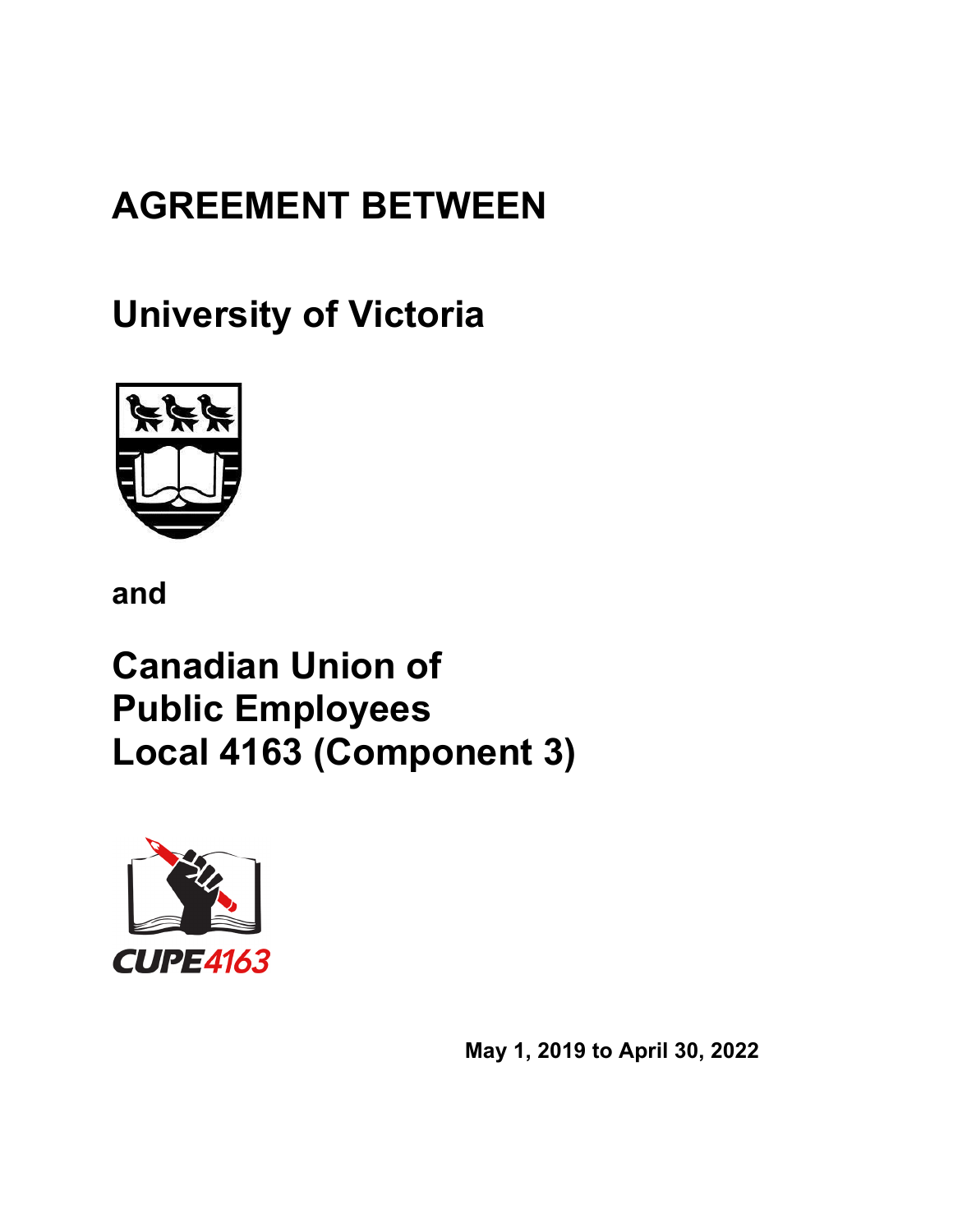# **AGREEMENT BETWEEN**

**University of Victoria**



**and**

**Canadian Union of Public Employees Local 4163 (Component 3)**



**May 1, 2019 to April 30, 2022**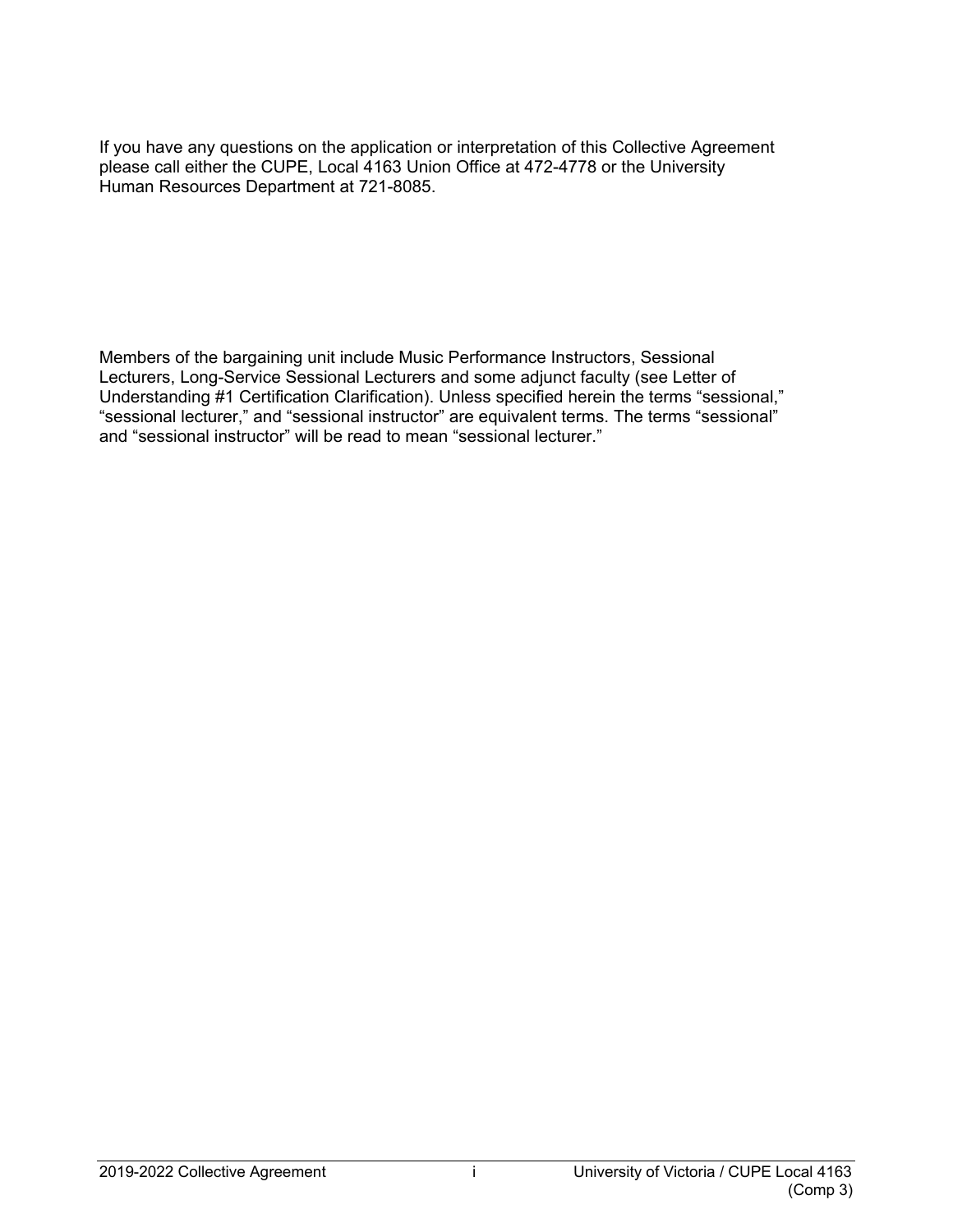If you have any questions on the application or interpretation of this Collective Agreement please call either the CUPE, Local 4163 Union Office at 472-4778 or the University Human Resources Department at 721-8085.

Members of the bargaining unit include Music Performance Instructors, Sessional Lecturers, Long-Service Sessional Lecturers and some adjunct faculty (see Letter of Understanding #1 Certification Clarification). Unless specified herein the terms "sessional," "sessional lecturer," and "sessional instructor" are equivalent terms. The terms "sessional" and "sessional instructor" will be read to mean "sessional lecturer."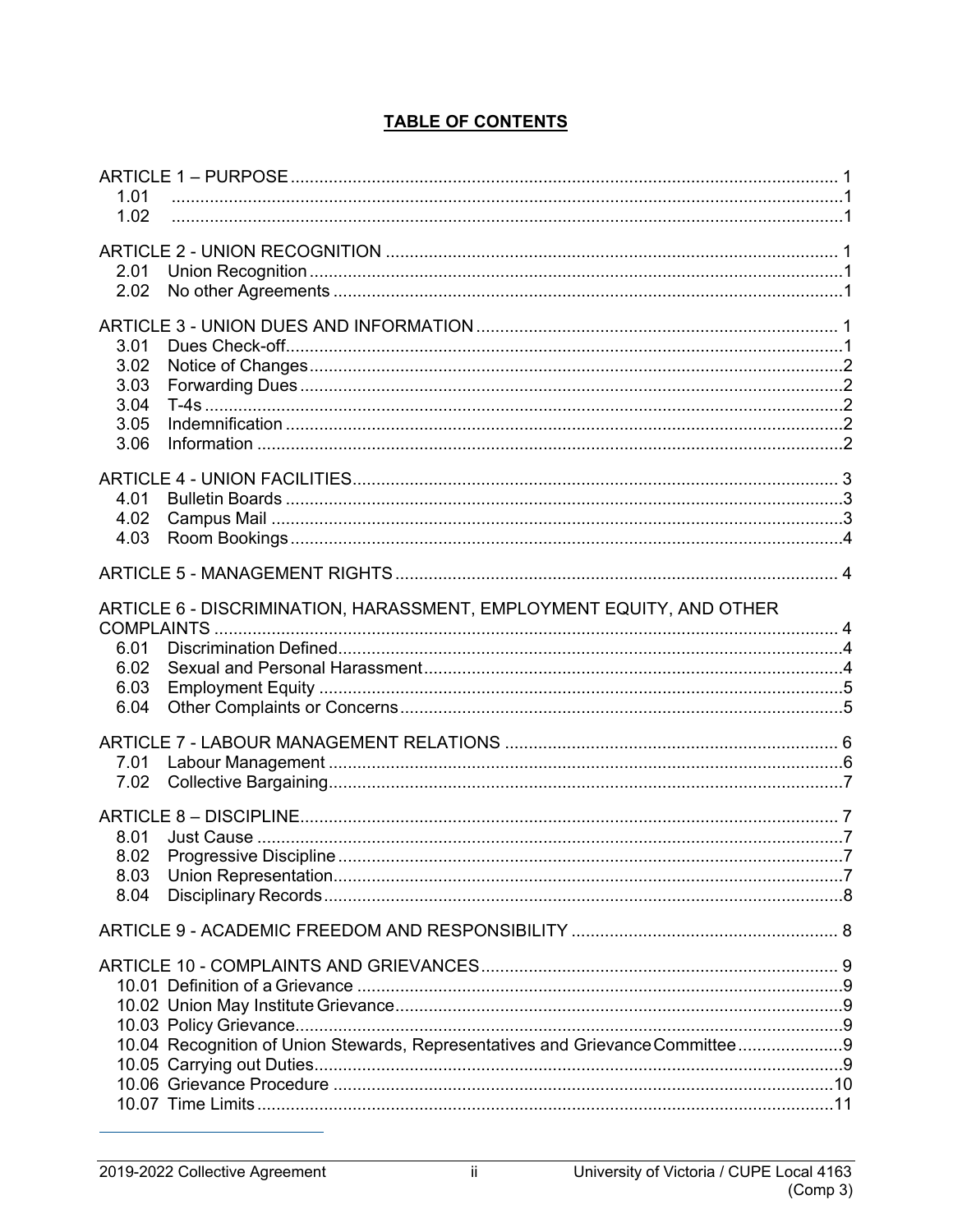| 1.01                                                                          |  |
|-------------------------------------------------------------------------------|--|
| 1.02                                                                          |  |
|                                                                               |  |
| 2.01                                                                          |  |
| 2.02                                                                          |  |
|                                                                               |  |
| 3.01                                                                          |  |
| 3.02                                                                          |  |
| 3.03                                                                          |  |
| 3.04                                                                          |  |
| 3.05                                                                          |  |
| 3.06                                                                          |  |
|                                                                               |  |
| 4.01                                                                          |  |
| 4.02                                                                          |  |
| 4.03                                                                          |  |
|                                                                               |  |
|                                                                               |  |
| ARTICLE 6 - DISCRIMINATION, HARASSMENT, EMPLOYMENT EQUITY, AND OTHER          |  |
|                                                                               |  |
| 6.01                                                                          |  |
| 6.02                                                                          |  |
| 6.03                                                                          |  |
| 6.04                                                                          |  |
|                                                                               |  |
|                                                                               |  |
| 7.02                                                                          |  |
|                                                                               |  |
|                                                                               |  |
| 8.01                                                                          |  |
| 8.02<br>8.03                                                                  |  |
| 8.04                                                                          |  |
|                                                                               |  |
|                                                                               |  |
|                                                                               |  |
|                                                                               |  |
|                                                                               |  |
|                                                                               |  |
| 10.04 Recognition of Union Stewards, Representatives and Grievance Committee9 |  |
|                                                                               |  |
|                                                                               |  |
|                                                                               |  |

# **TABLE OF CONTENTS**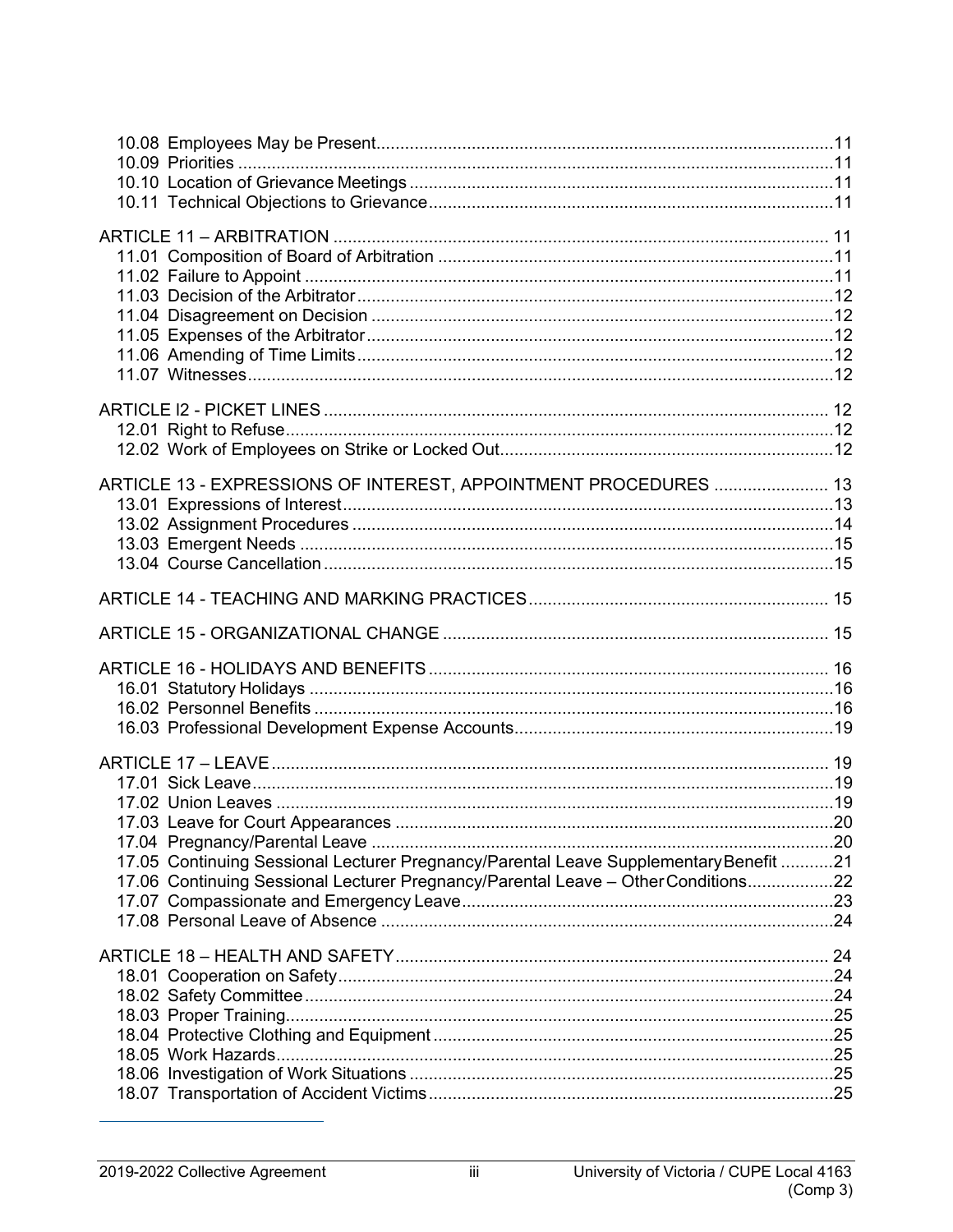| ARTICLE 13 - EXPRESSIONS OF INTEREST, APPOINTMENT PROCEDURES  13                                                                                                           |  |
|----------------------------------------------------------------------------------------------------------------------------------------------------------------------------|--|
|                                                                                                                                                                            |  |
|                                                                                                                                                                            |  |
|                                                                                                                                                                            |  |
| 17.05 Continuing Sessional Lecturer Pregnancy/Parental Leave Supplementary Benefit 21<br>17.06 Continuing Sessional Lecturer Pregnancy/Parental Leave - Other Conditions22 |  |
|                                                                                                                                                                            |  |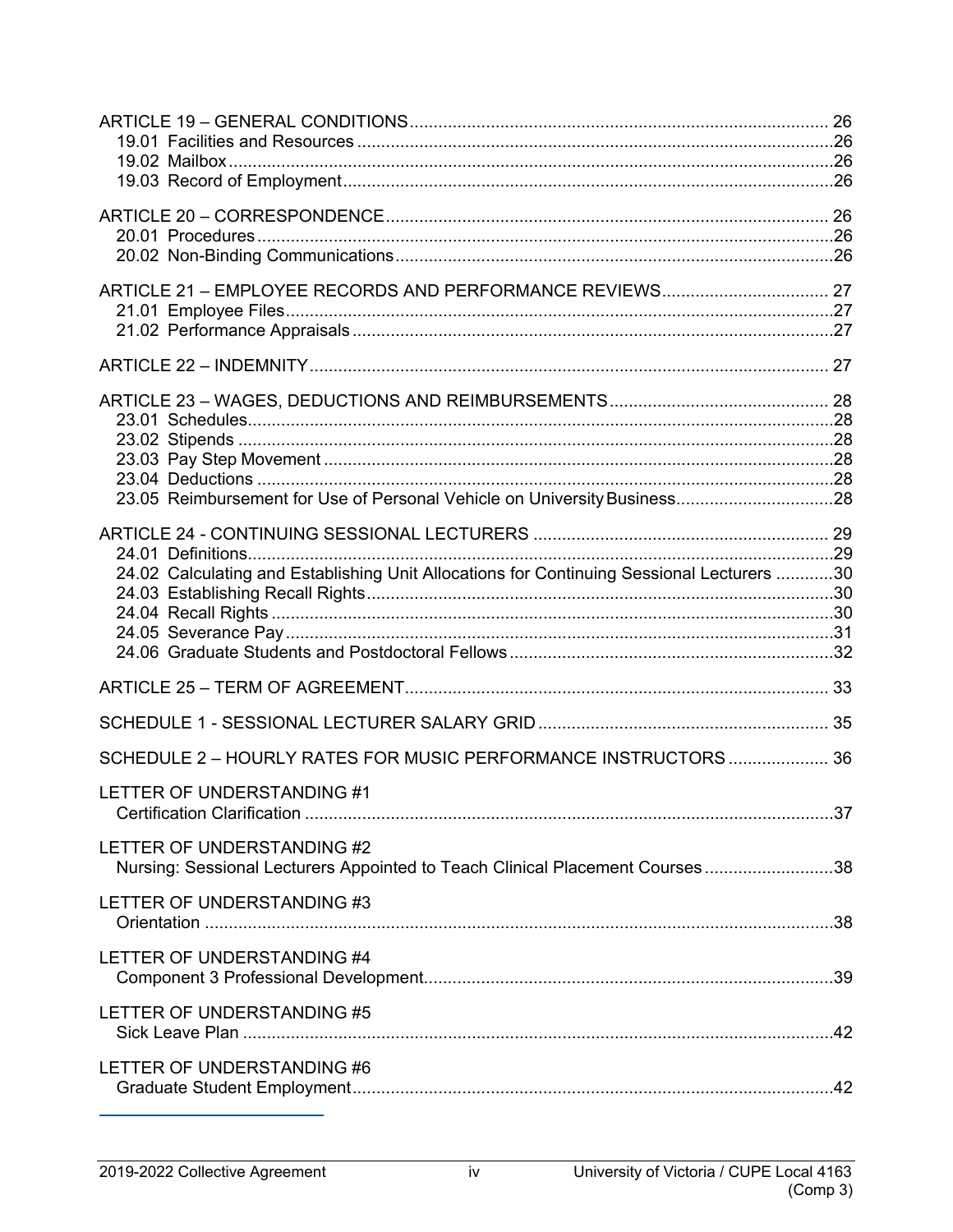| 23.05 Reimbursement for Use of Personal Vehicle on University Business28                  |  |
|-------------------------------------------------------------------------------------------|--|
|                                                                                           |  |
|                                                                                           |  |
| 24.02 Calculating and Establishing Unit Allocations for Continuing Sessional Lecturers 30 |  |
|                                                                                           |  |
|                                                                                           |  |
|                                                                                           |  |
|                                                                                           |  |
|                                                                                           |  |
|                                                                                           |  |
|                                                                                           |  |
| SCHEDULE 2 - HOURLY RATES FOR MUSIC PERFORMANCE INSTRUCTORS  36                           |  |
| LETTER OF UNDERSTANDING #1                                                                |  |
|                                                                                           |  |
|                                                                                           |  |
| LETTER OF UNDERSTANDING #2                                                                |  |
| Nursing: Sessional Lecturers Appointed to Teach Clinical Placement Courses38              |  |
| LETTER OF UNDERSTANDING #3                                                                |  |
|                                                                                           |  |
|                                                                                           |  |
| LETTER OF UNDERSTANDING #4                                                                |  |
|                                                                                           |  |
| LETTER OF UNDERSTANDING #5                                                                |  |
|                                                                                           |  |
|                                                                                           |  |
| LETTER OF UNDERSTANDING #6                                                                |  |
|                                                                                           |  |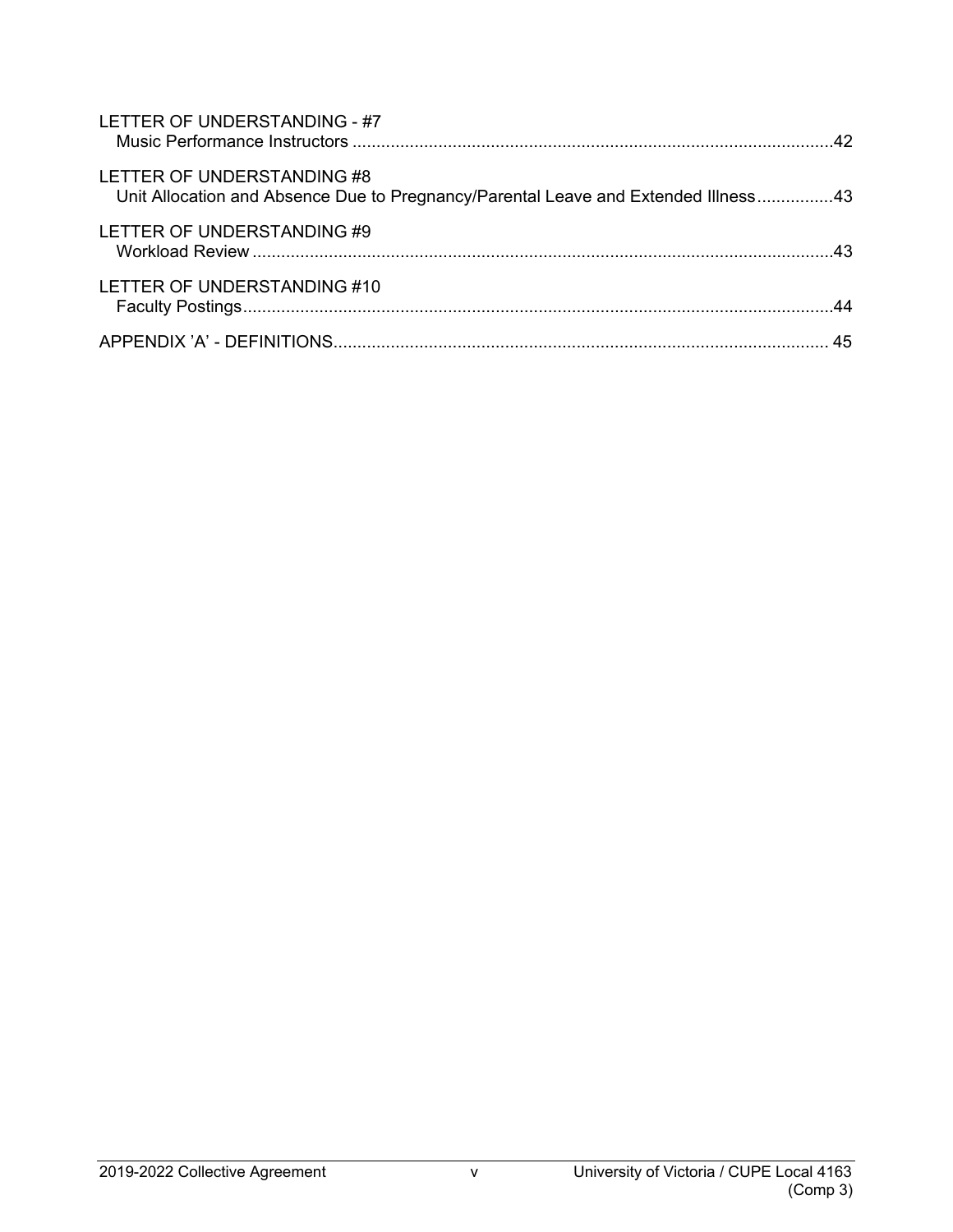| LETTER OF UNDERSTANDING - #7                                                                                     |    |
|------------------------------------------------------------------------------------------------------------------|----|
| LETTER OF UNDERSTANDING #8<br>Unit Allocation and Absence Due to Pregnancy/Parental Leave and Extended Illness43 |    |
| LETTER OF UNDERSTANDING #9                                                                                       |    |
| LETTER OF UNDERSTANDING #10                                                                                      |    |
|                                                                                                                  | 45 |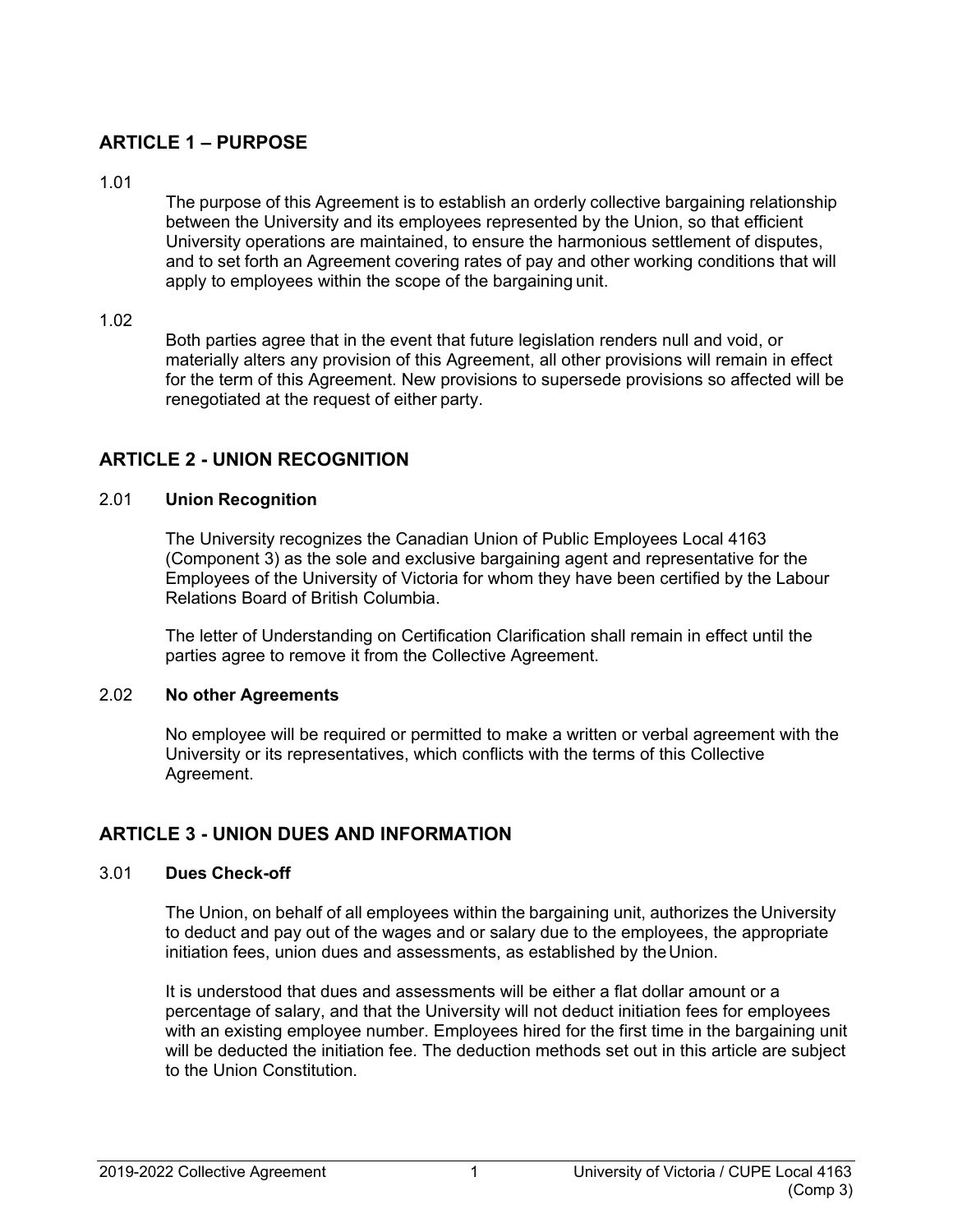# <span id="page-6-0"></span>**ARTICLE 1 – PURPOSE**

<span id="page-6-1"></span>1.01

The purpose of this Agreement is to establish an orderly collective bargaining relationship between the University and its employees represented by the Union, so that efficient University operations are maintained, to ensure the harmonious settlement of disputes, and to set forth an Agreement covering rates of pay and other working conditions that will apply to employees within the scope of the bargaining unit.

## <span id="page-6-2"></span>1.02

Both parties agree that in the event that future legislation renders null and void, or materially alters any provision of this Agreement, all other provisions will remain in effect for the term of this Agreement. New provisions to supersede provisions so affected will be renegotiated at the request of either party.

# <span id="page-6-3"></span>**ARTICLE 2 - UNION RECOGNITION**

## <span id="page-6-4"></span>2.01 **Union Recognition**

The University recognizes the Canadian Union of Public Employees Local 4163 (Component 3) as the sole and exclusive bargaining agent and representative for the Employees of the University of Victoria for whom they have been certified by the Labour Relations Board of British Columbia.

The letter of Understanding on Certification Clarification shall remain in effect until the parties agree to remove it from the Collective Agreement.

#### <span id="page-6-5"></span>2.02 **No other Agreements**

No employee will be required or permitted to make a written or verbal agreement with the University or its representatives, which conflicts with the terms of this Collective Agreement.

# <span id="page-6-6"></span>**ARTICLE 3 - UNION DUES AND INFORMATION**

## <span id="page-6-7"></span>3.01 **Dues Check-off**

The Union, on behalf of all employees within the bargaining unit, authorizes the University to deduct and pay out of the wages and or salary due to the employees, the appropriate initiation fees, union dues and assessments, as established by the Union.

It is understood that dues and assessments will be either a flat dollar amount or a percentage of salary, and that the University will not deduct initiation fees for employees with an existing employee number. Employees hired for the first time in the bargaining unit will be deducted the initiation fee. The deduction methods set out in this article are subject to the Union Constitution.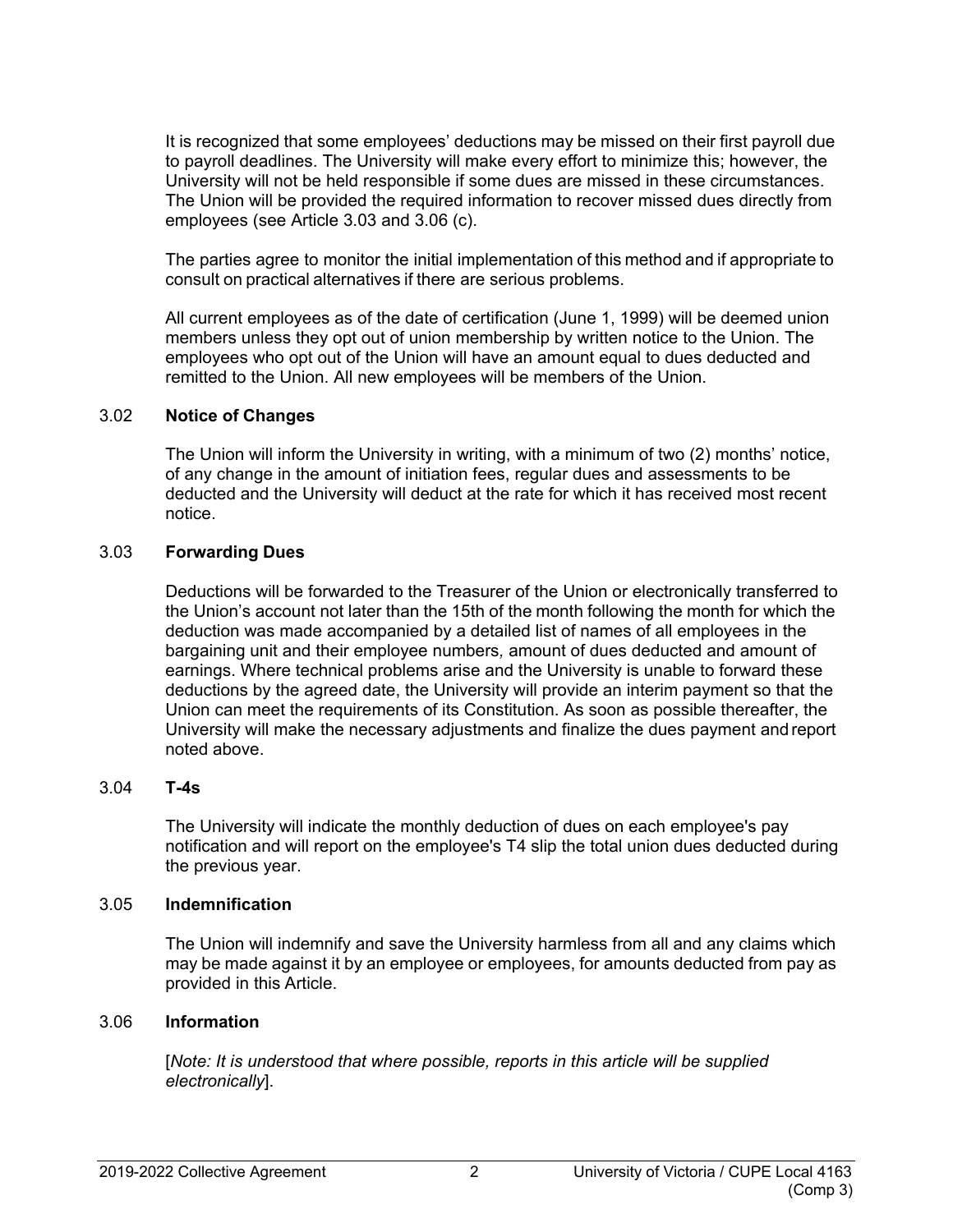It is recognized that some employees' deductions may be missed on their first payroll due to payroll deadlines. The University will make every effort to minimize this; however, the University will not be held responsible if some dues are missed in these circumstances. The Union will be provided the required information to recover missed dues directly from employees (see Article 3.03 and 3.06 (c).

The parties agree to monitor the initial implementation of this method and if appropriate to consult on practical alternatives if there are serious problems.

All current employees as of the date of certification (June 1, 1999) will be deemed union members unless they opt out of union membership by written notice to the Union. The employees who opt out of the Union will have an amount equal to dues deducted and remitted to the Union. All new employees will be members of the Union.

#### <span id="page-7-0"></span>3.02 **Notice of Changes**

The Union will inform the University in writing, with a minimum of two (2) months' notice, of any change in the amount of initiation fees, regular dues and assessments to be deducted and the University will deduct at the rate for which it has received most recent notice.

#### <span id="page-7-1"></span>3.03 **Forwarding Dues**

Deductions will be forwarded to the Treasurer of the Union or electronically transferred to the Union's account not later than the 15th of the month following the month for which the deduction was made accompanied by a detailed list of names of all employees in the bargaining unit and their employee numbers*,* amount of dues deducted and amount of earnings. Where technical problems arise and the University is unable to forward these deductions by the agreed date, the University will provide an interim payment so that the Union can meet the requirements of its Constitution. As soon as possible thereafter, the University will make the necessary adjustments and finalize the dues payment andreport noted above.

#### <span id="page-7-2"></span>3.04 **T-4s**

The University will indicate the monthly deduction of dues on each employee's pay notification and will report on the employee's T4 slip the total union dues deducted during the previous year.

#### <span id="page-7-3"></span>3.05 **Indemnification**

The Union will indemnify and save the University harmless from all and any claims which may be made against it by an employee or employees, for amounts deducted from pay as provided in this Article.

#### <span id="page-7-4"></span>3.06 **Information**

[*Note: It is understood that where possible, reports in this article will be supplied electronically*].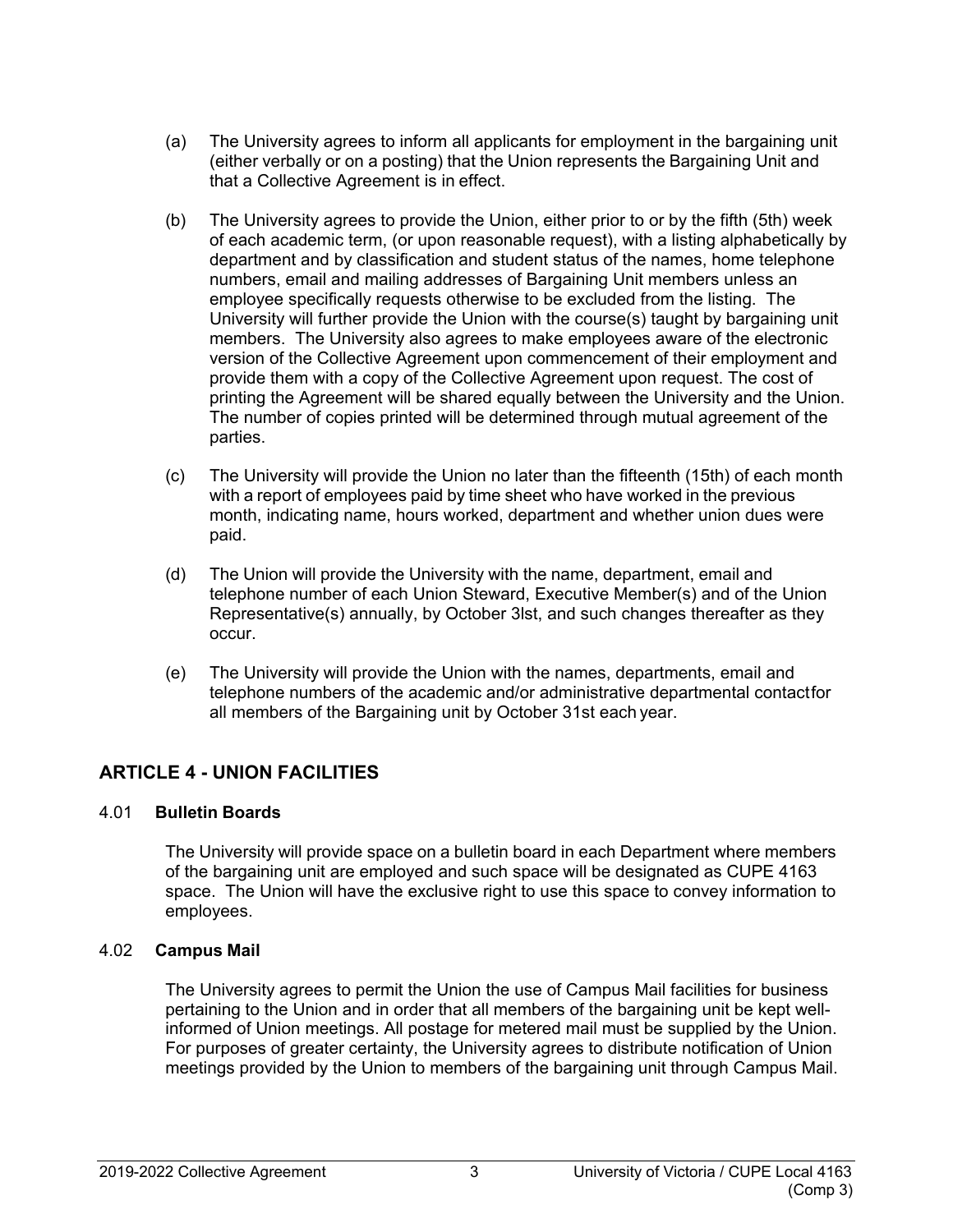- (a) The University agrees to inform all applicants for employment in the bargaining unit (either verbally or on a posting) that the Union represents the Bargaining Unit and that a Collective Agreement is in effect.
- (b) The University agrees to provide the Union, either prior to or by the fifth (5th) week of each academic term, (or upon reasonable request), with a listing alphabetically by department and by classification and student status of the names, home telephone numbers, email and mailing addresses of Bargaining Unit members unless an employee specifically requests otherwise to be excluded from the listing. The University will further provide the Union with the course(s) taught by bargaining unit members. The University also agrees to make employees aware of the electronic version of the Collective Agreement upon commencement of their employment and provide them with a copy of the Collective Agreement upon request. The cost of printing the Agreement will be shared equally between the University and the Union. The number of copies printed will be determined through mutual agreement of the parties.
- (c) The University will provide the Union no later than the fifteenth (15th) of each month with a report of employees paid by time sheet who have worked in the previous month, indicating name, hours worked, department and whether union dues were paid.
- (d) The Union will provide the University with the name, department, email and telephone number of each Union Steward, Executive Member(s) and of the Union Representative(s) annually, by October 3lst, and such changes thereafter as they occur.
- (e) The University will provide the Union with the names, departments, email and telephone numbers of the academic and/or administrative departmental contactfor all members of the Bargaining unit by October 31st each year.

# <span id="page-8-0"></span>**ARTICLE 4 - UNION FACILITIES**

## <span id="page-8-1"></span>4.01 **Bulletin Boards**

The University will provide space on a bulletin board in each Department where members of the bargaining unit are employed and such space will be designated as CUPE 4163 space. The Union will have the exclusive right to use this space to convey information to employees.

## <span id="page-8-2"></span>4.02 **Campus Mail**

The University agrees to permit the Union the use of Campus Mail facilities for business pertaining to the Union and in order that all members of the bargaining unit be kept wellinformed of Union meetings. All postage for metered mail must be supplied by the Union. For purposes of greater certainty, the University agrees to distribute notification of Union meetings provided by the Union to members of the bargaining unit through Campus Mail.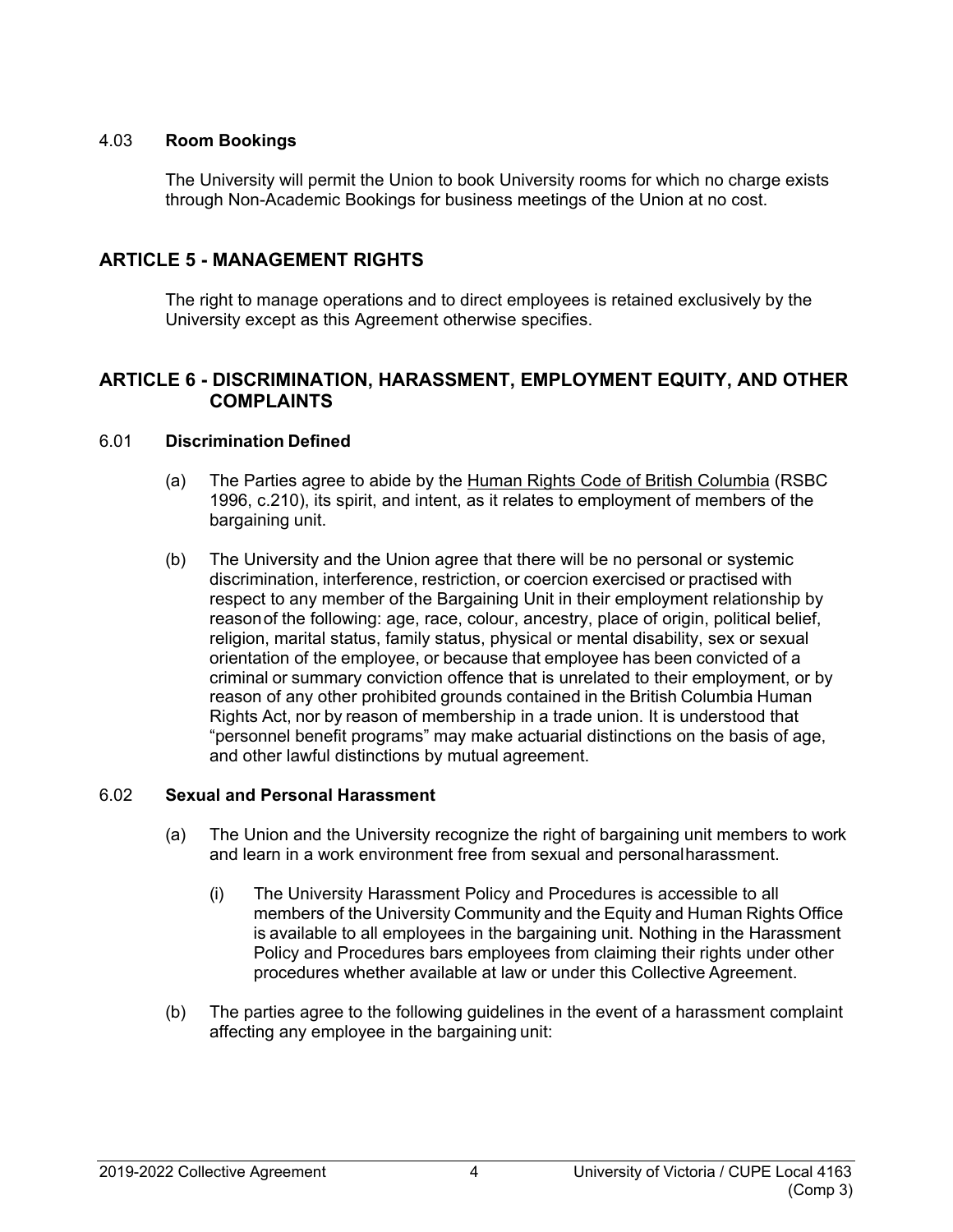#### <span id="page-9-0"></span>4.03 **Room Bookings**

The University will permit the Union to book University rooms for which no charge exists through Non-Academic Bookings for business meetings of the Union at no cost.

## <span id="page-9-1"></span>**ARTICLE 5 - MANAGEMENT RIGHTS**

The right to manage operations and to direct employees is retained exclusively by the University except as this Agreement otherwise specifies.

## <span id="page-9-2"></span>**ARTICLE 6 - DISCRIMINATION, HARASSMENT, EMPLOYMENT EQUITY, AND OTHER COMPLAINTS**

#### <span id="page-9-3"></span>6.01 **Discrimination Defined**

- (a) The Parties agree to abide by the Human Rights Code of British Columbia (RSBC 1996, c.210), its spirit, and intent, as it relates to employment of members of the bargaining unit.
- (b) The University and the Union agree that there will be no personal or systemic discrimination, interference, restriction, or coercion exercised or practised with respect to any member of the Bargaining Unit in their employment relationship by reasonof the following: age, race, colour, ancestry, place of origin, political belief, religion, marital status, family status, physical or mental disability, sex or sexual orientation of the employee, or because that employee has been convicted of a criminal or summary conviction offence that is unrelated to their employment, or by reason of any other prohibited grounds contained in the British Columbia Human Rights Act, nor by reason of membership in a trade union. It is understood that "personnel benefit programs" may make actuarial distinctions on the basis of age, and other lawful distinctions by mutual agreement.

#### <span id="page-9-4"></span>6.02 **Sexual and Personal Harassment**

- (a) The Union and the University recognize the right of bargaining unit members to work and learn in a work environment free from sexual and personalharassment.
	- (i) The University Harassment Policy and Procedures is accessible to all members of the University Community and the Equity and Human Rights Office is available to all employees in the bargaining unit. Nothing in the Harassment Policy and Procedures bars employees from claiming their rights under other procedures whether available at law or under this Collective Agreement.
- (b) The parties agree to the following guidelines in the event of a harassment complaint affecting any employee in the bargaining unit: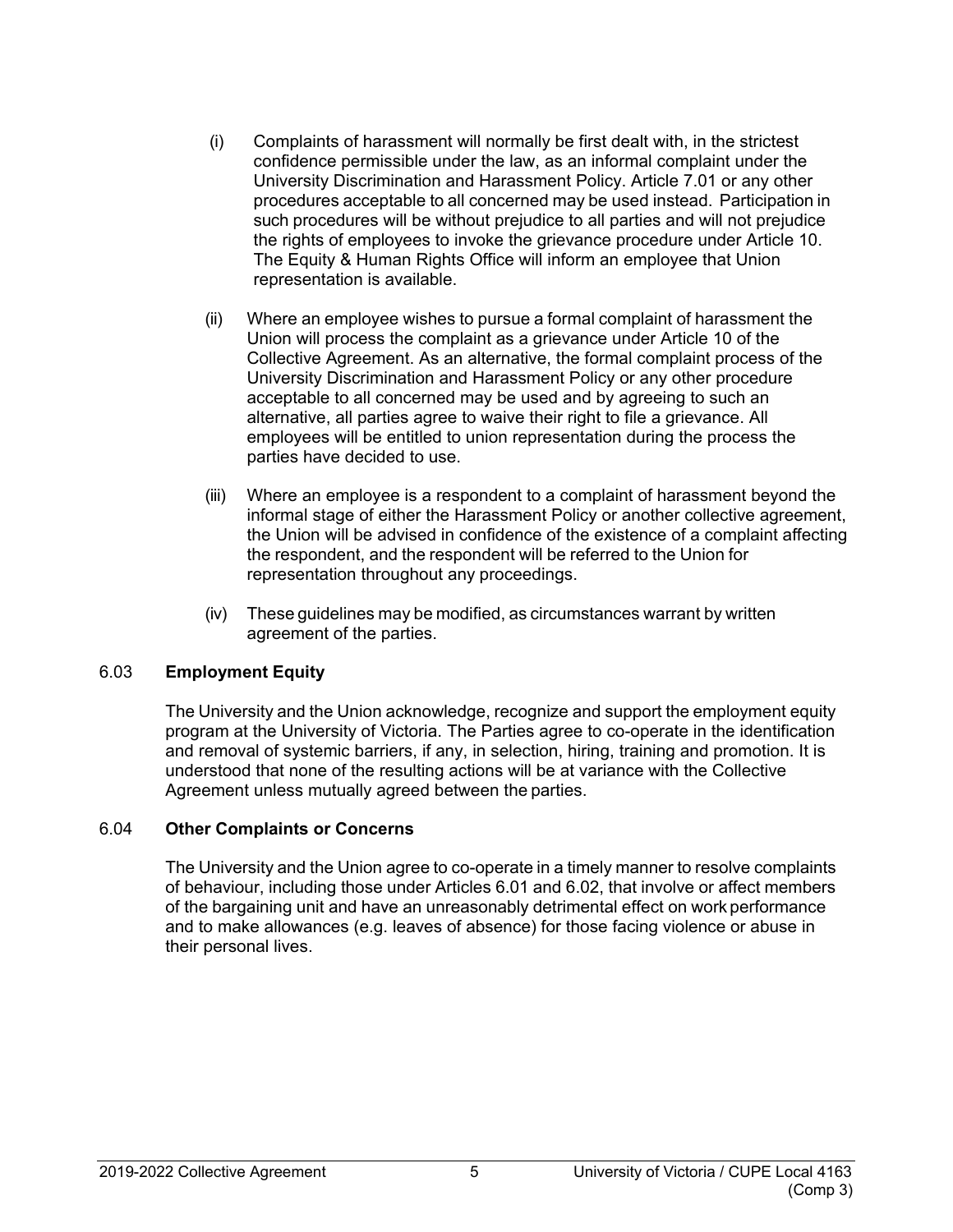- (i) Complaints of harassment will normally be first dealt with, in the strictest confidence permissible under the law, as an informal complaint under the University Discrimination and Harassment Policy. Article 7.01 or any other procedures acceptable to all concerned may be used instead. Participation in such procedures will be without prejudice to all parties and will not prejudice the rights of employees to invoke the grievance procedure under Article 10. The Equity & Human Rights Office will inform an employee that Union representation is available.
- (ii) Where an employee wishes to pursue a formal complaint of harassment the Union will process the complaint as a grievance under Article 10 of the Collective Agreement. As an alternative, the formal complaint process of the University Discrimination and Harassment Policy or any other procedure acceptable to all concerned may be used and by agreeing to such an alternative, all parties agree to waive their right to file a grievance. All employees will be entitled to union representation during the process the parties have decided to use.
- (iii) Where an employee is a respondent to a complaint of harassment beyond the informal stage of either the Harassment Policy or another collective agreement, the Union will be advised in confidence of the existence of a complaint affecting the respondent, and the respondent will be referred to the Union for representation throughout any proceedings.
- (iv) These guidelines may be modified, as circumstances warrant by written agreement of the parties.

## <span id="page-10-0"></span>6.03 **Employment Equity**

The University and the Union acknowledge, recognize and support the employment equity program at the University of Victoria. The Parties agree to co-operate in the identification and removal of systemic barriers, if any, in selection, hiring, training and promotion. It is understood that none of the resulting actions will be at variance with the Collective Agreement unless mutually agreed between the parties.

#### <span id="page-10-1"></span>6.04 **Other Complaints or Concerns**

The University and the Union agree to co-operate in a timely manner to resolve complaints of behaviour, including those under Articles 6.01 and 6.02, that involve or affect members of the bargaining unit and have an unreasonably detrimental effect on work performance and to make allowances (e.g. leaves of absence) for those facing violence or abuse in their personal lives.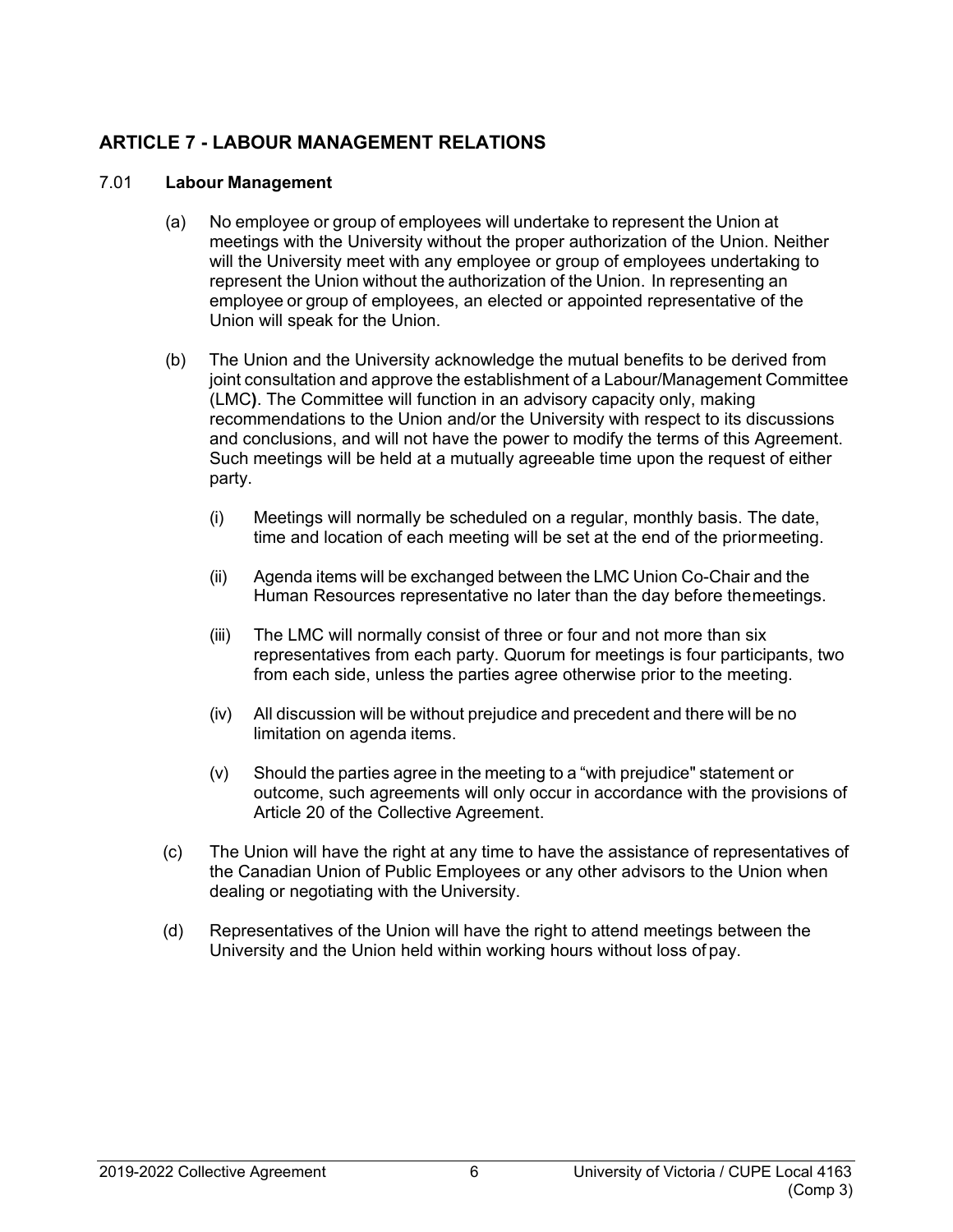# <span id="page-11-0"></span>**ARTICLE 7 - LABOUR MANAGEMENT RELATIONS**

#### <span id="page-11-1"></span>7.01 **Labour Management**

- (a) No employee or group of employees will undertake to represent the Union at meetings with the University without the proper authorization of the Union. Neither will the University meet with any employee or group of employees undertaking to represent the Union without the authorization of the Union. In representing an employee or group of employees, an elected or appointed representative of the Union will speak for the Union.
- (b) The Union and the University acknowledge the mutual benefits to be derived from joint consultation and approve the establishment of a Labour/Management Committee (LMC**)**. The Committee will function in an advisory capacity only, making recommendations to the Union and/or the University with respect to its discussions and conclusions, and will not have the power to modify the terms of this Agreement. Such meetings will be held at a mutually agreeable time upon the request of either party.
	- (i) Meetings will normally be scheduled on a regular, monthly basis. The date, time and location of each meeting will be set at the end of the priormeeting.
	- (ii) Agenda items will be exchanged between the LMC Union Co-Chair and the Human Resources representative no later than the day before themeetings.
	- (iii) The LMC will normally consist of three or four and not more than six representatives from each party. Quorum for meetings is four participants, two from each side, unless the parties agree otherwise prior to the meeting.
	- (iv) All discussion will be without prejudice and precedent and there will be no limitation on agenda items.
	- (v) Should the parties agree in the meeting to a "with prejudice" statement or outcome, such agreements will only occur in accordance with the provisions of Article 20 of the Collective Agreement.
- (c) The Union will have the right at any time to have the assistance of representatives of the Canadian Union of Public Employees or any other advisors to the Union when dealing or negotiating with the University.
- (d) Representatives of the Union will have the right to attend meetings between the University and the Union held within working hours without loss of pay.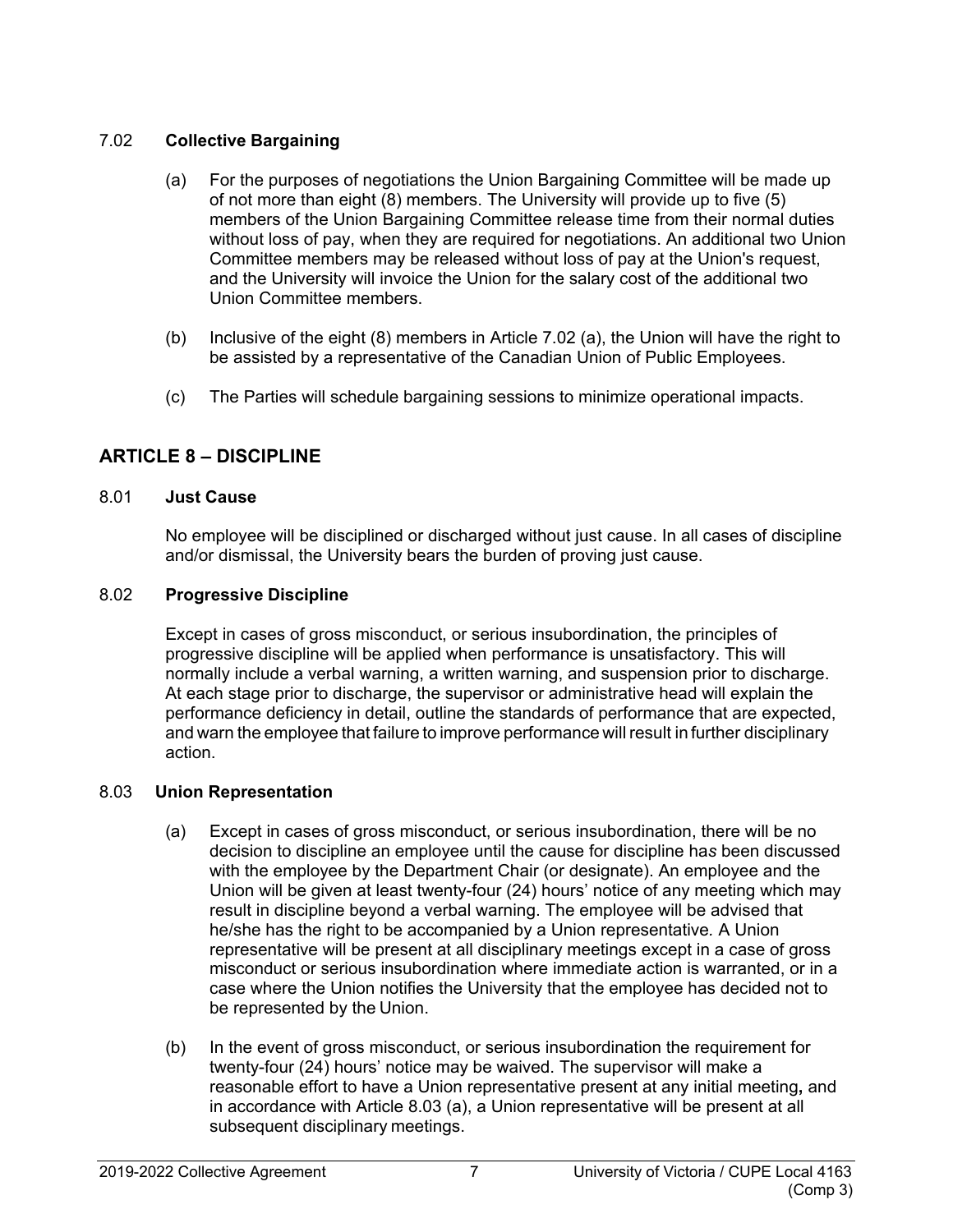## <span id="page-12-0"></span>7.02 **Collective Bargaining**

- (a) For the purposes of negotiations the Union Bargaining Committee will be made up of not more than eight (8) members. The University will provide up to five (5) members of the Union Bargaining Committee release time from their normal duties without loss of pay, when they are required for negotiations. An additional two Union Committee members may be released without loss of pay at the Union's request, and the University will invoice the Union for the salary cost of the additional two Union Committee members.
- (b) Inclusive of the eight (8) members in Article 7.02 (a), the Union will have the right to be assisted by a representative of the Canadian Union of Public Employees.
- (c) The Parties will schedule bargaining sessions to minimize operational impacts.

# <span id="page-12-1"></span>**ARTICLE 8 – DISCIPLINE**

## <span id="page-12-2"></span>8.01 **Just Cause**

No employee will be disciplined or discharged without just cause. In all cases of discipline and/or dismissal, the University bears the burden of proving just cause.

## <span id="page-12-3"></span>8.02 **Progressive Discipline**

Except in cases of gross misconduct, or serious insubordination, the principles of progressive discipline will be applied when performance is unsatisfactory. This will normally include a verbal warning, a written warning, and suspension prior to discharge. At each stage prior to discharge, the supervisor or administrative head will explain the performance deficiency in detail, outline the standards of performance that are expected, and warn the employee that failure to improve performance will result in further disciplinary action.

## <span id="page-12-4"></span>8.03 **Union Representation**

- (a) Except in cases of gross misconduct, or serious insubordination, there will be no decision to discipline an employee until the cause for discipline ha*s* been discussed with the employee by the Department Chair (or designate). An employee and the Union will be given at least twenty-four (24) hours' notice of any meeting which may result in discipline beyond a verbal warning. The employee will be advised that he/she has the right to be accompanied by a Union representative*.* A Union representative will be present at all disciplinary meetings except in a case of gross misconduct or serious insubordination where immediate action is warranted, or in a case where the Union notifies the University that the employee has decided not to be represented by the Union.
- (b) In the event of gross misconduct, or serious insubordination the requirement for twenty-four (24) hours' notice may be waived. The supervisor will make a reasonable effort to have a Union representative present at any initial meeting**,** and in accordance with Article 8.03 (a), a Union representative will be present at all subsequent disciplinary meetings.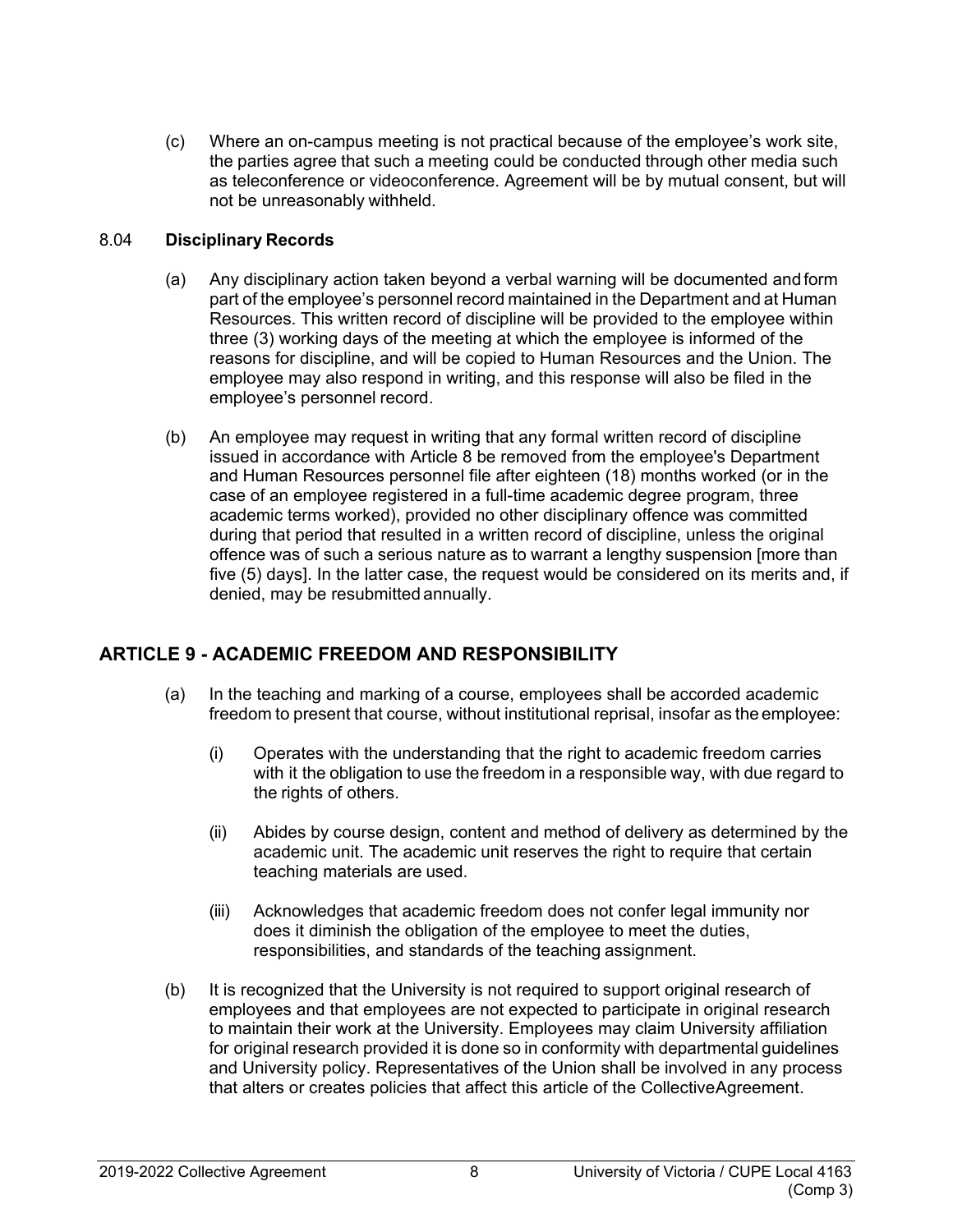(c) Where an on-campus meeting is not practical because of the employee's work site, the parties agree that such a meeting could be conducted through other media such as teleconference or videoconference. Agreement will be by mutual consent, but will not be unreasonably withheld.

## <span id="page-13-0"></span>8.04 **Disciplinary Records**

- (a) Any disciplinary action taken beyond a verbal warning will be documented and form part of the employee's personnel record maintained in the Department and at Human Resources. This written record of discipline will be provided to the employee within three (3) working days of the meeting at which the employee is informed of the reasons for discipline, and will be copied to Human Resources and the Union. The employee may also respond in writing, and this response will also be filed in the employee's personnel record.
- (b) An employee may request in writing that any formal written record of discipline issued in accordance with Article 8 be removed from the employee's Department and Human Resources personnel file after eighteen (18) months worked (or in the case of an employee registered in a full-time academic degree program, three academic terms worked), provided no other disciplinary offence was committed during that period that resulted in a written record of discipline, unless the original offence was of such a serious nature as to warrant a lengthy suspension [more than five (5) days]. In the latter case, the request would be considered on its merits and, if denied, may be resubmitted annually.

# <span id="page-13-1"></span>**ARTICLE 9 - ACADEMIC FREEDOM AND RESPONSIBILITY**

- (a) In the teaching and marking of a course, employees shall be accorded academic freedom to present that course, without institutional reprisal, insofar as the employee:
	- (i) Operates with the understanding that the right to academic freedom carries with it the obligation to use the freedom in a responsible way, with due regard to the rights of others.
	- (ii) Abides by course design, content and method of delivery as determined by the academic unit. The academic unit reserves the right to require that certain teaching materials are used.
	- (iii) Acknowledges that academic freedom does not confer legal immunity nor does it diminish the obligation of the employee to meet the duties, responsibilities, and standards of the teaching assignment.
- (b) It is recognized that the University is not required to support original research of employees and that employees are not expected to participate in original research to maintain their work at the University. Employees may claim University affiliation for original research provided it is done so in conformity with departmental guidelines and University policy. Representatives of the Union shall be involved in any process that alters or creates policies that affect this article of the CollectiveAgreement.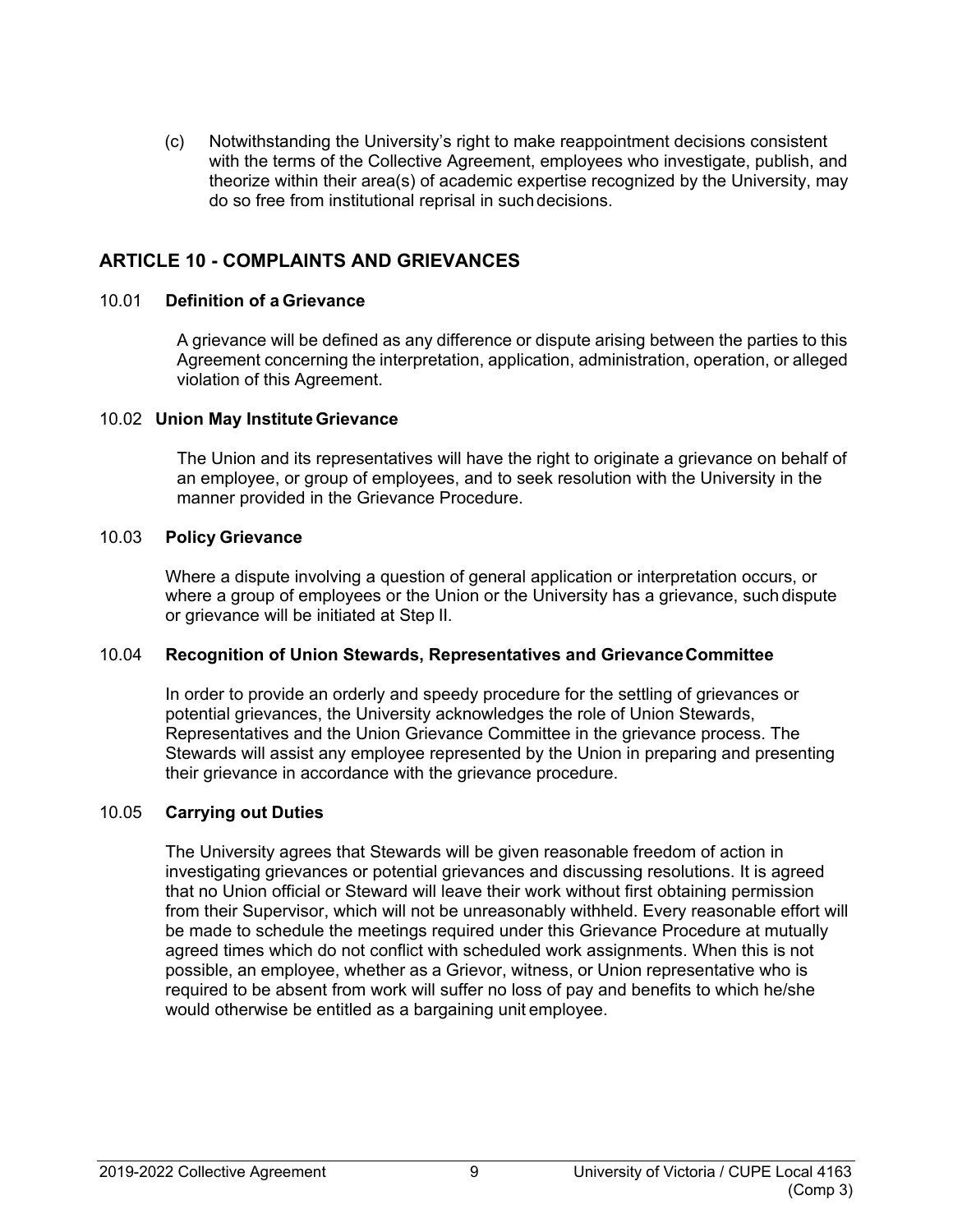(c) Notwithstanding the University's right to make reappointment decisions consistent with the terms of the Collective Agreement, employees who investigate, publish, and theorize within their area(s) of academic expertise recognized by the University, may do so free from institutional reprisal in suchdecisions.

# <span id="page-14-0"></span>**ARTICLE 10 - COMPLAINTS AND GRIEVANCES**

#### <span id="page-14-1"></span>10.01 **Definition of a Grievance**

A grievance will be defined as any difference or dispute arising between the parties to this Agreement concerning the interpretation, application, administration, operation, or alleged violation of this Agreement.

#### <span id="page-14-2"></span>10.02 **Union May InstituteGrievance**

The Union and its representatives will have the right to originate a grievance on behalf of an employee, or group of employees, and to seek resolution with the University in the manner provided in the Grievance Procedure.

#### <span id="page-14-3"></span>10.03 **Policy Grievance**

Where a dispute involving a question of general application or interpretation occurs, or where a group of employees or the Union or the University has a grievance, such dispute or grievance will be initiated at Step II.

#### <span id="page-14-4"></span>10.04 **Recognition of Union Stewards, Representatives and GrievanceCommittee**

In order to provide an orderly and speedy procedure for the settling of grievances or potential grievances, the University acknowledges the role of Union Stewards, Representatives and the Union Grievance Committee in the grievance process. The Stewards will assist any employee represented by the Union in preparing and presenting their grievance in accordance with the grievance procedure.

#### <span id="page-14-5"></span>10.05 **Carrying out Duties**

The University agrees that Stewards will be given reasonable freedom of action in investigating grievances or potential grievances and discussing resolutions. It is agreed that no Union official or Steward will leave their work without first obtaining permission from their Supervisor, which will not be unreasonably withheld. Every reasonable effort will be made to schedule the meetings required under this Grievance Procedure at mutually agreed times which do not conflict with scheduled work assignments. When this is not possible, an employee, whether as a Grievor, witness, or Union representative who is required to be absent from work will suffer no loss of pay and benefits to which he/she would otherwise be entitled as a bargaining unit employee.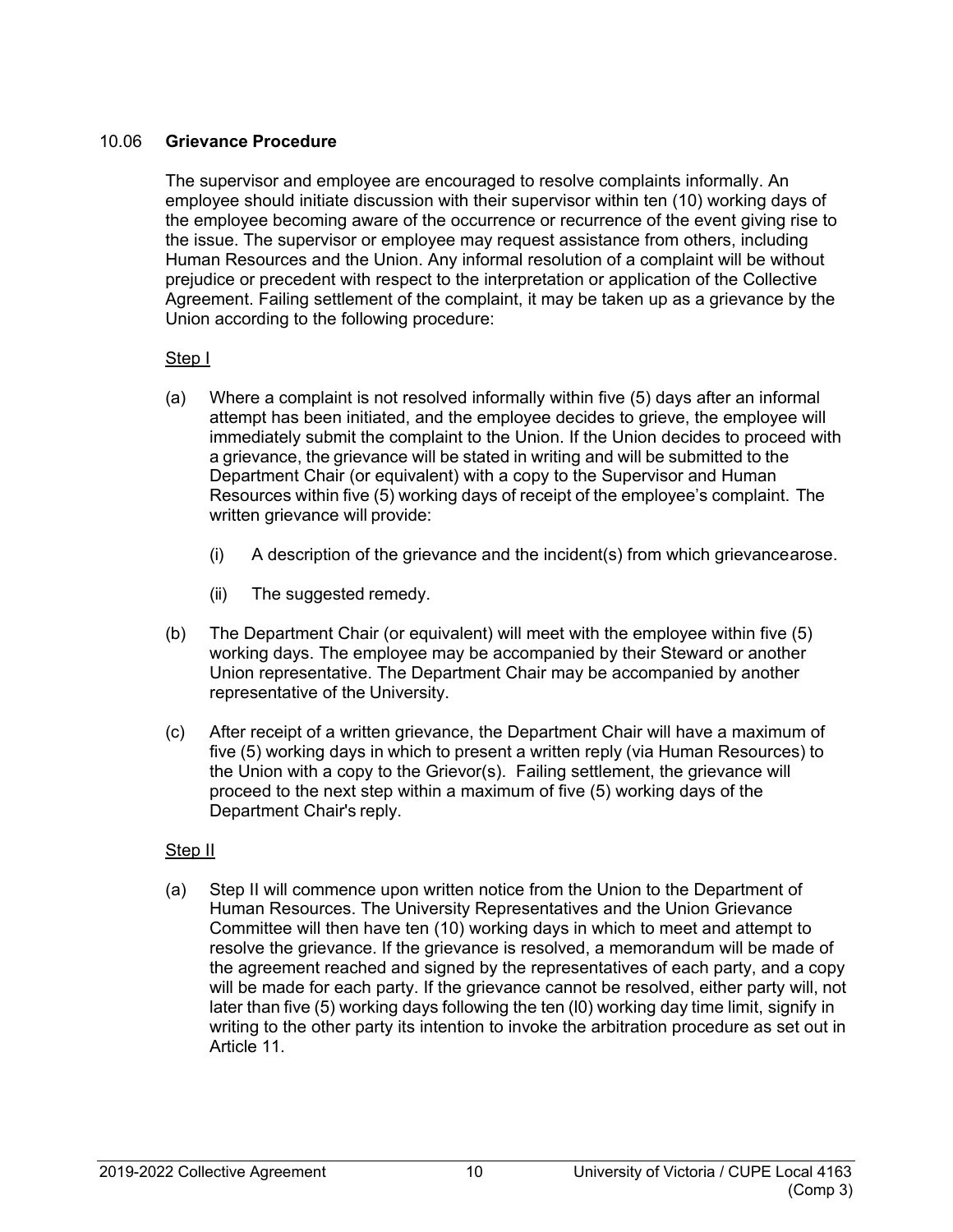## <span id="page-15-0"></span>10.06 **Grievance Procedure**

The supervisor and employee are encouraged to resolve complaints informally. An employee should initiate discussion with their supervisor within ten (10) working days of the employee becoming aware of the occurrence or recurrence of the event giving rise to the issue. The supervisor or employee may request assistance from others, including Human Resources and the Union. Any informal resolution of a complaint will be without prejudice or precedent with respect to the interpretation or application of the Collective Agreement. Failing settlement of the complaint, it may be taken up as a grievance by the Union according to the following procedure:

# Step I

- (a) Where a complaint is not resolved informally within five (5) days after an informal attempt has been initiated, and the employee decides to grieve, the employee will immediately submit the complaint to the Union. If the Union decides to proceed with a grievance, the grievance will be stated in writing and will be submitted to the Department Chair (or equivalent) with a copy to the Supervisor and Human Resources within five (5) working days of receipt of the employee's complaint. The written grievance will provide:
	- (i) A description of the grievance and the incident(s) from which grievancearose.
	- (ii) The suggested remedy.
- (b) The Department Chair (or equivalent) will meet with the employee within five (5) working days. The employee may be accompanied by their Steward or another Union representative. The Department Chair may be accompanied by another representative of the University.
- (c) After receipt of a written grievance, the Department Chair will have a maximum of five (5) working days in which to present a written reply (via Human Resources) to the Union with a copy to the Grievor(s). Failing settlement, the grievance will proceed to the next step within a maximum of five (5) working days of the Department Chair's reply.

# Step II

(a) Step II will commence upon written notice from the Union to the Department of Human Resources. The University Representatives and the Union Grievance Committee will then have ten (10) working days in which to meet and attempt to resolve the grievance. If the grievance is resolved, a memorandum will be made of the agreement reached and signed by the representatives of each party, and a copy will be made for each party. If the grievance cannot be resolved, either party will, not later than five (5) working days following the ten (l0) working day time limit, signify in writing to the other party its intention to invoke the arbitration procedure as set out in Article 11.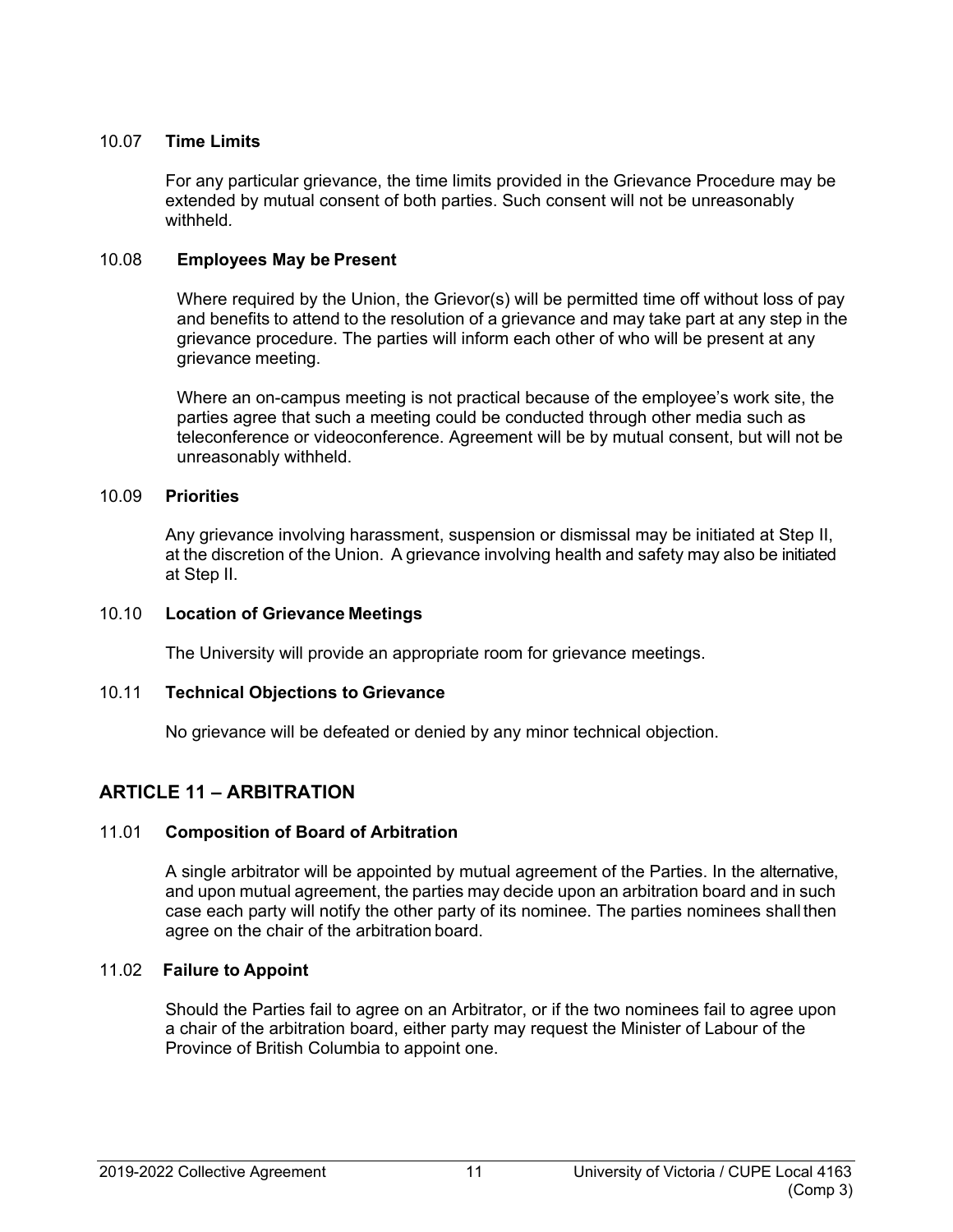## <span id="page-16-0"></span>10.07 **Time Limits**

For any particular grievance, the time limits provided in the Grievance Procedure may be extended by mutual consent of both parties. Such consent will not be unreasonably withheld*.*

#### <span id="page-16-1"></span>10.08 **Employees May be Present**

Where required by the Union, the Grievor(s) will be permitted time off without loss of pay and benefits to attend to the resolution of a grievance and may take part at any step in the grievance procedure. The parties will inform each other of who will be present at any grievance meeting.

Where an on-campus meeting is not practical because of the employee's work site, the parties agree that such a meeting could be conducted through other media such as teleconference or videoconference. Agreement will be by mutual consent, but will not be unreasonably withheld.

#### <span id="page-16-2"></span>10.09 **Priorities**

Any grievance involving harassment, suspension or dismissal may be initiated at Step II, at the discretion of the Union. A grievance involving health and safety may also be initiated at Step II.

#### <span id="page-16-3"></span>10.10 **Location of Grievance Meetings**

The University will provide an appropriate room for grievance meetings.

## <span id="page-16-4"></span>10.11 **Technical Objections to Grievance**

No grievance will be defeated or denied by any minor technical objection.

# <span id="page-16-5"></span>**ARTICLE 11 – ARBITRATION**

## <span id="page-16-6"></span>11.01 **Composition of Board of Arbitration**

A single arbitrator will be appointed by mutual agreement of the Parties. In the alternative, and upon mutual agreement, the parties may decide upon an arbitration board and in such case each party will notify the other party of its nominee. The parties nominees shallthen agree on the chair of the arbitration board.

## <span id="page-16-7"></span>11.02 **Failure to Appoint**

Should the Parties fail to agree on an Arbitrator, or if the two nominees fail to agree upon a chair of the arbitration board, either party may request the Minister of Labour of the Province of British Columbia to appoint one.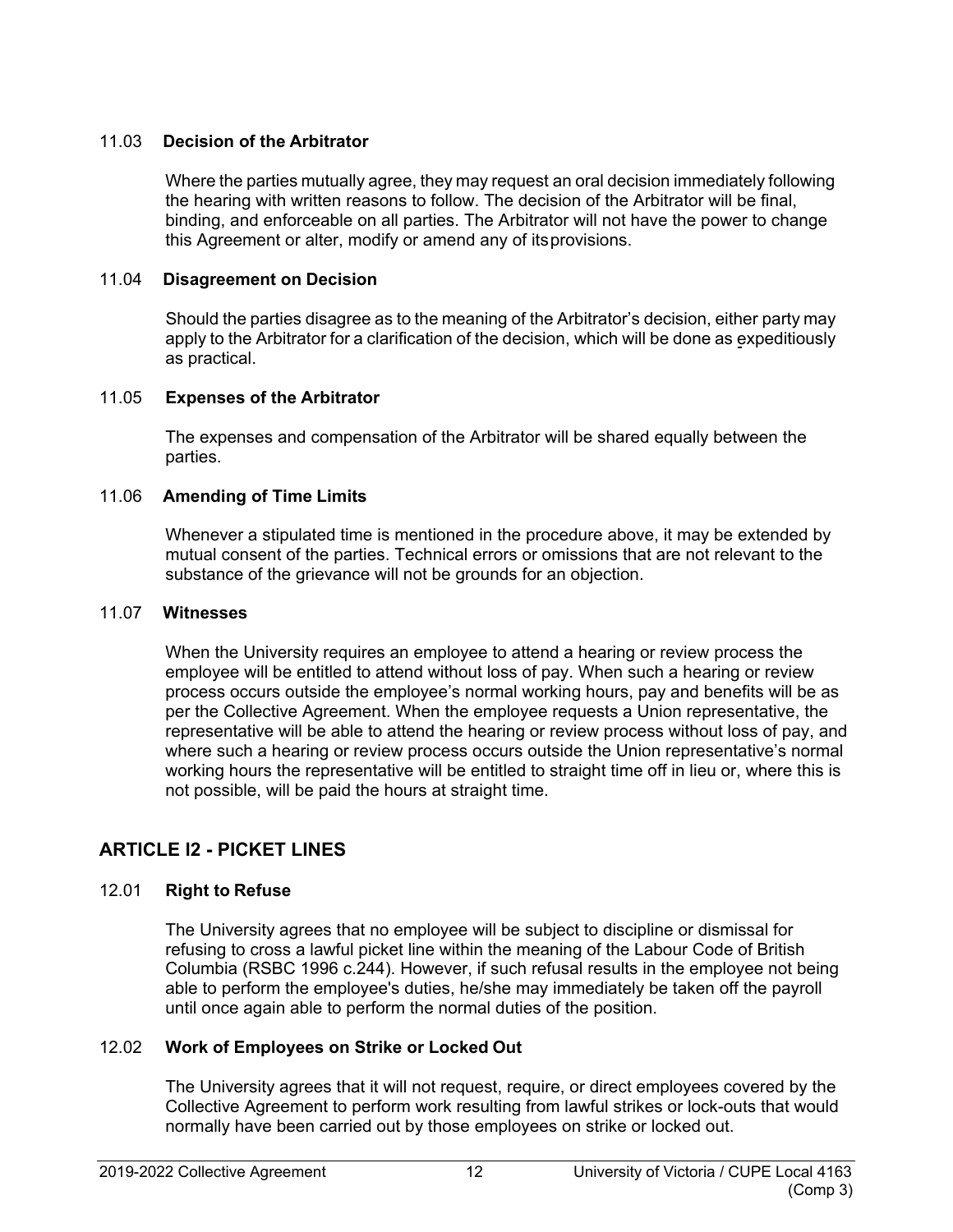## <span id="page-17-0"></span>11.03 **Decision of the Arbitrator**

Where the parties mutually agree, they may request an oral decision immediately following the hearing with written reasons to follow. The decision of the Arbitrator will be final, binding, and enforceable on all parties. The Arbitrator will not have the power to change this Agreement or alter, modify or amend any of itsprovisions.

#### <span id="page-17-1"></span>11.04 **Disagreement on Decision**

Should the parties disagree as to the meaning of the Arbitrator's decision, either party may apply to the Arbitrator for a clarification of the decision, which will be done as expeditiously as practical.

#### <span id="page-17-2"></span>11.05 **Expenses of the Arbitrator**

The expenses and compensation of the Arbitrator will be shared equally between the parties.

#### <span id="page-17-3"></span>11.06 **Amending of Time Limits**

Whenever a stipulated time is mentioned in the procedure above, it may be extended by mutual consent of the parties. Technical errors or omissions that are not relevant to the substance of the grievance will not be grounds for an objection.

#### <span id="page-17-4"></span>11.07 **Witnesses**

When the University requires an employee to attend a hearing or review process the employee will be entitled to attend without loss of pay. When such a hearing or review process occurs outside the employee's normal working hours, pay and benefits will be as per the Collective Agreement. When the employee requests a Union representative, the representative will be able to attend the hearing or review process without loss of pay, and where such a hearing or review process occurs outside the Union representative's normal working hours the representative will be entitled to straight time off in lieu or, where this is not possible, will be paid the hours at straight time.

# <span id="page-17-5"></span>**ARTICLE l2 - PICKET LINES**

## <span id="page-17-6"></span>12.01 **Right to Refuse**

The University agrees that no employee will be subject to discipline or dismissal for refusing to cross a lawful picket line within the meaning of the Labour Code of British Columbia (RSBC 1996 c.244). However, if such refusal results in the employee not being able to perform the employee's duties, he/she may immediately be taken off the payroll until once again able to perform the normal duties of the position.

## <span id="page-17-7"></span>12.02 **Work of Employees on Strike or Locked Out**

The University agrees that it will not request, require, or direct employees covered by the Collective Agreement to perform work resulting from lawful strikes or lock-outs that would normally have been carried out by those employees on strike or locked out.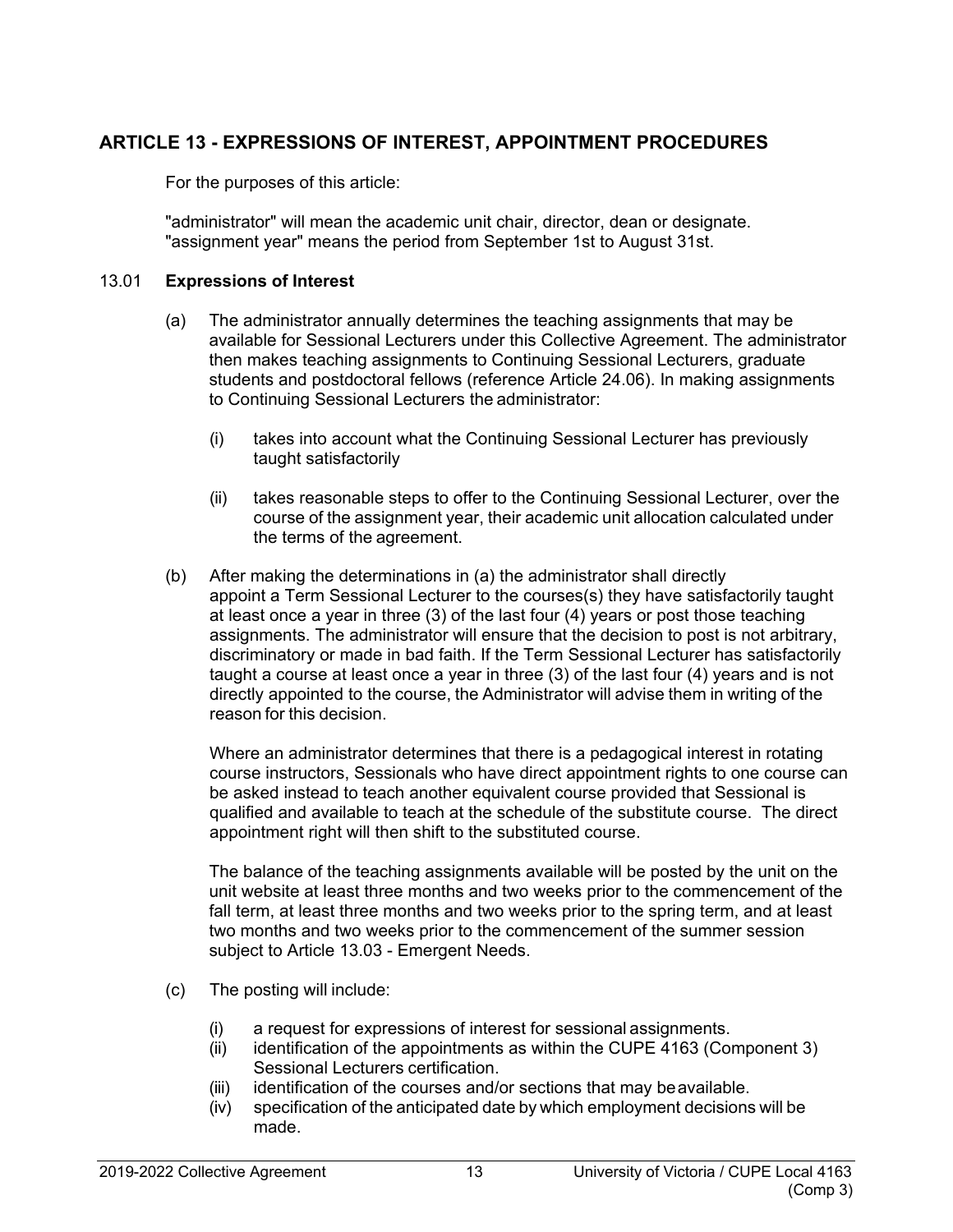# <span id="page-18-0"></span>**ARTICLE 13 - EXPRESSIONS OF INTEREST, APPOINTMENT PROCEDURES**

For the purposes of this article:

"administrator" will mean the academic unit chair, director, dean or designate. "assignment year" means the period from September 1st to August 31st.

#### <span id="page-18-1"></span>13.01 **Expressions of Interest**

- (a) The administrator annually determines the teaching assignments that may be available for Sessional Lecturers under this Collective Agreement. The administrator then makes teaching assignments to Continuing Sessional Lecturers, graduate students and postdoctoral fellows (reference Article 24.06). In making assignments to Continuing Sessional Lecturers the administrator:
	- (i) takes into account what the Continuing Sessional Lecturer has previously taught satisfactorily
	- (ii) takes reasonable steps to offer to the Continuing Sessional Lecturer, over the course of the assignment year, their academic unit allocation calculated under the terms of the agreement.
- (b) After making the determinations in (a) the administrator shall directly appoint a Term Sessional Lecturer to the courses(s) they have satisfactorily taught at least once a year in three (3) of the last four (4) years or post those teaching assignments. The administrator will ensure that the decision to post is not arbitrary, discriminatory or made in bad faith. If the Term Sessional Lecturer has satisfactorily taught a course at least once a year in three (3) of the last four (4) years and is not directly appointed to the course, the Administrator will advise them in writing of the reason for this decision.

Where an administrator determines that there is a pedagogical interest in rotating course instructors, Sessionals who have direct appointment rights to one course can be asked instead to teach another equivalent course provided that Sessional is qualified and available to teach at the schedule of the substitute course. The direct appointment right will then shift to the substituted course.

The balance of the teaching assignments available will be posted by the unit on the unit website at least three months and two weeks prior to the commencement of the fall term, at least three months and two weeks prior to the spring term, and at least two months and two weeks prior to the commencement of the summer session subject to Article 13.03 - Emergent Needs.

- (c) The posting will include:
	- (i) a request for expressions of interest for sessional assignments.
	- (ii) identification of the appointments as within the CUPE 4163 (Component 3) Sessional Lecturers certification.
	- (iii) identification of the courses and/or sections that may beavailable.
	- (iv) specification of the anticipated date by which employment decisions will be made.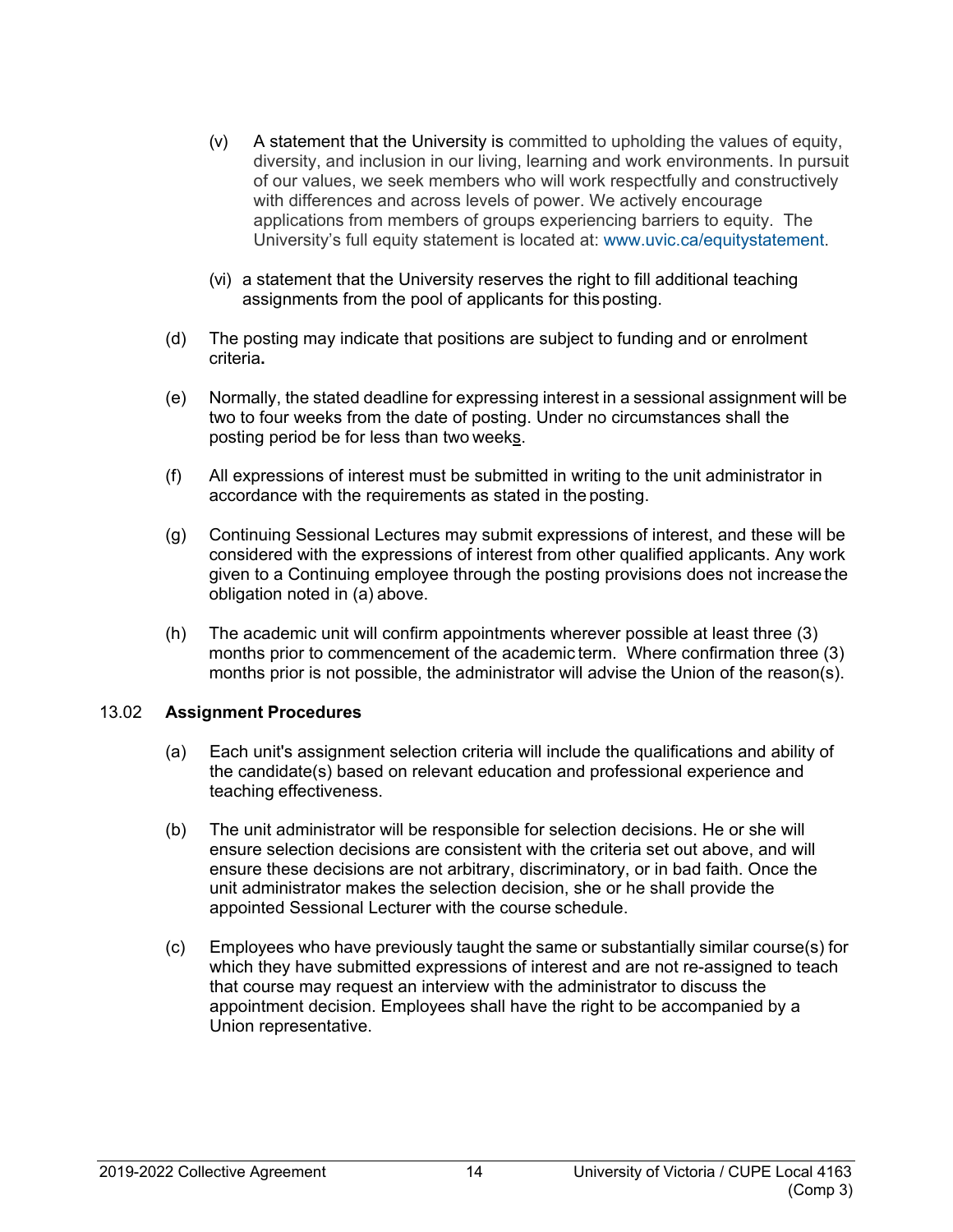- (v) A statement that the University is committed to upholding the values of equity, diversity, and inclusion in our living, learning and work environments. In pursuit of our values, we seek members who will work respectfully and constructively with differences and across levels of power. We actively encourage applications from members of groups experiencing barriers to equity. The University's full equity statement is located at: [www.uvic.ca/equitystatement.](http://www.uvic.ca/equitystatement)
- (vi) a statement that the University reserves the right to fill additional teaching assignments from the pool of applicants for thisposting.
- (d) The posting may indicate that positions are subject to funding and or enrolment criteria**.**
- (e) Normally, the stated deadline for expressing interest in a sessional assignment will be two to four weeks from the date of posting. Under no circumstances shall the posting period be for less than two weeks.
- (f) All expressions of interest must be submitted in writing to the unit administrator in accordance with the requirements as stated in the posting.
- (g) Continuing Sessional Lectures may submit expressions of interest, and these will be considered with the expressions of interest from other qualified applicants. Any work given to a Continuing employee through the posting provisions does not increase the obligation noted in (a) above.
- (h) The academic unit will confirm appointments wherever possible at least three (3) months prior to commencement of the academic term. Where confirmation three (3) months prior is not possible, the administrator will advise the Union of the reason(s).

#### <span id="page-19-0"></span>13.02 **Assignment Procedures**

- (a) Each unit's assignment selection criteria will include the qualifications and ability of the candidate(s) based on relevant education and professional experience and teaching effectiveness.
- (b) The unit administrator will be responsible for selection decisions. He or she will ensure selection decisions are consistent with the criteria set out above, and will ensure these decisions are not arbitrary, discriminatory, or in bad faith. Once the unit administrator makes the selection decision, she or he shall provide the appointed Sessional Lecturer with the course schedule.
- (c) Employees who have previously taught the same or substantially similar course(s) for which they have submitted expressions of interest and are not re-assigned to teach that course may request an interview with the administrator to discuss the appointment decision. Employees shall have the right to be accompanied by a Union representative.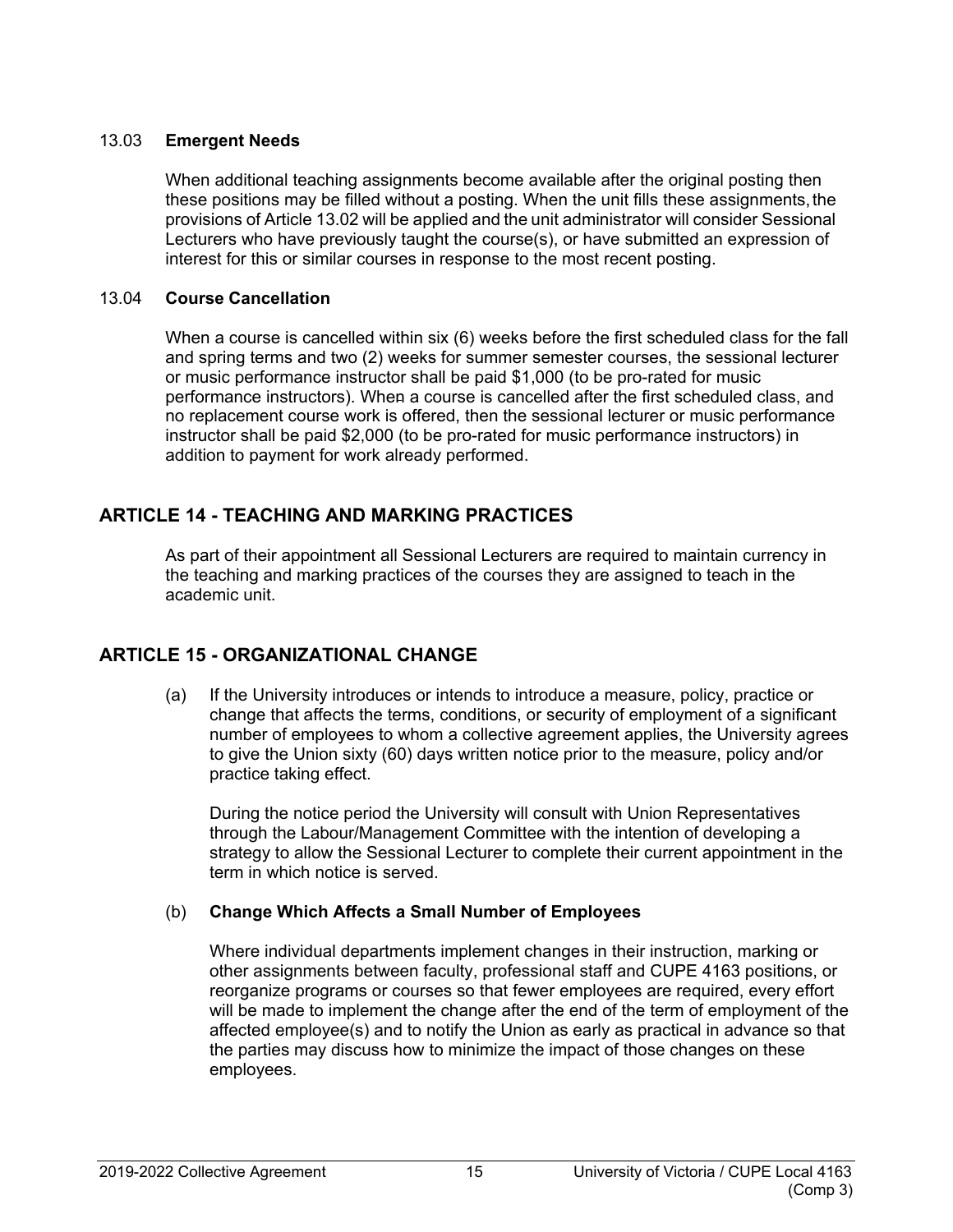#### <span id="page-20-0"></span>13.03 **Emergent Needs**

When additional teaching assignments become available after the original posting then these positions may be filled without a posting. When the unit fills these assignments, the provisions of Article 13.02 will be applied and the unit administrator will consider Sessional Lecturers who have previously taught the course(s), or have submitted an expression of interest for this or similar courses in response to the most recent posting.

## <span id="page-20-1"></span>13.04 **Course Cancellation**

When a course is cancelled within six (6) weeks before the first scheduled class for the fall and spring terms and two (2) weeks for summer semester courses, the sessional lecturer or music performance instructor shall be paid \$1,000 (to be pro-rated for music performance instructors). When a course is cancelled after the first scheduled class, and no replacement course work is offered, then the sessional lecturer or music performance instructor shall be paid \$2,000 (to be pro-rated for music performance instructors) in addition to payment for work already performed.

# <span id="page-20-2"></span>**ARTICLE 14 - TEACHING AND MARKING PRACTICES**

As part of their appointment all Sessional Lecturers are required to maintain currency in the teaching and marking practices of the courses they are assigned to teach in the academic unit.

# <span id="page-20-3"></span>**ARTICLE 15 - ORGANIZATIONAL CHANGE**

(a) If the University introduces or intends to introduce a measure, policy, practice or change that affects the terms, conditions, or security of employment of a significant number of employees to whom a collective agreement applies, the University agrees to give the Union sixty (60) days written notice prior to the measure, policy and/or practice taking effect.

During the notice period the University will consult with Union Representatives through the Labour/Management Committee with the intention of developing a strategy to allow the Sessional Lecturer to complete their current appointment in the term in which notice is served.

## (b) **Change Which Affects a Small Number of Employees**

Where individual departments implement changes in their instruction, marking or other assignments between faculty, professional staff and CUPE 4163 positions, or reorganize programs or courses so that fewer employees are required, every effort will be made to implement the change after the end of the term of employment of the affected employee(s) and to notify the Union as early as practical in advance so that the parties may discuss how to minimize the impact of those changes on these employees.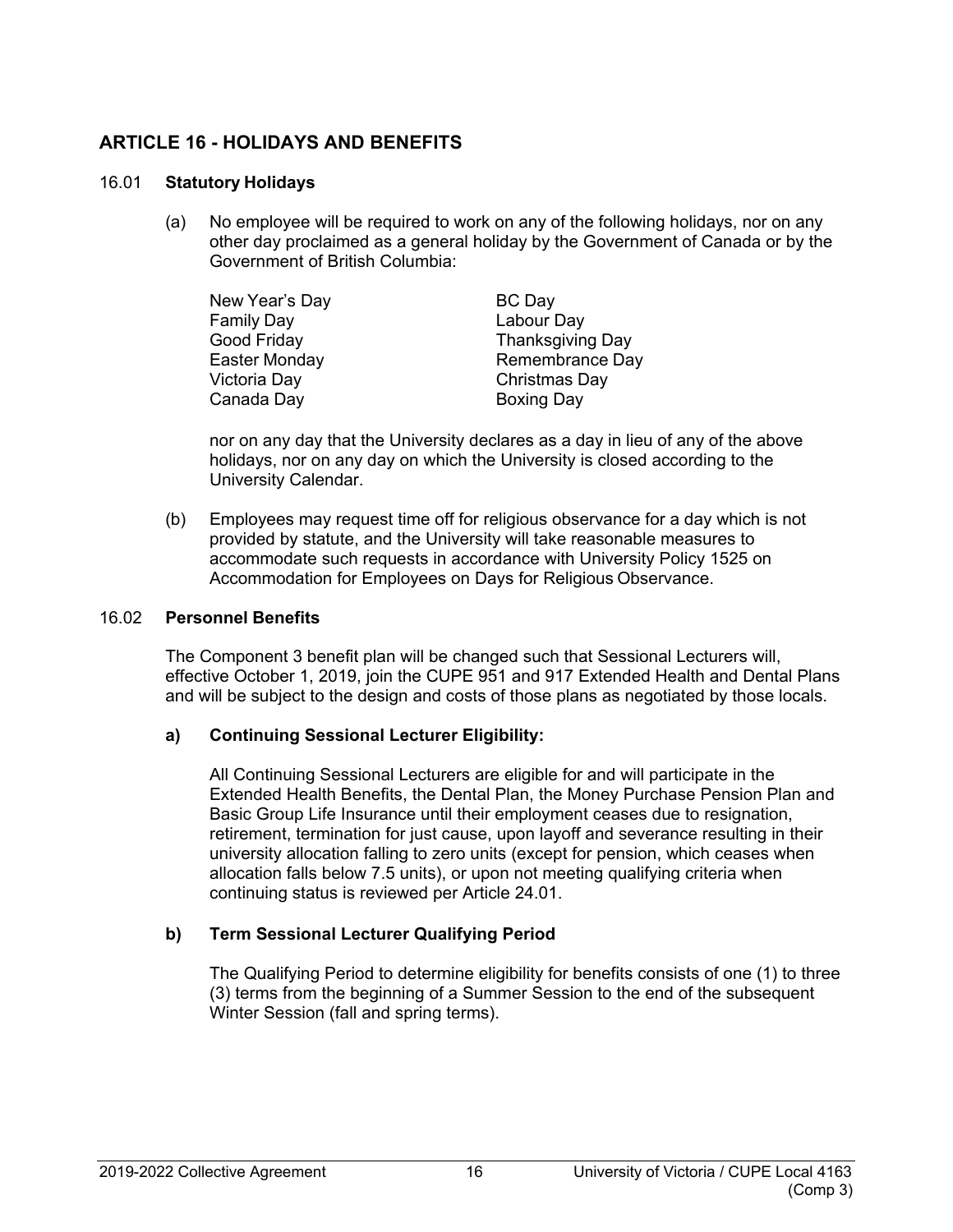# <span id="page-21-0"></span>**ARTICLE 16 - HOLIDAYS AND BENEFITS**

#### <span id="page-21-1"></span>16.01 **Statutory Holidays**

(a) No employee will be required to work on any of the following holidays, nor on any other day proclaimed as a general holiday by the Government of Canada or by the Government of British Columbia:

| New Year's Day    | BC Day            |
|-------------------|-------------------|
| <b>Family Day</b> | Labour Day        |
| Good Friday       | Thanksgiving Day  |
| Easter Monday     | Remembrance Day   |
| Victoria Day      | Christmas Day     |
| Canada Day        | <b>Boxing Day</b> |

nor on any day that the University declares as a day in lieu of any of the above holidays, nor on any day on which the University is closed according to the University Calendar.

(b) Employees may request time off for religious observance for a day which is not provided by statute, and the University will take reasonable measures to accommodate such requests in accordance with University Policy 1525 on Accommodation for Employees on Days for Religious Observance.

#### <span id="page-21-2"></span>16.02 **Personnel Benefits**

The Component 3 benefit plan will be changed such that Sessional Lecturers will, effective October 1, 2019, join the CUPE 951 and 917 Extended Health and Dental Plans and will be subject to the design and costs of those plans as negotiated by those locals.

## **a) Continuing Sessional Lecturer Eligibility:**

All Continuing Sessional Lecturers are eligible for and will participate in the Extended Health Benefits, the Dental Plan, the Money Purchase Pension Plan and Basic Group Life Insurance until their employment ceases due to resignation, retirement, termination for just cause, upon layoff and severance resulting in their university allocation falling to zero units (except for pension, which ceases when allocation falls below 7.5 units), or upon not meeting qualifying criteria when continuing status is reviewed per Article 24.01.

## **b) Term Sessional Lecturer Qualifying Period**

The Qualifying Period to determine eligibility for benefits consists of one (1) to three (3) terms from the beginning of a Summer Session to the end of the subsequent Winter Session (fall and spring terms).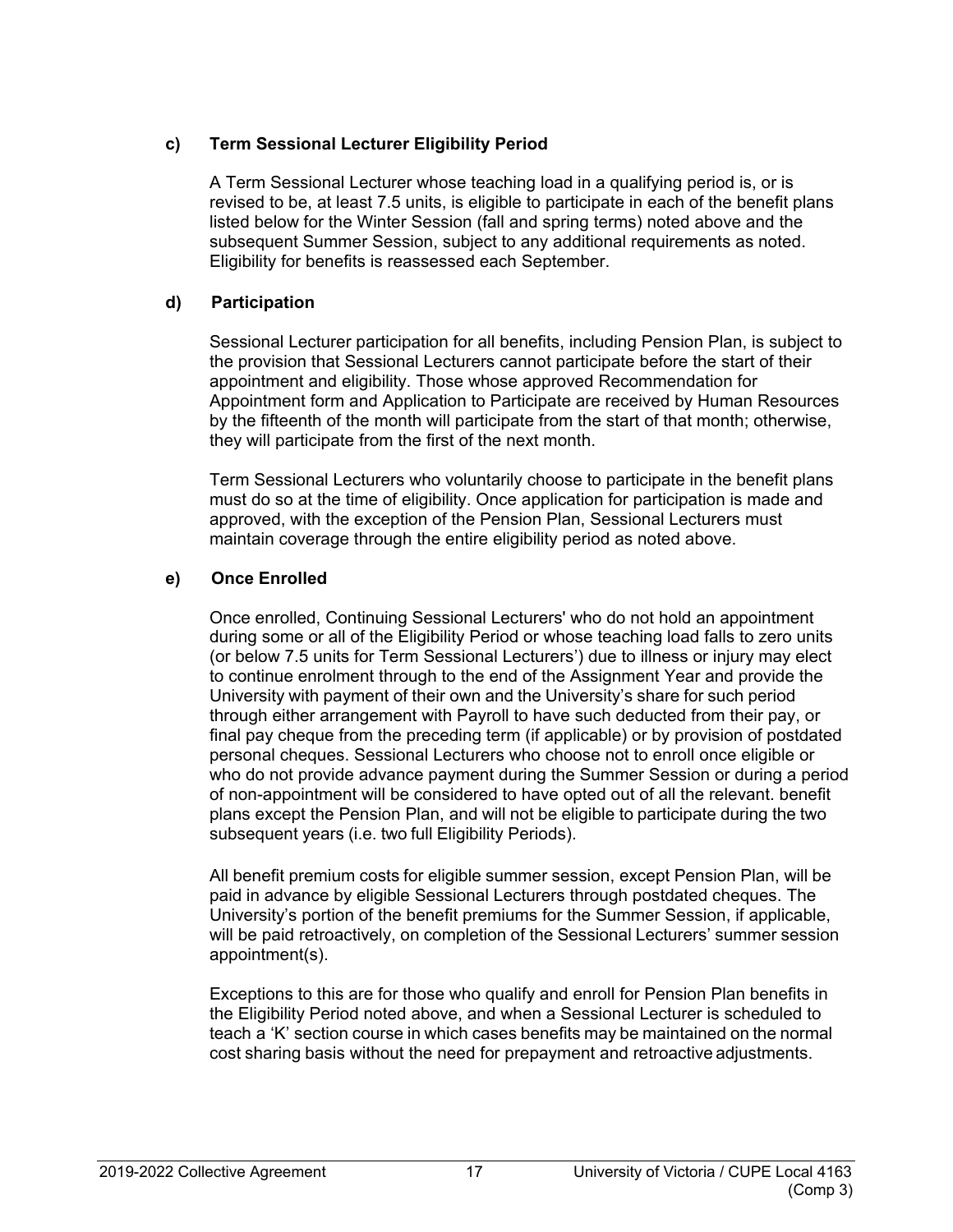## **c) Term Sessional Lecturer Eligibility Period**

A Term Sessional Lecturer whose teaching load in a qualifying period is, or is revised to be, at least 7.5 units, is eligible to participate in each of the benefit plans listed below for the Winter Session (fall and spring terms) noted above and the subsequent Summer Session, subject to any additional requirements as noted. Eligibility for benefits is reassessed each September.

## **d) Participation**

Sessional Lecturer participation for all benefits, including Pension Plan, is subject to the provision that Sessional Lecturers cannot participate before the start of their appointment and eligibility. Those whose approved Recommendation for Appointment form and Application to Participate are received by Human Resources by the fifteenth of the month will participate from the start of that month; otherwise, they will participate from the first of the next month.

Term Sessional Lecturers who voluntarily choose to participate in the benefit plans must do so at the time of eligibility. Once application for participation is made and approved, with the exception of the Pension Plan, Sessional Lecturers must maintain coverage through the entire eligibility period as noted above.

## **e) Once Enrolled**

Once enrolled, Continuing Sessional Lecturers' who do not hold an appointment during some or all of the Eligibility Period or whose teaching load falls to zero units (or below 7.5 units for Term Sessional Lecturers') due to illness or injury may elect to continue enrolment through to the end of the Assignment Year and provide the University with payment of their own and the University's share for such period through either arrangement with Payroll to have such deducted from their pay, or final pay cheque from the preceding term (if applicable) or by provision of postdated personal cheques. Sessional Lecturers who choose not to enroll once eligible or who do not provide advance payment during the Summer Session or during a period of non-appointment will be considered to have opted out of all the relevant. benefit plans except the Pension Plan, and will not be eligible to participate during the two subsequent years (i.e. two full Eligibility Periods).

All benefit premium costs for eligible summer session, except Pension Plan, will be paid in advance by eligible Sessional Lecturers through postdated cheques. The University's portion of the benefit premiums for the Summer Session, if applicable, will be paid retroactively, on completion of the Sessional Lecturers' summer session appointment(s).

Exceptions to this are for those who qualify and enroll for Pension Plan benefits in the Eligibility Period noted above, and when a Sessional Lecturer is scheduled to teach a 'K' section course in which cases benefits may be maintained on the normal cost sharing basis without the need for prepayment and retroactive adjustments.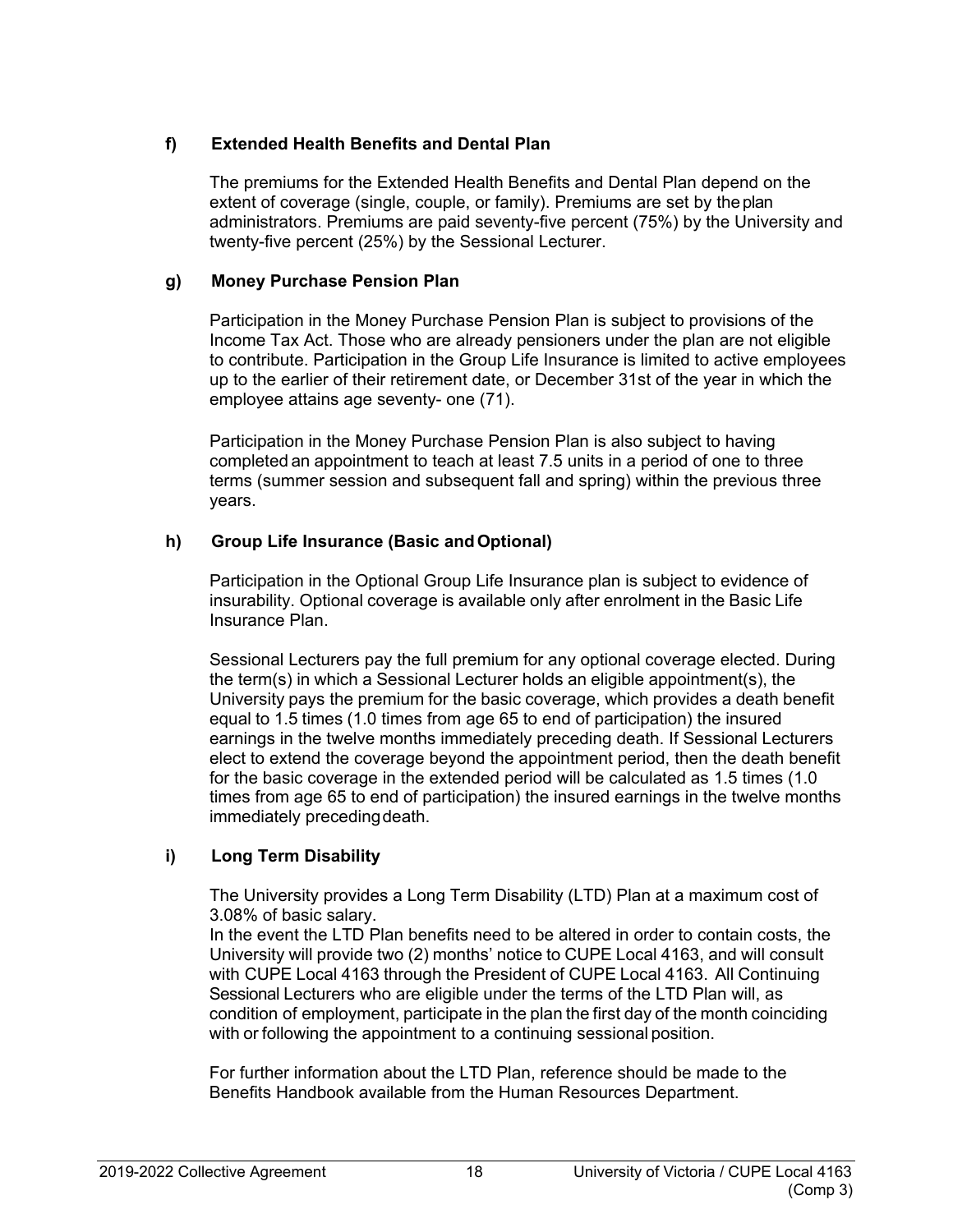## **f) Extended Health Benefits and Dental Plan**

The premiums for the Extended Health Benefits and Dental Plan depend on the extent of coverage (single, couple, or family). Premiums are set by theplan administrators. Premiums are paid seventy-five percent (75%) by the University and twenty-five percent (25%) by the Sessional Lecturer.

#### **g) Money Purchase Pension Plan**

Participation in the Money Purchase Pension Plan is subject to provisions of the Income Tax Act. Those who are already pensioners under the plan are not eligible to contribute. Participation in the Group Life Insurance is limited to active employees up to the earlier of their retirement date, or December 31st of the year in which the employee attains age seventy- one (71).

Participation in the Money Purchase Pension Plan is also subject to having completed an appointment to teach at least 7.5 units in a period of one to three terms (summer session and subsequent fall and spring) within the previous three years.

#### **h) Group Life Insurance (Basic andOptional)**

Participation in the Optional Group Life Insurance plan is subject to evidence of insurability. Optional coverage is available only after enrolment in the Basic Life Insurance Plan.

Sessional Lecturers pay the full premium for any optional coverage elected. During the term(s) in which a Sessional Lecturer holds an eligible appointment(s), the University pays the premium for the basic coverage, which provides a death benefit equal to 1.5 times (1.0 times from age 65 to end of participation) the insured earnings in the twelve months immediately preceding death. If Sessional Lecturers elect to extend the coverage beyond the appointment period, then the death benefit for the basic coverage in the extended period will be calculated as 1.5 times (1.0 times from age 65 to end of participation) the insured earnings in the twelve months immediately preceding death.

## **i) Long Term Disability**

The University provides a Long Term Disability (LTD) Plan at a maximum cost of 3.08% of basic salary.

In the event the LTD Plan benefits need to be altered in order to contain costs, the University will provide two (2) months' notice to CUPE Local 4163, and will consult with CUPE Local 4163 through the President of CUPE Local 4163. All Continuing Sessional Lecturers who are eligible under the terms of the LTD Plan will, as condition of employment, participate in the plan the first day of the month coinciding with or following the appointment to a continuing sessional position.

For further information about the LTD Plan, reference should be made to the Benefits Handbook available from the Human Resources Department.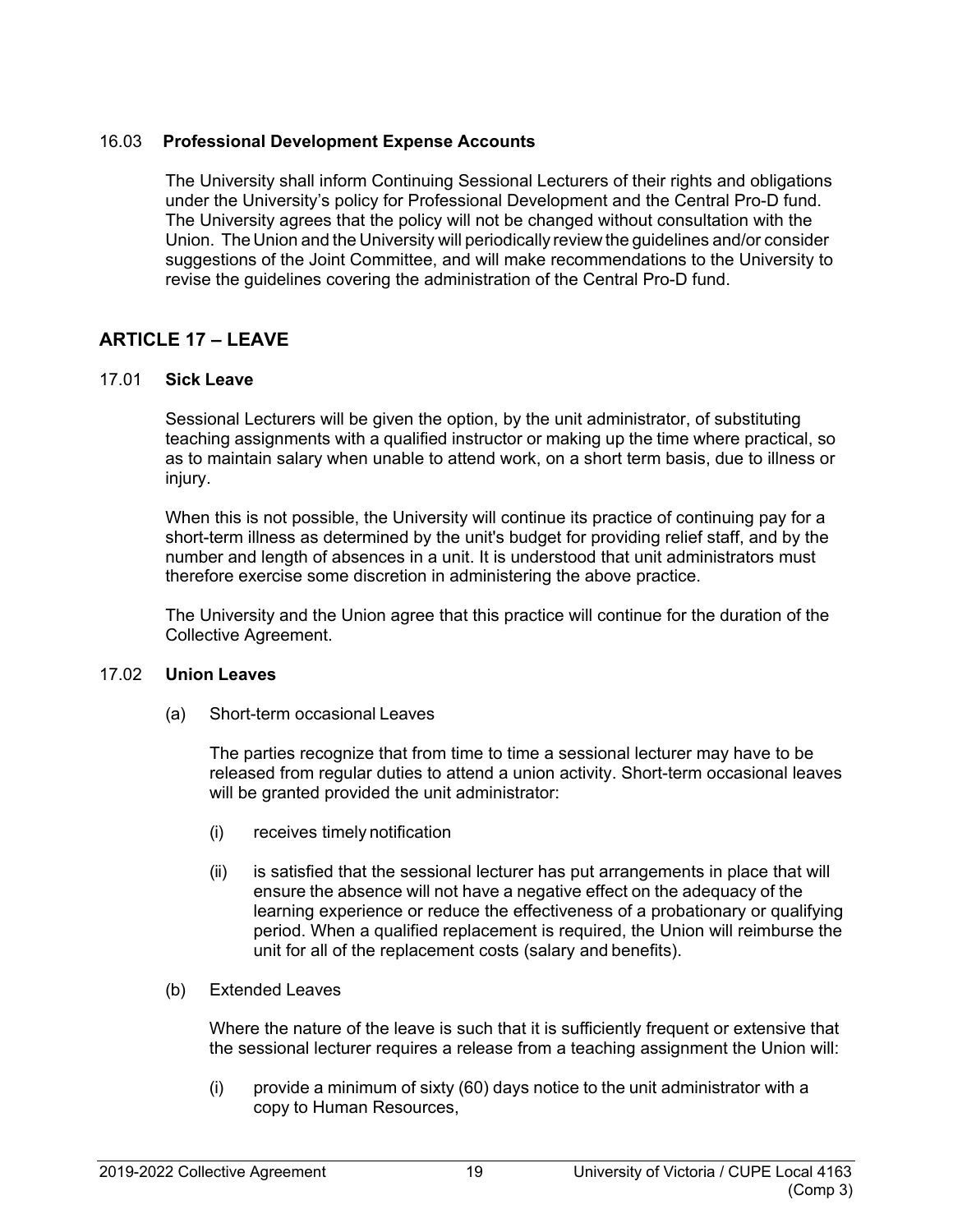#### <span id="page-24-0"></span>16.03 **Professional Development Expense Accounts**

The University shall inform Continuing Sessional Lecturers of their rights and obligations under the University's policy for Professional Development and the Central Pro-D fund. The University agrees that the policy will not be changed without consultation with the Union. The Union and the University will periodically review the guidelines and/or consider suggestions of the Joint Committee, and will make recommendations to the University to revise the guidelines covering the administration of the Central Pro-D fund.

# <span id="page-24-1"></span>**ARTICLE 17 – LEAVE**

#### <span id="page-24-2"></span>17.01 **Sick Leave**

Sessional Lecturers will be given the option, by the unit administrator, of substituting teaching assignments with a qualified instructor or making up the time where practical, so as to maintain salary when unable to attend work, on a short term basis, due to illness or injury.

When this is not possible, the University will continue its practice of continuing pay for a short-term illness as determined by the unit's budget for providing relief staff, and by the number and length of absences in a unit. It is understood that unit administrators must therefore exercise some discretion in administering the above practice.

The University and the Union agree that this practice will continue for the duration of the Collective Agreement.

#### <span id="page-24-3"></span>17.02 **Union Leaves**

(a) Short-term occasional Leaves

The parties recognize that from time to time a sessional lecturer may have to be released from regular duties to attend a union activity. Short-term occasional leaves will be granted provided the unit administrator:

- (i) receives timely notification
- (ii) is satisfied that the sessional lecturer has put arrangements in place that will ensure the absence will not have a negative effect on the adequacy of the learning experience or reduce the effectiveness of a probationary or qualifying period. When a qualified replacement is required, the Union will reimburse the unit for all of the replacement costs (salary and benefits).
- (b) Extended Leaves

Where the nature of the leave is such that it is sufficiently frequent or extensive that the sessional lecturer requires a release from a teaching assignment the Union will:

(i) provide a minimum of sixty (60) days notice to the unit administrator with a copy to Human Resources,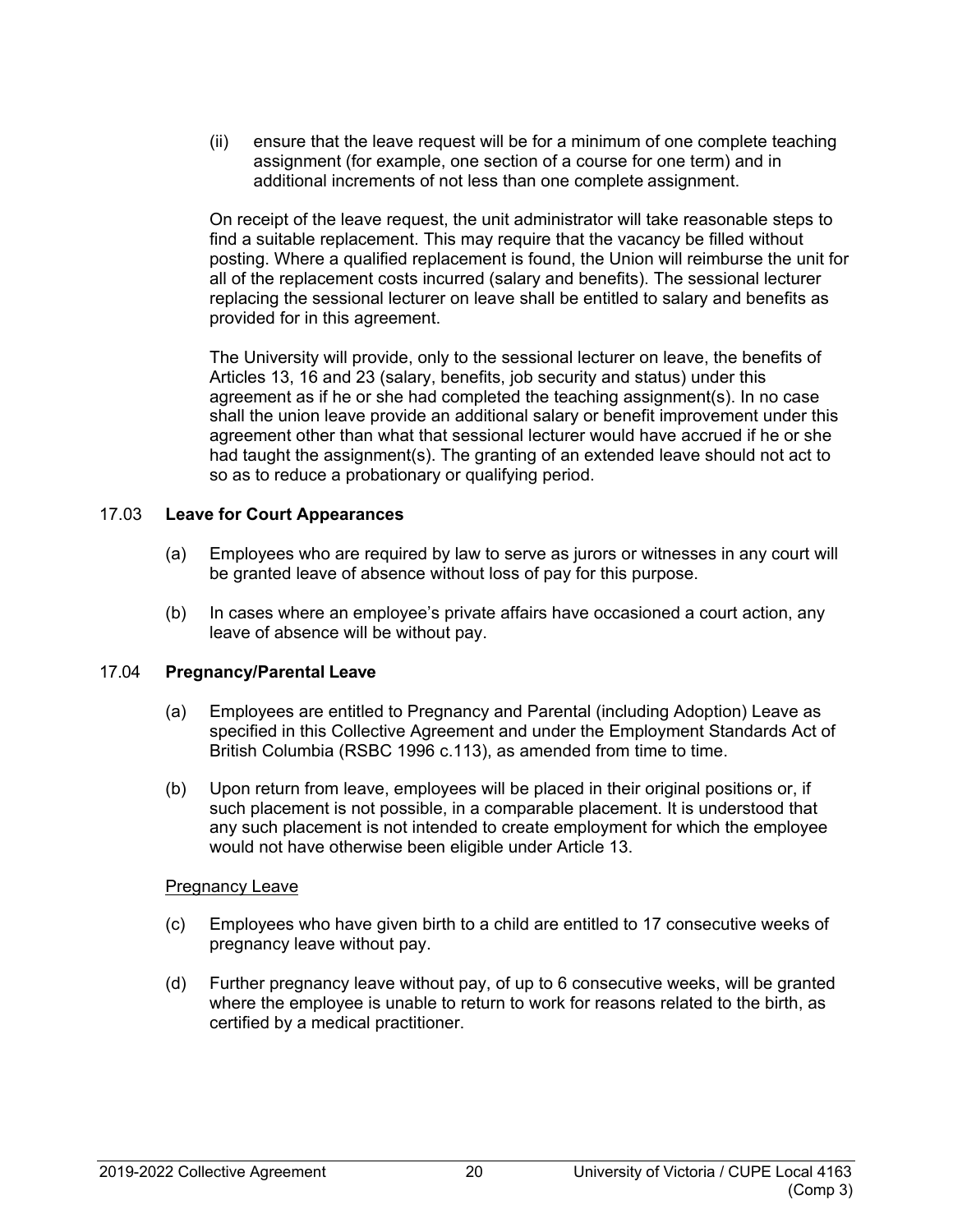(ii) ensure that the leave request will be for a minimum of one complete teaching assignment (for example, one section of a course for one term) and in additional increments of not less than one complete assignment.

On receipt of the leave request, the unit administrator will take reasonable steps to find a suitable replacement. This may require that the vacancy be filled without posting. Where a qualified replacement is found, the Union will reimburse the unit for all of the replacement costs incurred (salary and benefits). The sessional lecturer replacing the sessional lecturer on leave shall be entitled to salary and benefits as provided for in this agreement.

The University will provide, only to the sessional lecturer on leave, the benefits of Articles 13, 16 and 23 (salary, benefits, job security and status) under this agreement as if he or she had completed the teaching assignment(s). In no case shall the union leave provide an additional salary or benefit improvement under this agreement other than what that sessional lecturer would have accrued if he or she had taught the assignment(s). The granting of an extended leave should not act to so as to reduce a probationary or qualifying period.

#### <span id="page-25-0"></span>17.03 **Leave for Court Appearances**

- (a) Employees who are required by law to serve as jurors or witnesses in any court will be granted leave of absence without loss of pay for this purpose.
- (b) In cases where an employee's private affairs have occasioned a court action, any leave of absence will be without pay.

#### <span id="page-25-1"></span>17.04 **Pregnancy/Parental Leave**

- (a) Employees are entitled to Pregnancy and Parental (including Adoption) Leave as specified in this Collective Agreement and under the Employment Standards Act of British Columbia (RSBC 1996 c.113), as amended from time to time.
- (b) Upon return from leave, employees will be placed in their original positions or, if such placement is not possible, in a comparable placement. It is understood that any such placement is not intended to create employment for which the employee would not have otherwise been eligible under Article 13.

#### Pregnancy Leave

- (c) Employees who have given birth to a child are entitled to 17 consecutive weeks of pregnancy leave without pay.
- (d) Further pregnancy leave without pay, of up to 6 consecutive weeks, will be granted where the employee is unable to return to work for reasons related to the birth, as certified by a medical practitioner.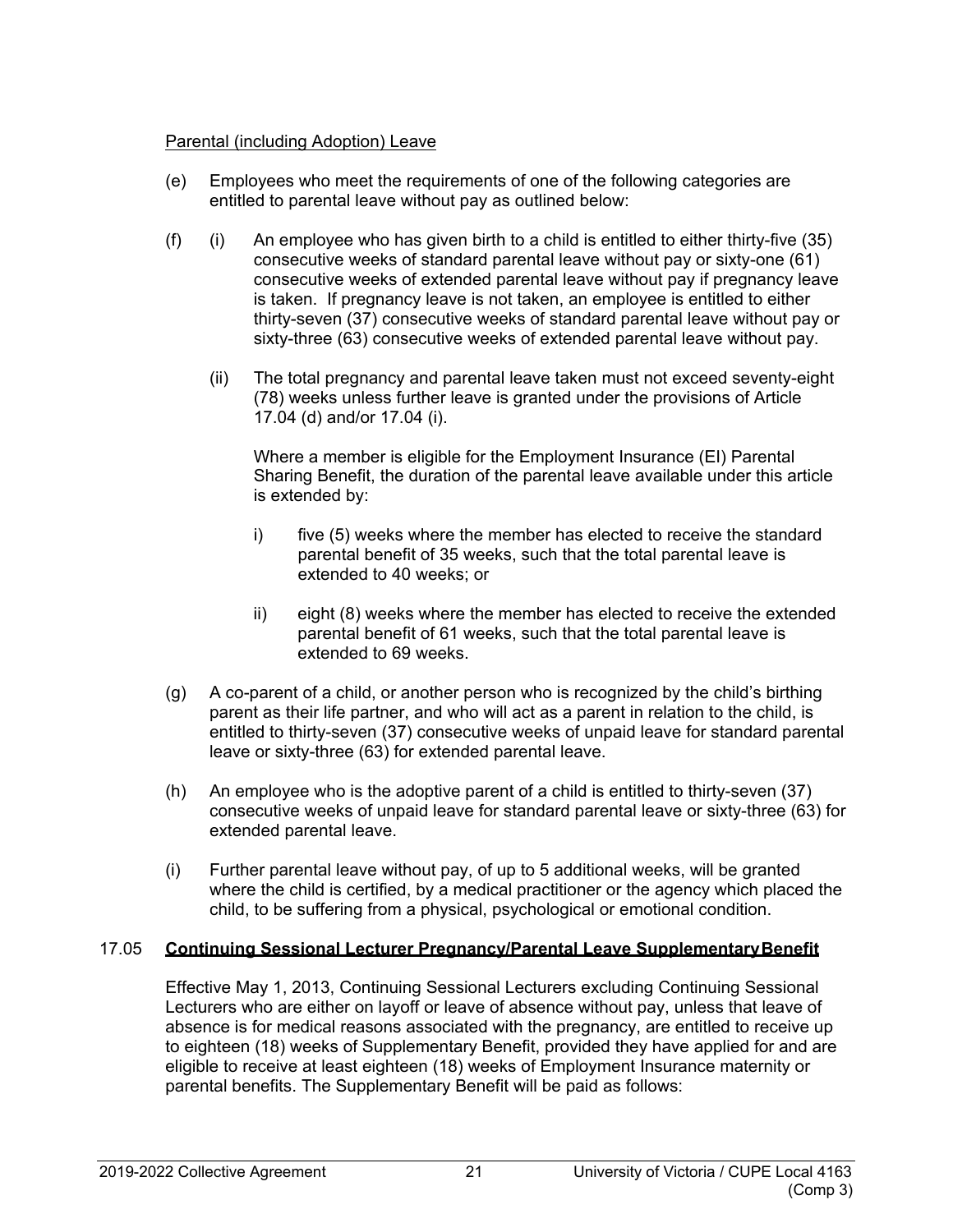#### Parental (including Adoption) Leave

- (e) Employees who meet the requirements of one of the following categories are entitled to parental leave without pay as outlined below:
- (f) (i) An employee who has given birth to a child is entitled to either thirty-five  $(35)$ consecutive weeks of standard parental leave without pay or sixty-one (61) consecutive weeks of extended parental leave without pay if pregnancy leave is taken. If pregnancy leave is not taken, an employee is entitled to either thirty-seven (37) consecutive weeks of standard parental leave without pay or sixty-three (63) consecutive weeks of extended parental leave without pay.
	- (ii) The total pregnancy and parental leave taken must not exceed seventy-eight (78) weeks unless further leave is granted under the provisions of Article 17.04 (d) and/or 17.04 (i).

Where a member is eligible for the Employment Insurance (EI) Parental Sharing Benefit, the duration of the parental leave available under this article is extended by:

- i) five (5) weeks where the member has elected to receive the standard parental benefit of 35 weeks, such that the total parental leave is extended to 40 weeks; or
- ii) eight (8) weeks where the member has elected to receive the extended parental benefit of 61 weeks, such that the total parental leave is extended to 69 weeks.
- (g) A co-parent of a child, or another person who is recognized by the child's birthing parent as their life partner, and who will act as a parent in relation to the child, is entitled to thirty-seven (37) consecutive weeks of unpaid leave for standard parental leave or sixty-three (63) for extended parental leave.
- (h) An employee who is the adoptive parent of a child is entitled to thirty-seven (37) consecutive weeks of unpaid leave for standard parental leave or sixty-three (63) for extended parental leave.
- (i) Further parental leave without pay, of up to 5 additional weeks, will be granted where the child is certified, by a medical practitioner or the agency which placed the child, to be suffering from a physical, psychological or emotional condition.

## <span id="page-26-0"></span>17.05 **Continuing Sessional Lecturer Pregnancy/Parental Leave SupplementaryBenefit**

Effective May 1, 2013, Continuing Sessional Lecturers excluding Continuing Sessional Lecturers who are either on layoff or leave of absence without pay, unless that leave of absence is for medical reasons associated with the pregnancy, are entitled to receive up to eighteen (18) weeks of Supplementary Benefit, provided they have applied for and are eligible to receive at least eighteen (18) weeks of Employment Insurance maternity or parental benefits. The Supplementary Benefit will be paid as follows: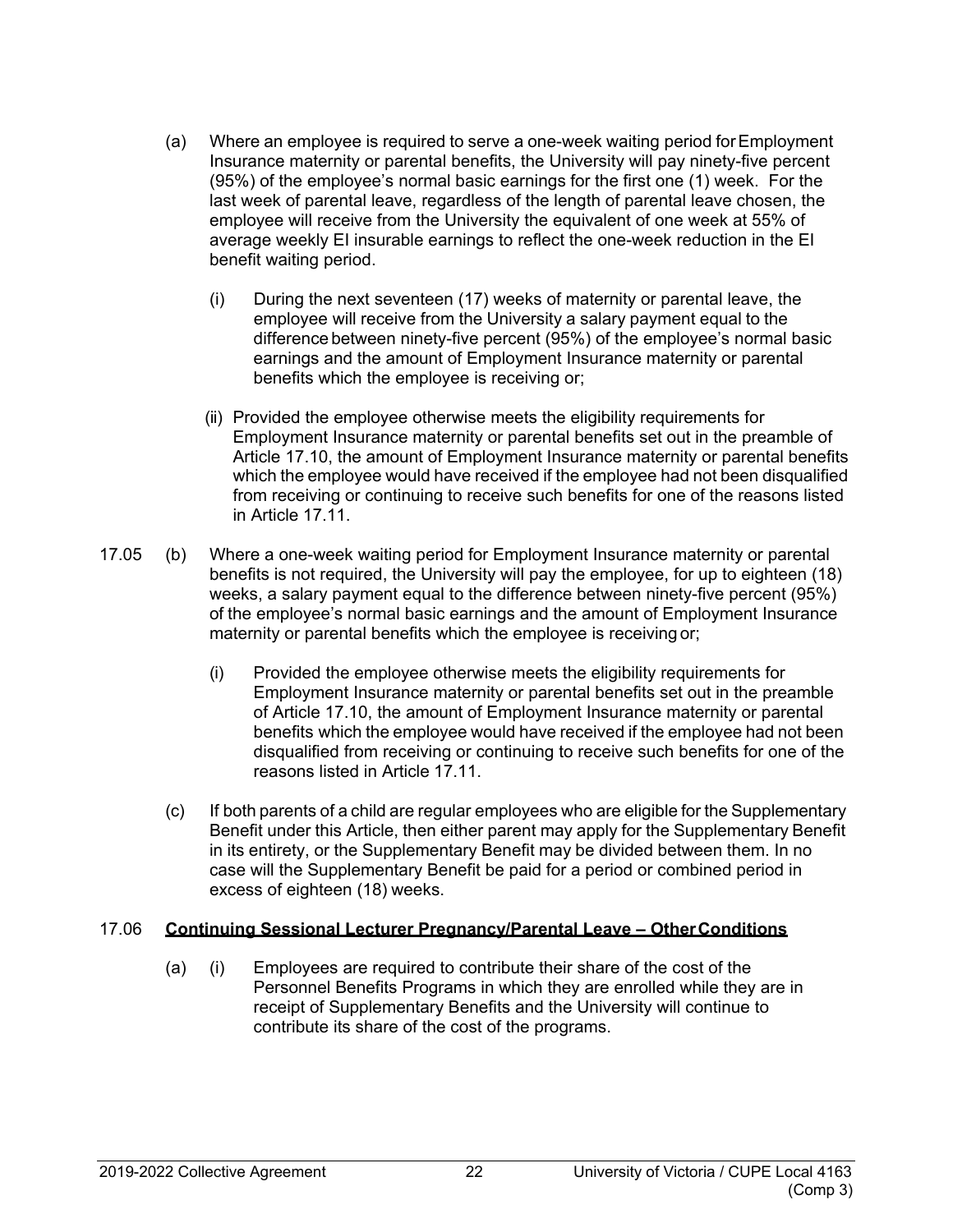- (a) Where an employee is required to serve a one-week waiting period forEmployment Insurance maternity or parental benefits, the University will pay ninety-five percent (95%) of the employee's normal basic earnings for the first one (1) week. For the last week of parental leave, regardless of the length of parental leave chosen, the employee will receive from the University the equivalent of one week at 55% of average weekly EI insurable earnings to reflect the one-week reduction in the EI benefit waiting period.
	- (i) During the next seventeen (17) weeks of maternity or parental leave, the employee will receive from the University a salary payment equal to the difference between ninety-five percent (95%) of the employee's normal basic earnings and the amount of Employment Insurance maternity or parental benefits which the employee is receiving or;
	- (ii) Provided the employee otherwise meets the eligibility requirements for Employment Insurance maternity or parental benefits set out in the preamble of Article 17.10, the amount of Employment Insurance maternity or parental benefits which the employee would have received if the employee had not been disqualified from receiving or continuing to receive such benefits for one of the reasons listed in Article 17.11.
- 17.05 (b) Where a one-week waiting period for Employment Insurance maternity or parental benefits is not required, the University will pay the employee, for up to eighteen (18) weeks, a salary payment equal to the difference between ninety-five percent (95%) of the employee's normal basic earnings and the amount of Employment Insurance maternity or parental benefits which the employee is receiving or;
	- (i) Provided the employee otherwise meets the eligibility requirements for Employment Insurance maternity or parental benefits set out in the preamble of Article 17.10, the amount of Employment Insurance maternity or parental benefits which the employee would have received if the employee had not been disqualified from receiving or continuing to receive such benefits for one of the reasons listed in Article 17.11.
	- (c) If both parents of a child are regular employees who are eligible for the Supplementary Benefit under this Article, then either parent may apply for the Supplementary Benefit in its entirety, or the Supplementary Benefit may be divided between them. In no case will the Supplementary Benefit be paid for a period or combined period in excess of eighteen (18) weeks.

## <span id="page-27-0"></span>17.06 **Continuing Sessional Lecturer Pregnancy/Parental Leave – OtherConditions**

(a) (i) Employees are required to contribute their share of the cost of the Personnel Benefits Programs in which they are enrolled while they are in receipt of Supplementary Benefits and the University will continue to contribute its share of the cost of the programs.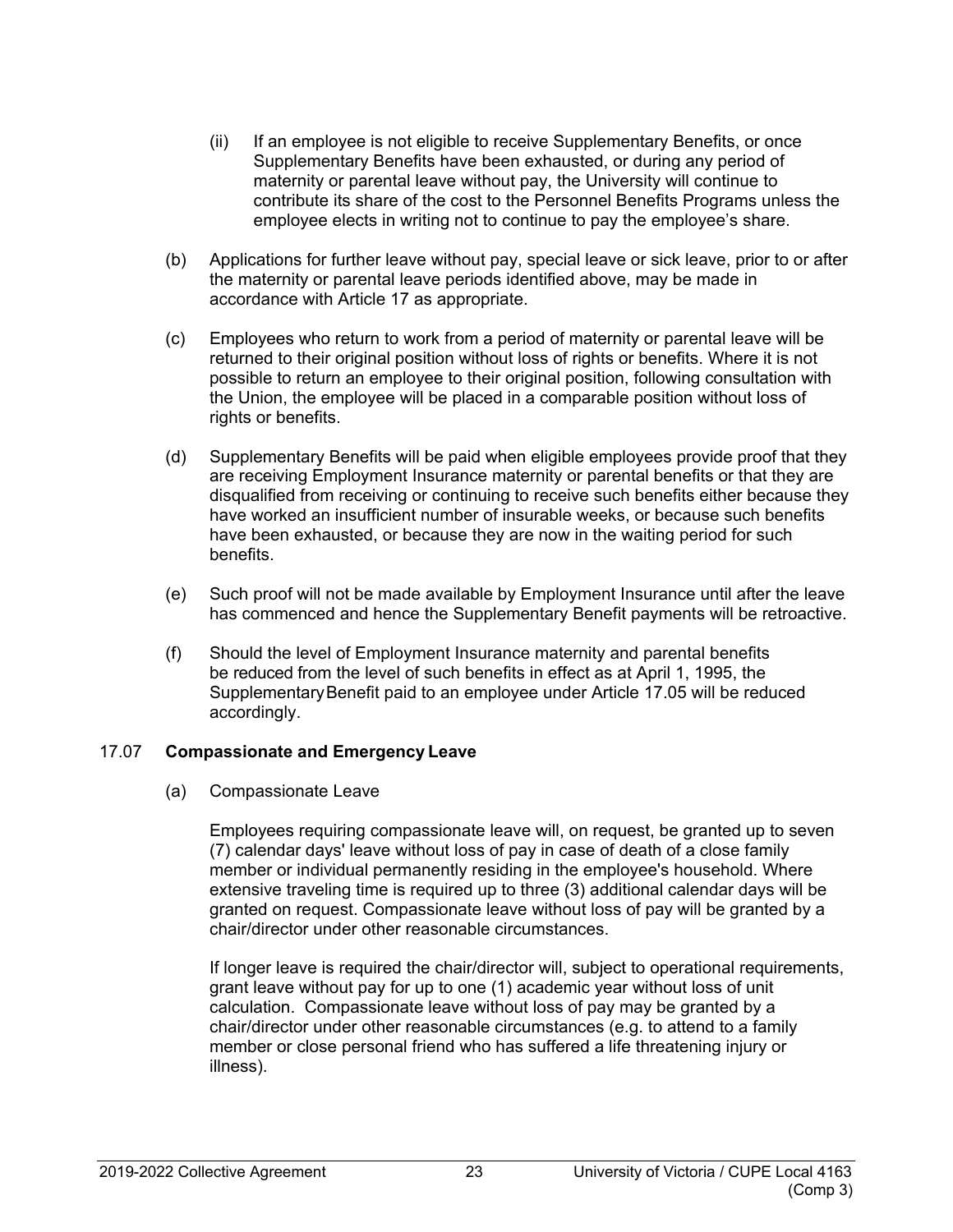- (ii) If an employee is not eligible to receive Supplementary Benefits, or once Supplementary Benefits have been exhausted, or during any period of maternity or parental leave without pay, the University will continue to contribute its share of the cost to the Personnel Benefits Programs unless the employee elects in writing not to continue to pay the employee's share.
- (b) Applications for further leave without pay, special leave or sick leave, prior to or after the maternity or parental leave periods identified above, may be made in accordance with Article 17 as appropriate.
- (c) Employees who return to work from a period of maternity or parental leave will be returned to their original position without loss of rights or benefits. Where it is not possible to return an employee to their original position, following consultation with the Union, the employee will be placed in a comparable position without loss of rights or benefits.
- (d) Supplementary Benefits will be paid when eligible employees provide proof that they are receiving Employment Insurance maternity or parental benefits or that they are disqualified from receiving or continuing to receive such benefits either because they have worked an insufficient number of insurable weeks, or because such benefits have been exhausted, or because they are now in the waiting period for such benefits.
- (e) Such proof will not be made available by Employment Insurance until after the leave has commenced and hence the Supplementary Benefit payments will be retroactive.
- (f) Should the level of Employment Insurance maternity and parental benefits be reduced from the level of such benefits in effect as at April 1, 1995, the SupplementaryBenefit paid to an employee under Article 17.05 will be reduced accordingly.

#### <span id="page-28-0"></span>17.07 **Compassionate and Emergency Leave**

(a) Compassionate Leave

Employees requiring compassionate leave will, on request, be granted up to seven (7) calendar days' leave without loss of pay in case of death of a close family member or individual permanently residing in the employee's household. Where extensive traveling time is required up to three (3) additional calendar days will be granted on request. Compassionate leave without loss of pay will be granted by a chair/director under other reasonable circumstances.

If longer leave is required the chair/director will, subject to operational requirements, grant leave without pay for up to one (1) academic year without loss of unit calculation. Compassionate leave without loss of pay may be granted by a chair/director under other reasonable circumstances (e.g. to attend to a family member or close personal friend who has suffered a life threatening injury or illness).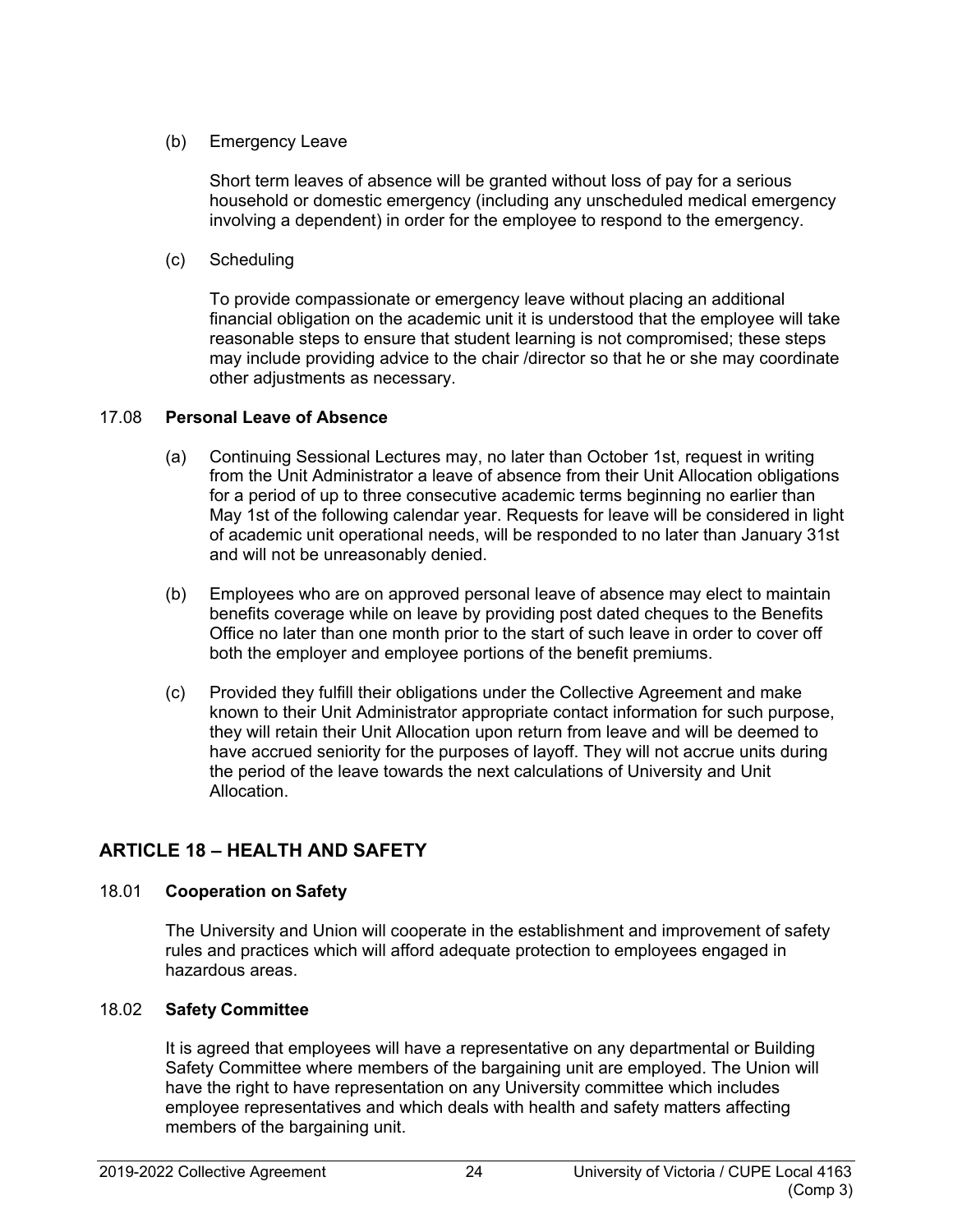## (b) Emergency Leave

Short term leaves of absence will be granted without loss of pay for a serious household or domestic emergency (including any unscheduled medical emergency involving a dependent) in order for the employee to respond to the emergency.

(c) Scheduling

To provide compassionate or emergency leave without placing an additional financial obligation on the academic unit it is understood that the employee will take reasonable steps to ensure that student learning is not compromised; these steps may include providing advice to the chair /director so that he or she may coordinate other adjustments as necessary.

## <span id="page-29-0"></span>17.08 **Personal Leave of Absence**

- (a) Continuing Sessional Lectures may, no later than October 1st, request in writing from the Unit Administrator a leave of absence from their Unit Allocation obligations for a period of up to three consecutive academic terms beginning no earlier than May 1st of the following calendar year. Requests for leave will be considered in light of academic unit operational needs, will be responded to no later than January 31st and will not be unreasonably denied.
- (b) Employees who are on approved personal leave of absence may elect to maintain benefits coverage while on leave by providing post dated cheques to the Benefits Office no later than one month prior to the start of such leave in order to cover off both the employer and employee portions of the benefit premiums.
- (c) Provided they fulfill their obligations under the Collective Agreement and make known to their Unit Administrator appropriate contact information for such purpose, they will retain their Unit Allocation upon return from leave and will be deemed to have accrued seniority for the purposes of layoff. They will not accrue units during the period of the leave towards the next calculations of University and Unit Allocation.

# <span id="page-29-1"></span>**ARTICLE 18 – HEALTH AND SAFETY**

# <span id="page-29-2"></span>18.01 **Cooperation on Safety**

The University and Union will cooperate in the establishment and improvement of safety rules and practices which will afford adequate protection to employees engaged in hazardous areas.

# <span id="page-29-3"></span>18.02 **Safety Committee**

It is agreed that employees will have a representative on any departmental or Building Safety Committee where members of the bargaining unit are employed. The Union will have the right to have representation on any University committee which includes employee representatives and which deals with health and safety matters affecting members of the bargaining unit.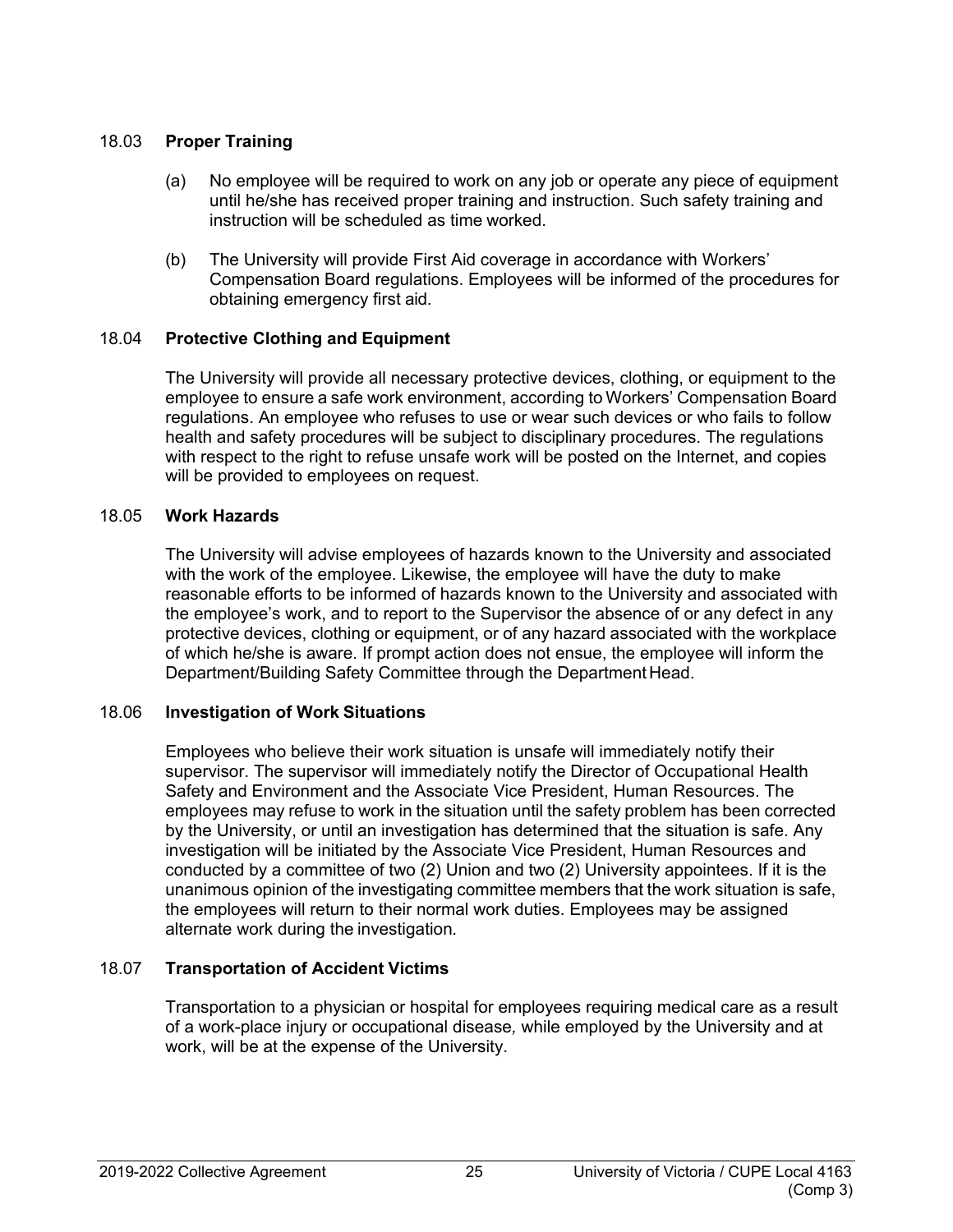#### <span id="page-30-0"></span>18.03 **Proper Training**

- (a) No employee will be required to work on any job or operate any piece of equipment until he/she has received proper training and instruction. Such safety training and instruction will be scheduled as time worked.
- (b) The University will provide First Aid coverage in accordance with Workers' Compensation Board regulations. Employees will be informed of the procedures for obtaining emergency first aid.

## <span id="page-30-1"></span>18.04 **Protective Clothing and Equipment**

The University will provide all necessary protective devices, clothing, or equipment to the employee to ensure a safe work environment, according to Workers' Compensation Board regulations. An employee who refuses to use or wear such devices or who fails to follow health and safety procedures will be subject to disciplinary procedures. The regulations with respect to the right to refuse unsafe work will be posted on the Internet, and copies will be provided to employees on request.

## <span id="page-30-2"></span>18.05 **Work Hazards**

The University will advise employees of hazards known to the University and associated with the work of the employee. Likewise, the employee will have the duty to make reasonable efforts to be informed of hazards known to the University and associated with the employee's work, and to report to the Supervisor the absence of or any defect in any protective devices, clothing or equipment, or of any hazard associated with the workplace of which he/she is aware. If prompt action does not ensue, the employee will inform the Department/Building Safety Committee through the Department Head.

## <span id="page-30-3"></span>18.06 **Investigation of Work Situations**

Employees who believe their work situation is unsafe will immediately notify their supervisor. The supervisor will immediately notify the Director of Occupational Health Safety and Environment and the Associate Vice President, Human Resources. The employees may refuse to work in the situation until the safety problem has been corrected by the University, or until an investigation has determined that the situation is safe. Any investigation will be initiated by the Associate Vice President, Human Resources and conducted by a committee of two (2) Union and two (2) University appointees. If it is the unanimous opinion of the investigating committee members that the work situation is safe, the employees will return to their normal work duties. Employees may be assigned alternate work during the investigation*.*

# <span id="page-30-4"></span>18.07 **Transportation of Accident Victims**

Transportation to a physician or hospital for employees requiring medical care as a result of a work-place injury or occupational disease*,* while employed by the University and at work, will be at the expense of the University.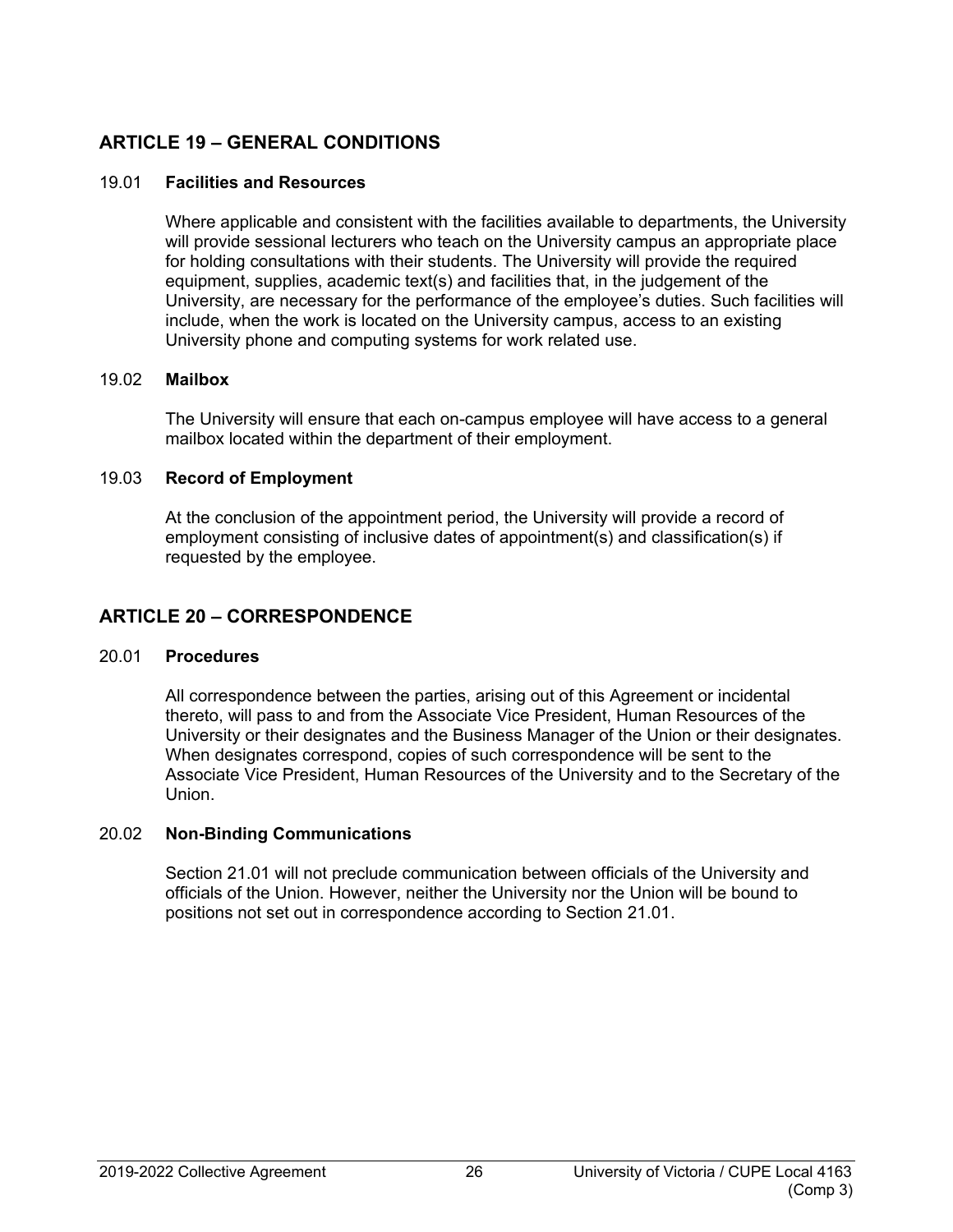# <span id="page-31-0"></span>**ARTICLE 19 – GENERAL CONDITIONS**

## <span id="page-31-1"></span>19.01 **Facilities and Resources**

Where applicable and consistent with the facilities available to departments, the University will provide sessional lecturers who teach on the University campus an appropriate place for holding consultations with their students. The University will provide the required equipment, supplies, academic text(s) and facilities that, in the judgement of the University, are necessary for the performance of the employee's duties. Such facilities will include, when the work is located on the University campus, access to an existing University phone and computing systems for work related use.

## <span id="page-31-2"></span>19.02 **Mailbox**

The University will ensure that each on-campus employee will have access to a general mailbox located within the department of their employment.

## <span id="page-31-3"></span>19.03 **Record of Employment**

At the conclusion of the appointment period, the University will provide a record of employment consisting of inclusive dates of appointment(s) and classification(s) if requested by the employee.

# <span id="page-31-4"></span>**ARTICLE 20 – CORRESPONDENCE**

## <span id="page-31-5"></span>20.01 **Procedures**

All correspondence between the parties, arising out of this Agreement or incidental thereto, will pass to and from the Associate Vice President, Human Resources of the University or their designates and the Business Manager of the Union or their designates. When designates correspond, copies of such correspondence will be sent to the Associate Vice President, Human Resources of the University and to the Secretary of the Union.

# <span id="page-31-6"></span>20.02 **Non-Binding Communications**

Section 21.01 will not preclude communication between officials of the University and officials of the Union. However, neither the University nor the Union will be bound to positions not set out in correspondence according to Section 21.01.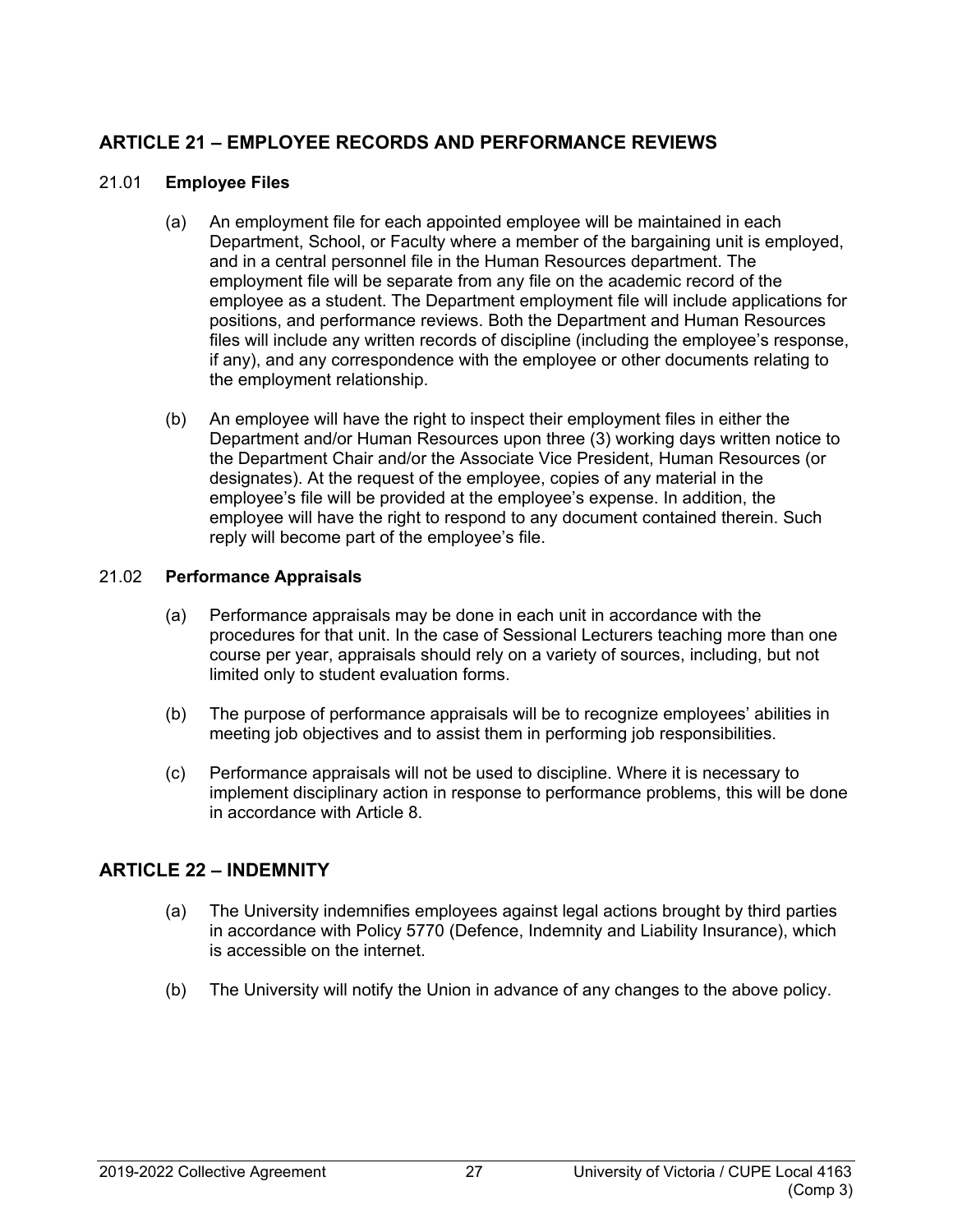# <span id="page-32-0"></span>**ARTICLE 21 – EMPLOYEE RECORDS AND PERFORMANCE REVIEWS**

## <span id="page-32-1"></span>21.01 **Employee Files**

- (a) An employment file for each appointed employee will be maintained in each Department, School, or Faculty where a member of the bargaining unit is employed, and in a central personnel file in the Human Resources department. The employment file will be separate from any file on the academic record of the employee as a student. The Department employment file will include applications for positions, and performance reviews. Both the Department and Human Resources files will include any written records of discipline (including the employee's response, if any), and any correspondence with the employee or other documents relating to the employment relationship.
- (b) An employee will have the right to inspect their employment files in either the Department and/or Human Resources upon three (3) working days written notice to the Department Chair and/or the Associate Vice President, Human Resources (or designates). At the request of the employee, copies of any material in the employee's file will be provided at the employee's expense. In addition, the employee will have the right to respond to any document contained therein. Such reply will become part of the employee's file.

## <span id="page-32-2"></span>21.02 **Performance Appraisals**

- (a) Performance appraisals may be done in each unit in accordance with the procedures for that unit. In the case of Sessional Lecturers teaching more than one course per year, appraisals should rely on a variety of sources, including, but not limited only to student evaluation forms.
- (b) The purpose of performance appraisals will be to recognize employees' abilities in meeting job objectives and to assist them in performing job responsibilities.
- (c) Performance appraisals will not be used to discipline. Where it is necessary to implement disciplinary action in response to performance problems, this will be done in accordance with Article 8.

# <span id="page-32-3"></span>**ARTICLE 22 – INDEMNITY**

- (a) The University indemnifies employees against legal actions brought by third parties in accordance with Policy 5770 (Defence, Indemnity and Liability Insurance), which is accessible on the internet.
- (b) The University will notify the Union in advance of any changes to the above policy.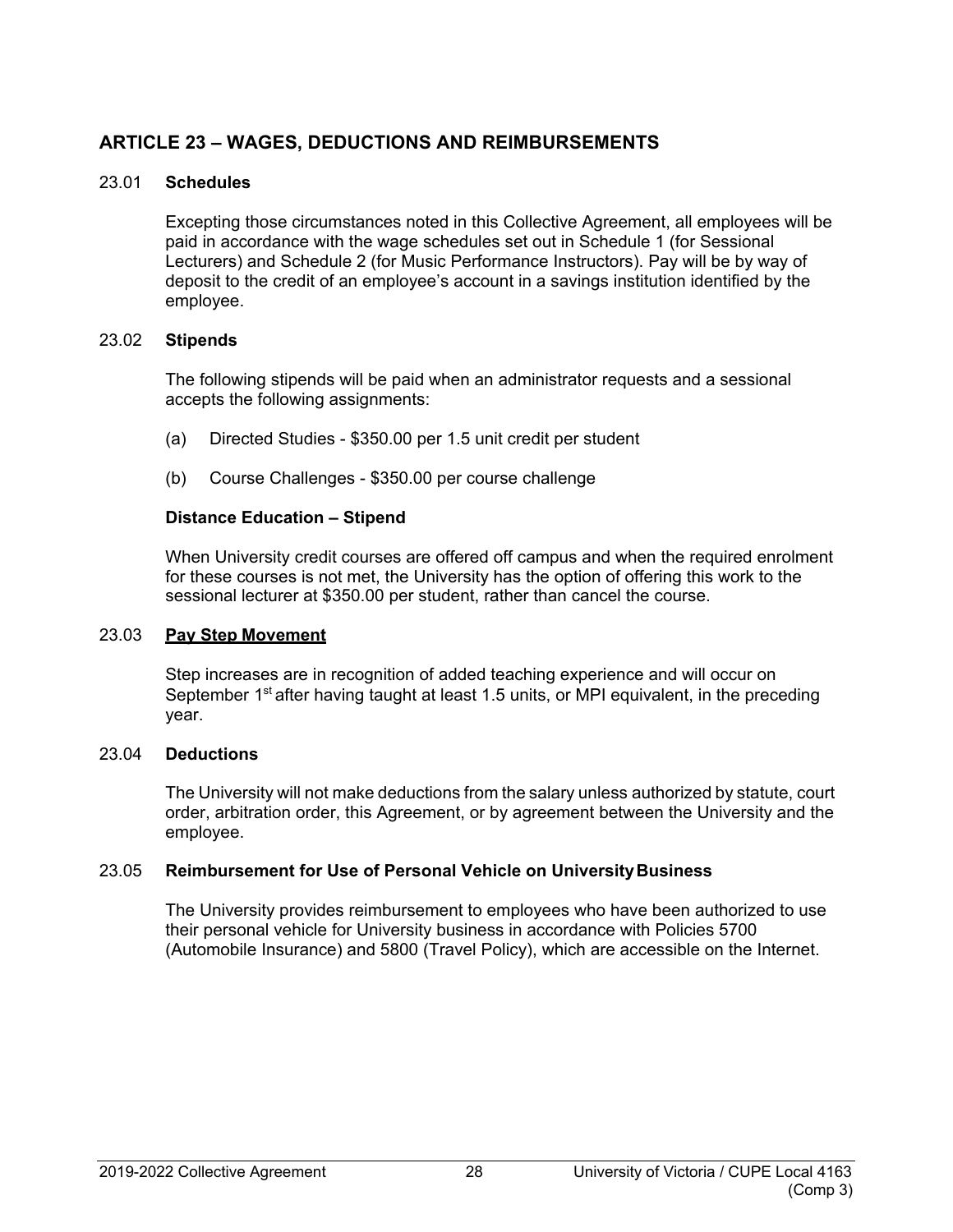# <span id="page-33-0"></span>**ARTICLE 23 – WAGES, DEDUCTIONS AND REIMBURSEMENTS**

## <span id="page-33-1"></span>23.01 **Schedules**

Excepting those circumstances noted in this Collective Agreement, all employees will be paid in accordance with the wage schedules set out in Schedule 1 (for Sessional Lecturers) and Schedule 2 (for Music Performance Instructors). Pay will be by way of deposit to the credit of an employee's account in a savings institution identified by the employee.

#### <span id="page-33-2"></span>23.02 **Stipends**

The following stipends will be paid when an administrator requests and a sessional accepts the following assignments:

- (a) Directed Studies \$350.00 per 1.5 unit credit per student
- (b) Course Challenges \$350.00 per course challenge

## **Distance Education – Stipend**

When University credit courses are offered off campus and when the required enrolment for these courses is not met, the University has the option of offering this work to the sessional lecturer at \$350.00 per student, rather than cancel the course.

#### <span id="page-33-3"></span>23.03 **Pay Step Movement**

Step increases are in recognition of added teaching experience and will occur on September 1<sup>st</sup> after having taught at least 1.5 units, or MPI equivalent, in the preceding year.

#### <span id="page-33-4"></span>23.04 **Deductions**

The University will not make deductions from the salary unless authorized by statute, court order, arbitration order, this Agreement, or by agreement between the University and the employee.

## <span id="page-33-5"></span>23.05 **Reimbursement for Use of Personal Vehicle on UniversityBusiness**

The University provides reimbursement to employees who have been authorized to use their personal vehicle for University business in accordance with Policies 5700 (Automobile Insurance) and 5800 (Travel Policy), which are accessible on the Internet.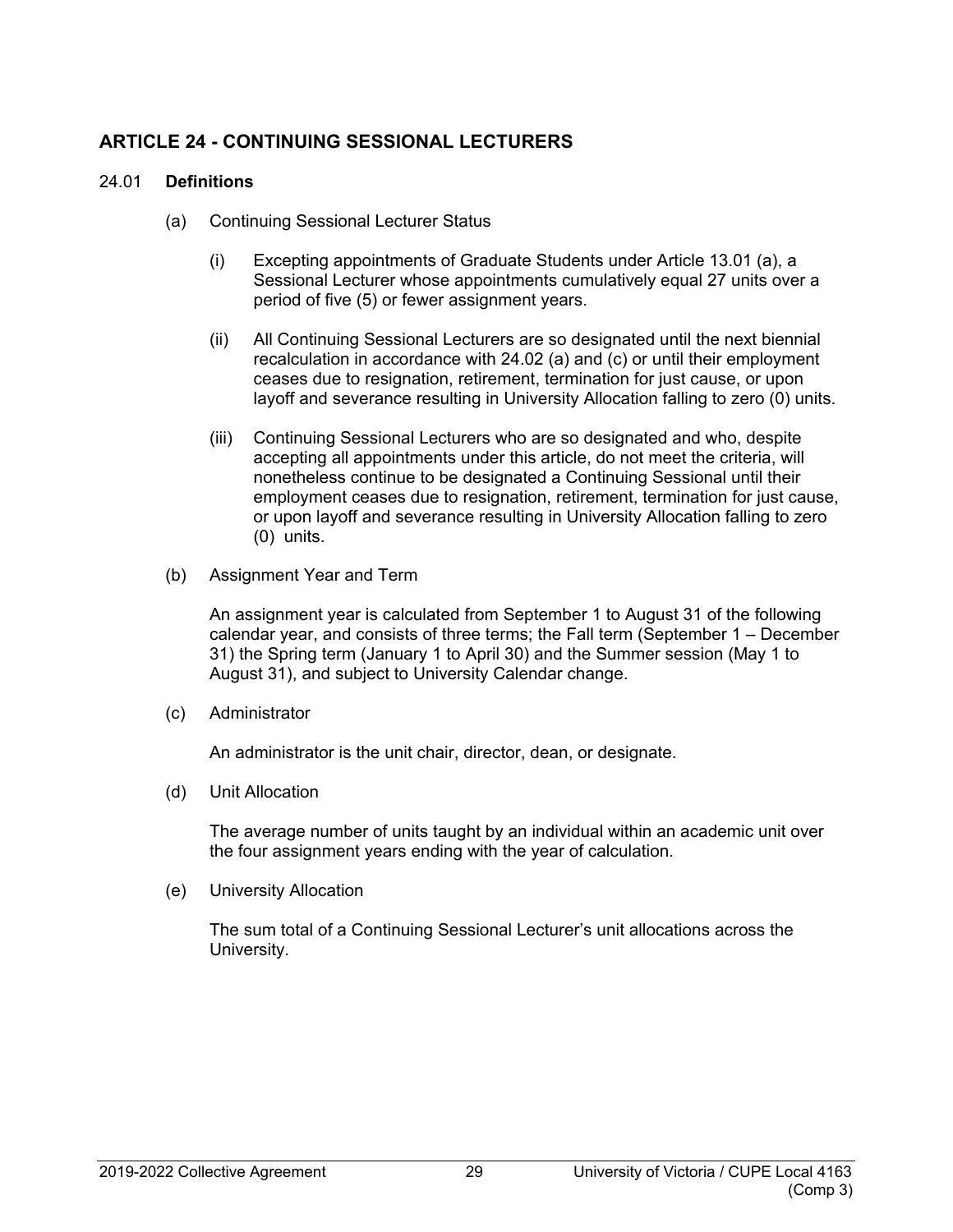# <span id="page-34-0"></span>**ARTICLE 24 - CONTINUING SESSIONAL LECTURERS**

## <span id="page-34-1"></span>24.01 **Definitions**

- (a) Continuing Sessional Lecturer Status
	- (i) Excepting appointments of Graduate Students under Article 13.01 (a), a Sessional Lecturer whose appointments cumulatively equal 27 units over a period of five (5) or fewer assignment years.
	- (ii) All Continuing Sessional Lecturers are so designated until the next biennial recalculation in accordance with 24.02 (a) and (c) or until their employment ceases due to resignation, retirement, termination for just cause, or upon layoff and severance resulting in University Allocation falling to zero (0) units.
	- (iii) Continuing Sessional Lecturers who are so designated and who, despite accepting all appointments under this article, do not meet the criteria, will nonetheless continue to be designated a Continuing Sessional until their employment ceases due to resignation, retirement, termination for just cause, or upon layoff and severance resulting in University Allocation falling to zero (0) units.
- (b) Assignment Year and Term

An assignment year is calculated from September 1 to August 31 of the following calendar year, and consists of three terms; the Fall term (September 1 – December 31) the Spring term (January 1 to April 30) and the Summer session (May 1 to August 31), and subject to University Calendar change.

(c) Administrator

An administrator is the unit chair, director, dean, or designate.

(d) Unit Allocation

The average number of units taught by an individual within an academic unit over the four assignment years ending with the year of calculation.

(e) University Allocation

The sum total of a Continuing Sessional Lecturer's unit allocations across the University.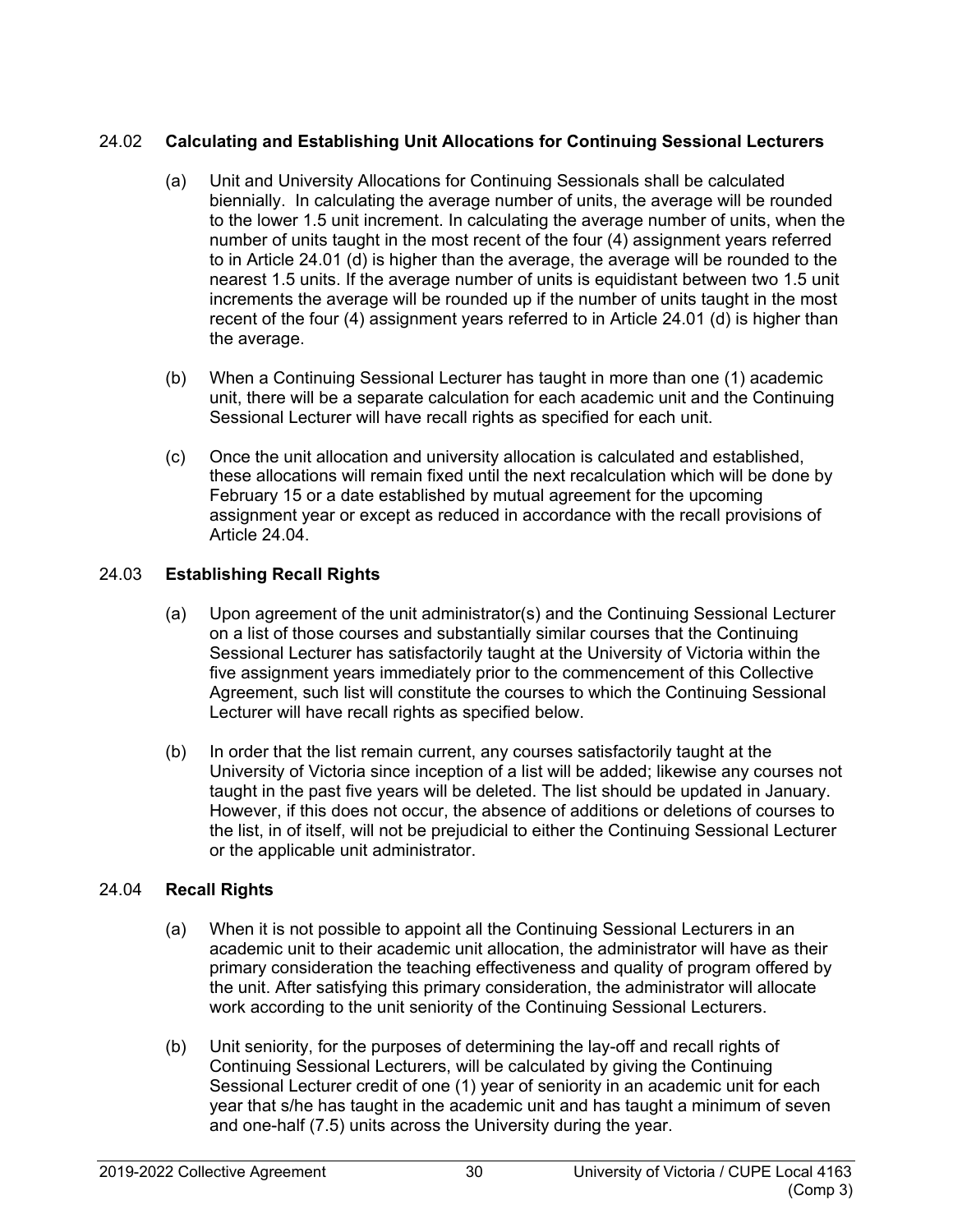## <span id="page-35-0"></span>24.02 **Calculating and Establishing Unit Allocations for Continuing Sessional Lecturers**

- (a) Unit and University Allocations for Continuing Sessionals shall be calculated biennially. In calculating the average number of units, the average will be rounded to the lower 1.5 unit increment. In calculating the average number of units, when the number of units taught in the most recent of the four (4) assignment years referred to in Article 24.01 (d) is higher than the average, the average will be rounded to the nearest 1.5 units. If the average number of units is equidistant between two 1.5 unit increments the average will be rounded up if the number of units taught in the most recent of the four (4) assignment years referred to in Article 24.01 (d) is higher than the average.
- (b) When a Continuing Sessional Lecturer has taught in more than one (1) academic unit, there will be a separate calculation for each academic unit and the Continuing Sessional Lecturer will have recall rights as specified for each unit.
- (c) Once the unit allocation and university allocation is calculated and established, these allocations will remain fixed until the next recalculation which will be done by February 15 or a date established by mutual agreement for the upcoming assignment year or except as reduced in accordance with the recall provisions of Article 24.04.

# <span id="page-35-1"></span>24.03 **Establishing Recall Rights**

- (a) Upon agreement of the unit administrator(s) and the Continuing Sessional Lecturer on a list of those courses and substantially similar courses that the Continuing Sessional Lecturer has satisfactorily taught at the University of Victoria within the five assignment years immediately prior to the commencement of this Collective Agreement, such list will constitute the courses to which the Continuing Sessional Lecturer will have recall rights as specified below.
- (b) In order that the list remain current, any courses satisfactorily taught at the University of Victoria since inception of a list will be added; likewise any courses not taught in the past five years will be deleted. The list should be updated in January. However, if this does not occur, the absence of additions or deletions of courses to the list, in of itself, will not be prejudicial to either the Continuing Sessional Lecturer or the applicable unit administrator.

## <span id="page-35-2"></span>24.04 **Recall Rights**

- (a) When it is not possible to appoint all the Continuing Sessional Lecturers in an academic unit to their academic unit allocation, the administrator will have as their primary consideration the teaching effectiveness and quality of program offered by the unit. After satisfying this primary consideration, the administrator will allocate work according to the unit seniority of the Continuing Sessional Lecturers.
- (b) Unit seniority, for the purposes of determining the lay-off and recall rights of Continuing Sessional Lecturers, will be calculated by giving the Continuing Sessional Lecturer credit of one (1) year of seniority in an academic unit for each year that s/he has taught in the academic unit and has taught a minimum of seven and one-half (7.5) units across the University during the year.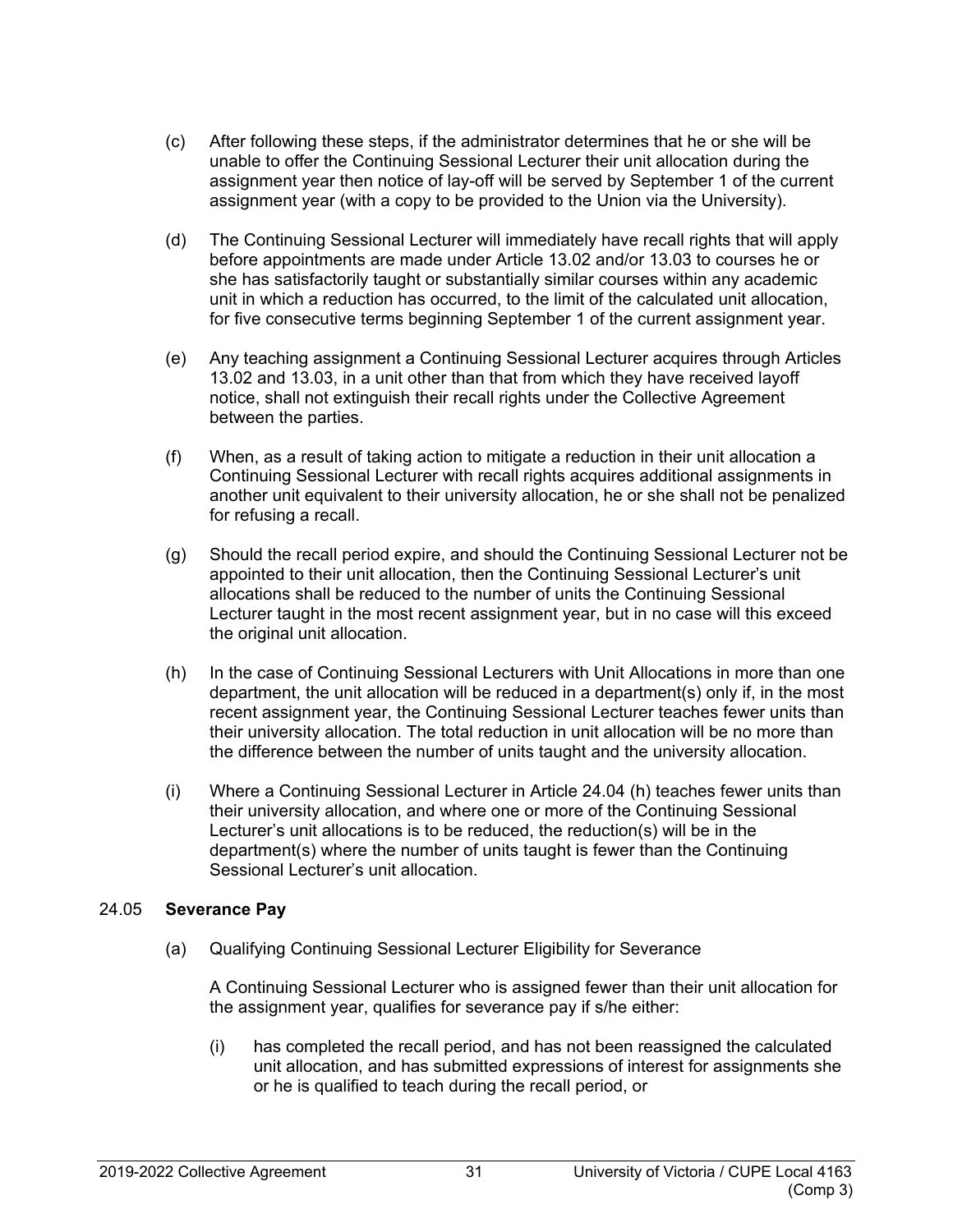- (c) After following these steps, if the administrator determines that he or she will be unable to offer the Continuing Sessional Lecturer their unit allocation during the assignment year then notice of lay-off will be served by September 1 of the current assignment year (with a copy to be provided to the Union via the University).
- (d) The Continuing Sessional Lecturer will immediately have recall rights that will apply before appointments are made under Article 13.02 and/or 13.03 to courses he or she has satisfactorily taught or substantially similar courses within any academic unit in which a reduction has occurred, to the limit of the calculated unit allocation, for five consecutive terms beginning September 1 of the current assignment year.
- (e) Any teaching assignment a Continuing Sessional Lecturer acquires through Articles 13.02 and 13.03, in a unit other than that from which they have received layoff notice, shall not extinguish their recall rights under the Collective Agreement between the parties.
- (f) When, as a result of taking action to mitigate a reduction in their unit allocation a Continuing Sessional Lecturer with recall rights acquires additional assignments in another unit equivalent to their university allocation, he or she shall not be penalized for refusing a recall.
- (g) Should the recall period expire, and should the Continuing Sessional Lecturer not be appointed to their unit allocation, then the Continuing Sessional Lecturer's unit allocations shall be reduced to the number of units the Continuing Sessional Lecturer taught in the most recent assignment year, but in no case will this exceed the original unit allocation.
- (h) In the case of Continuing Sessional Lecturers with Unit Allocations in more than one department, the unit allocation will be reduced in a department(s) only if, in the most recent assignment year, the Continuing Sessional Lecturer teaches fewer units than their university allocation. The total reduction in unit allocation will be no more than the difference between the number of units taught and the university allocation.
- (i) Where a Continuing Sessional Lecturer in Article 24.04 (h) teaches fewer units than their university allocation, and where one or more of the Continuing Sessional Lecturer's unit allocations is to be reduced, the reduction(s) will be in the department(s) where the number of units taught is fewer than the Continuing Sessional Lecturer's unit allocation.

#### <span id="page-36-0"></span>24.05 **Severance Pay**

(a) Qualifying Continuing Sessional Lecturer Eligibility for Severance

A Continuing Sessional Lecturer who is assigned fewer than their unit allocation for the assignment year, qualifies for severance pay if s/he either:

(i) has completed the recall period, and has not been reassigned the calculated unit allocation, and has submitted expressions of interest for assignments she or he is qualified to teach during the recall period, or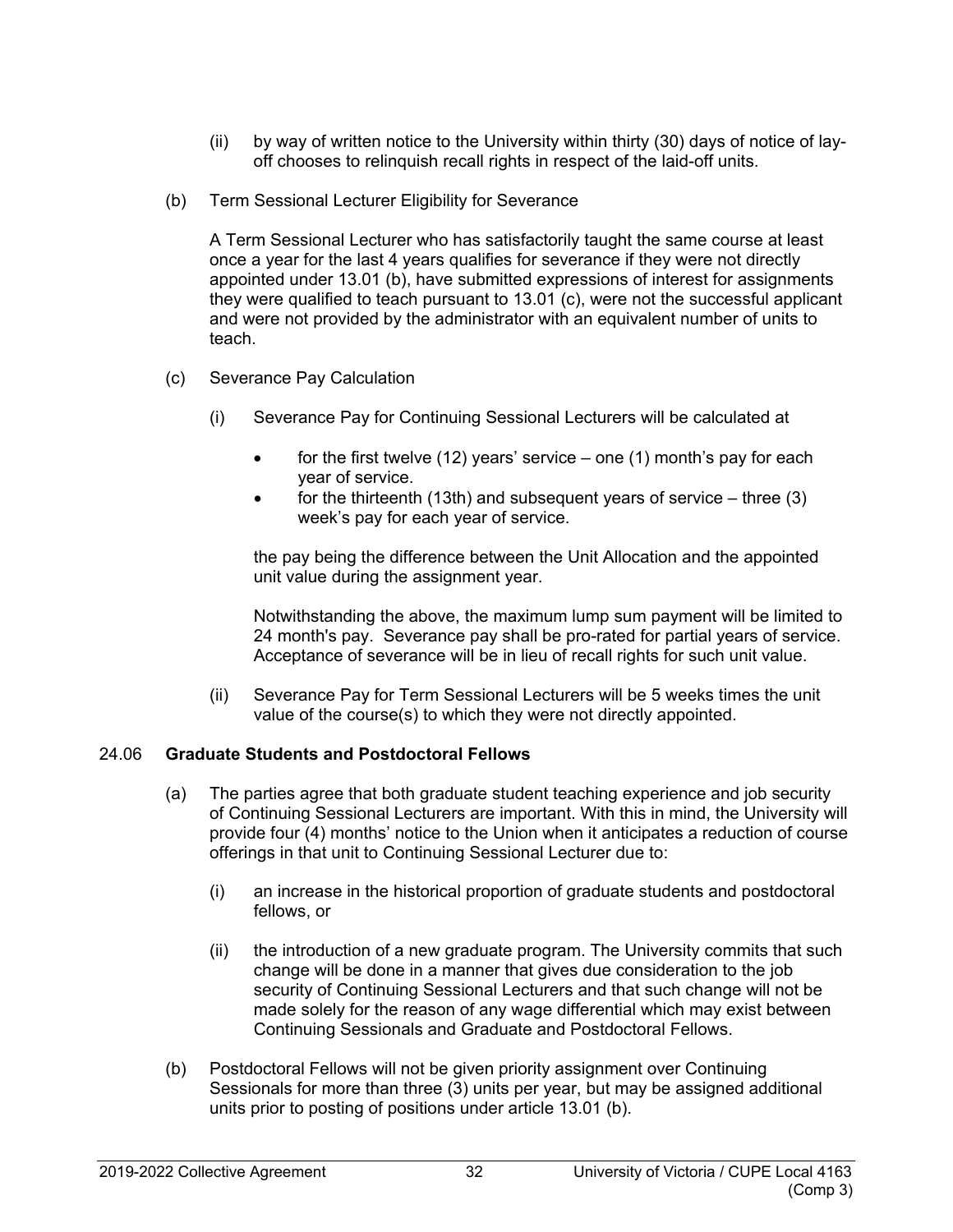- (ii) by way of written notice to the University within thirty (30) days of notice of layoff chooses to relinquish recall rights in respect of the laid-off units.
- (b) Term Sessional Lecturer Eligibility for Severance

A Term Sessional Lecturer who has satisfactorily taught the same course at least once a year for the last 4 years qualifies for severance if they were not directly appointed under 13.01 (b), have submitted expressions of interest for assignments they were qualified to teach pursuant to 13.01 (c), were not the successful applicant and were not provided by the administrator with an equivalent number of units to teach.

- (c) Severance Pay Calculation
	- (i) Severance Pay for Continuing Sessional Lecturers will be calculated at
		- for the first twelve  $(12)$  years' service one  $(1)$  month's pay for each year of service.
		- for the thirteenth (13th) and subsequent years of service  $-$  three (3) week's pay for each year of service.

the pay being the difference between the Unit Allocation and the appointed unit value during the assignment year.

Notwithstanding the above, the maximum lump sum payment will be limited to 24 month's pay. Severance pay shall be pro-rated for partial years of service. Acceptance of severance will be in lieu of recall rights for such unit value.

(ii) Severance Pay for Term Sessional Lecturers will be 5 weeks times the unit value of the course(s) to which they were not directly appointed.

## <span id="page-37-0"></span>24.06 **Graduate Students and Postdoctoral Fellows**

- (a) The parties agree that both graduate student teaching experience and job security of Continuing Sessional Lecturers are important. With this in mind, the University will provide four (4) months' notice to the Union when it anticipates a reduction of course offerings in that unit to Continuing Sessional Lecturer due to:
	- (i) an increase in the historical proportion of graduate students and postdoctoral fellows, or
	- (ii) the introduction of a new graduate program. The University commits that such change will be done in a manner that gives due consideration to the job security of Continuing Sessional Lecturers and that such change will not be made solely for the reason of any wage differential which may exist between Continuing Sessionals and Graduate and Postdoctoral Fellows.
- (b) Postdoctoral Fellows will not be given priority assignment over Continuing Sessionals for more than three (3) units per year, but may be assigned additional units prior to posting of positions under article 13.01 (b).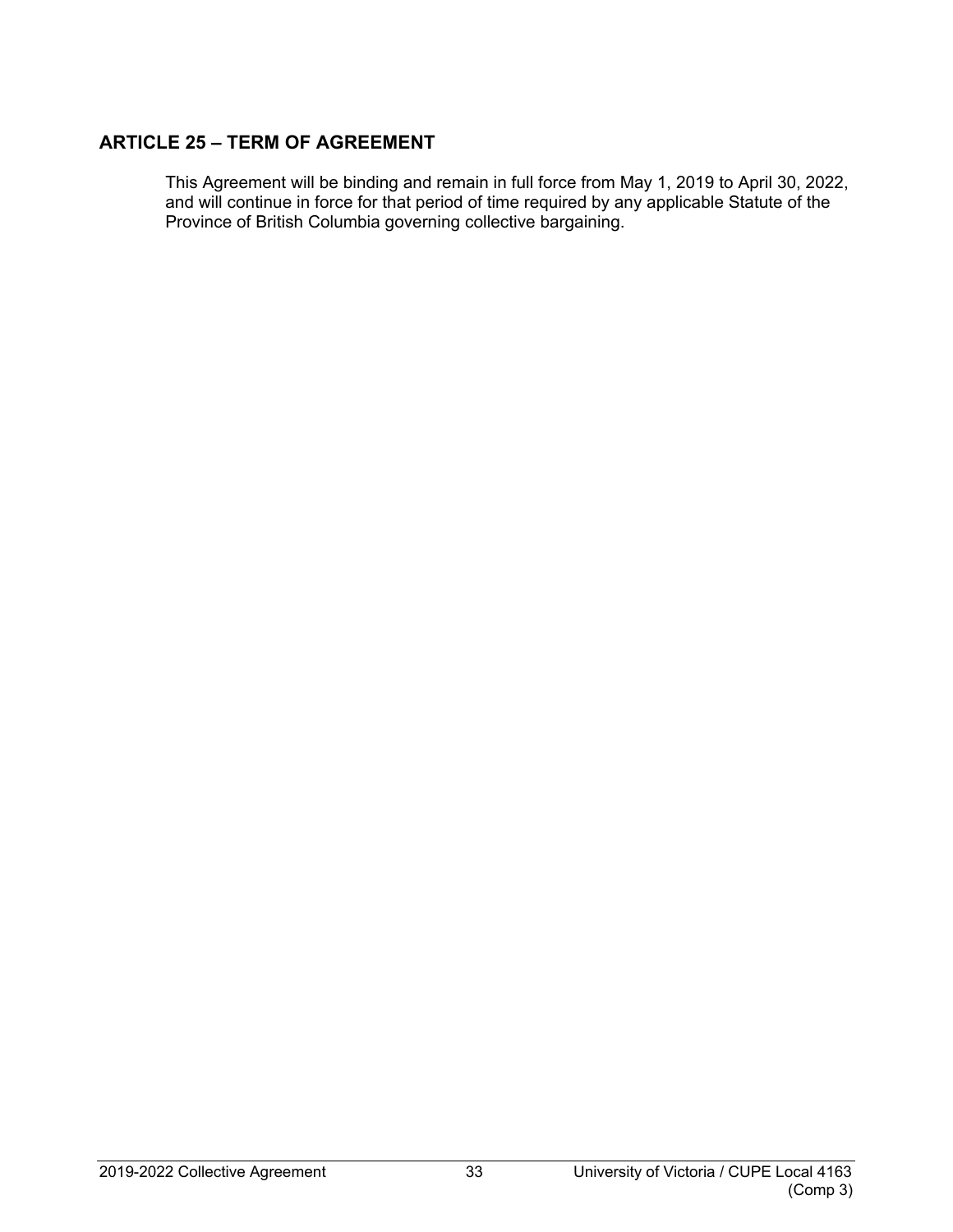# <span id="page-38-0"></span>**ARTICLE 25 – TERM OF AGREEMENT**

This Agreement will be binding and remain in full force from May 1, 2019 to April 30, 2022, and will continue in force for that period of time required by any applicable Statute of the Province of British Columbia governing collective bargaining.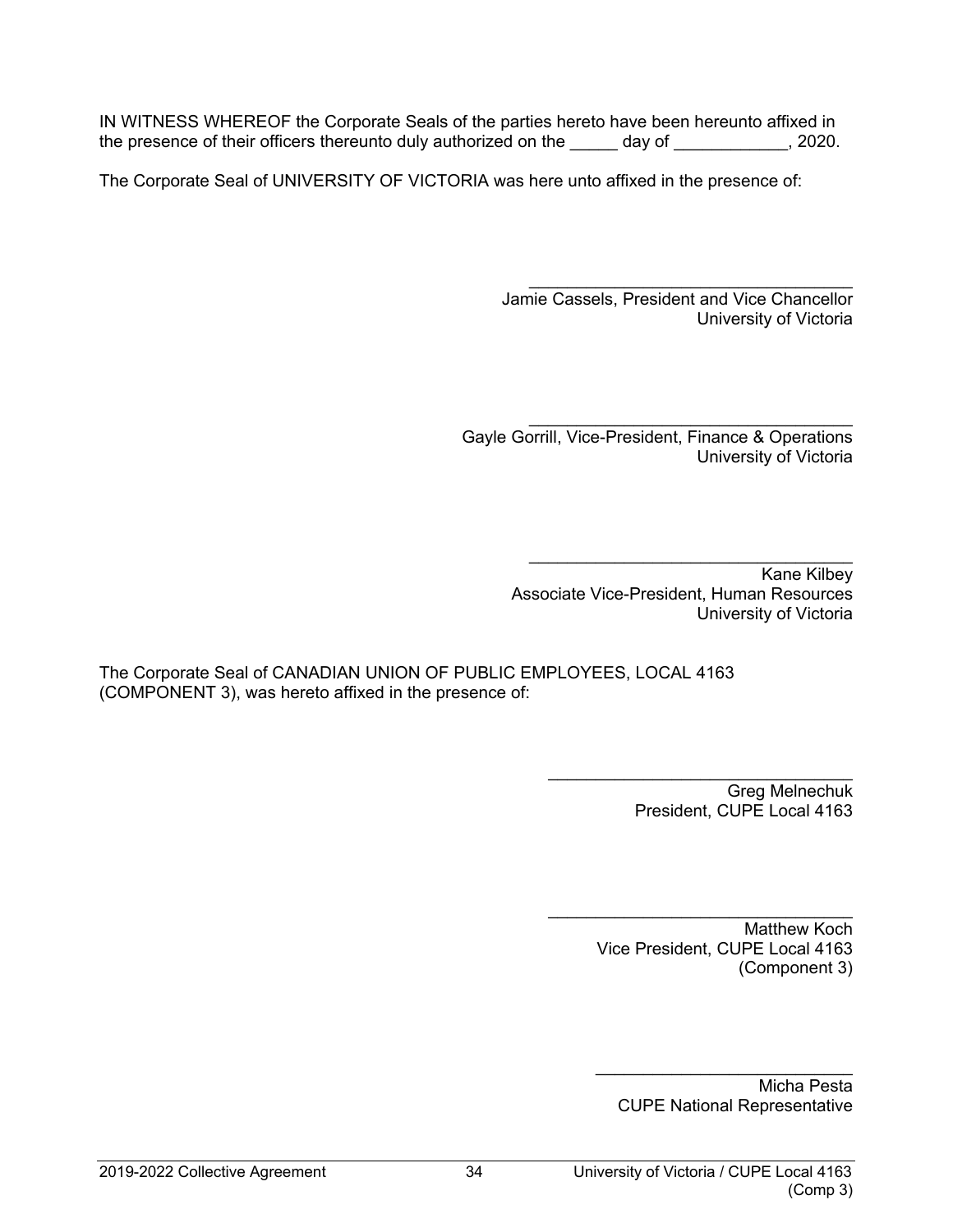IN WITNESS WHEREOF the Corporate Seals of the parties hereto have been hereunto affixed in the presence of their officers thereunto duly authorized on the \_\_\_\_\_ day of \_\_\_\_\_\_\_\_\_\_, 2020.

The Corporate Seal of UNIVERSITY OF VICTORIA was here unto affixed in the presence of:

\_\_\_\_\_\_\_\_\_\_\_\_\_\_\_\_\_\_\_\_\_\_\_\_\_\_\_\_\_\_\_\_\_\_ Jamie Cassels, President and Vice Chancellor University of Victoria

\_\_\_\_\_\_\_\_\_\_\_\_\_\_\_\_\_\_\_\_\_\_\_\_\_\_\_\_\_\_\_\_\_\_ Gayle Gorrill, Vice-President, Finance & Operations University of Victoria

> \_\_\_\_\_\_\_\_\_\_\_\_\_\_\_\_\_\_\_\_\_\_\_\_\_\_\_\_\_\_\_\_\_\_ Kane Kilbey Associate Vice-President, Human Resources University of Victoria

The Corporate Seal of CANADIAN UNION OF PUBLIC EMPLOYEES, LOCAL 4163 (COMPONENT 3), was hereto affixed in the presence of:

> \_\_\_\_\_\_\_\_\_\_\_\_\_\_\_\_\_\_\_\_\_\_\_\_\_\_\_\_\_\_\_\_ Greg Melnechuk President, CUPE Local 4163

> > Matthew Koch Vice President, CUPE Local 4163 (Component 3)

\_\_\_\_\_\_\_\_\_\_\_\_\_\_\_\_\_\_\_\_\_\_\_\_\_\_\_\_\_\_\_\_

Micha Pesta CUPE National Representative

\_\_\_\_\_\_\_\_\_\_\_\_\_\_\_\_\_\_\_\_\_\_\_\_\_\_\_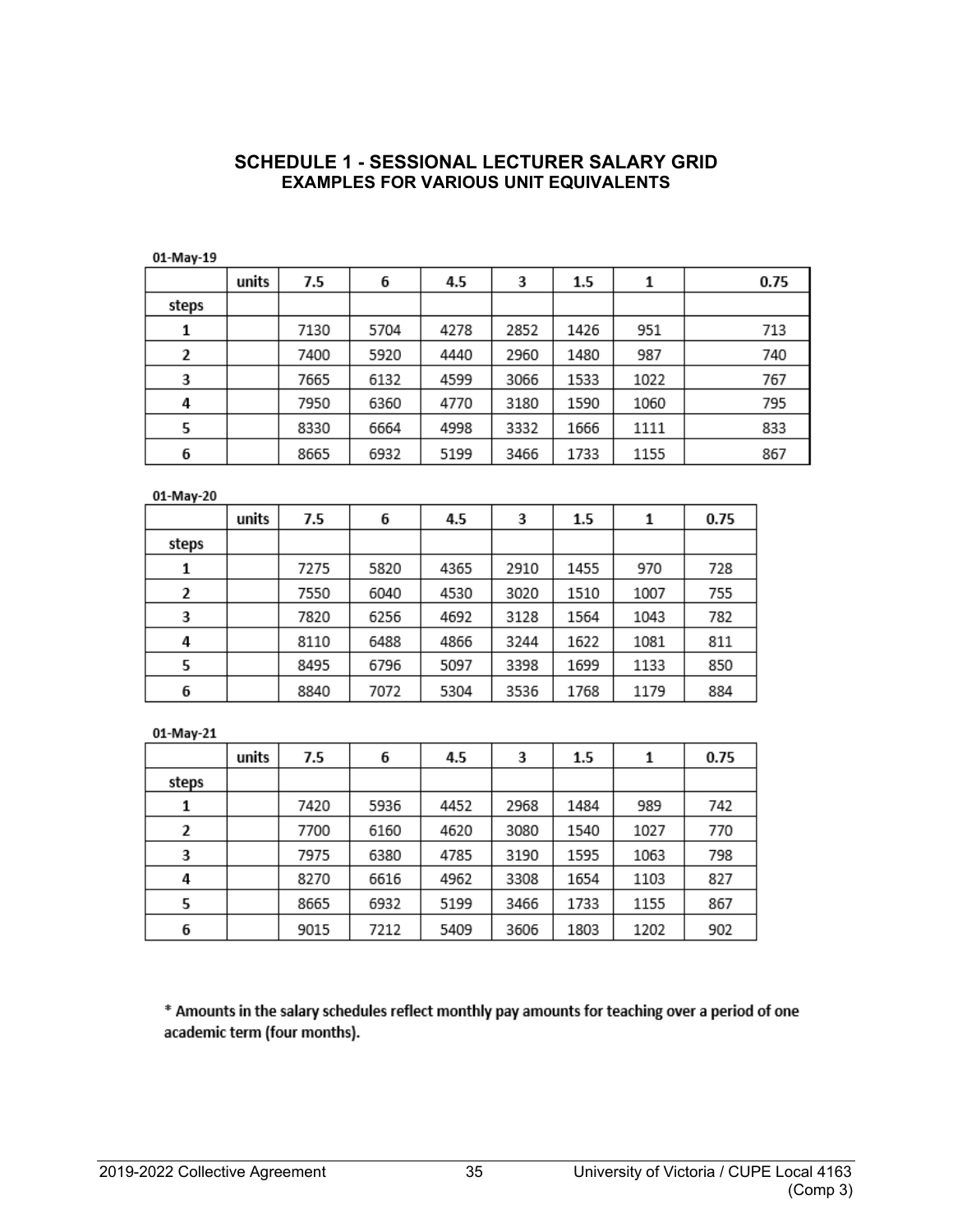#### **SCHEDULE 1 - SESSIONAL LECTURER SALARY GRID EXAMPLES FOR VARIOUS UNIT EQUIVALENTS**

<span id="page-40-0"></span>01-May-19

|       | units | 7.5  | 6    | 4.5  | 3    | 1.5  | 1    | 0.75 |
|-------|-------|------|------|------|------|------|------|------|
| steps |       |      |      |      |      |      |      |      |
| 1     |       | 7130 | 5704 | 4278 | 2852 | 1426 | 951  | 713  |
| 2     |       | 7400 | 5920 | 4440 | 2960 | 1480 | 987  | 740  |
| 3     |       | 7665 | 6132 | 4599 | 3066 | 1533 | 1022 | 767  |
| 4     |       | 7950 | 6360 | 4770 | 3180 | 1590 | 1060 | 795  |
| 5     |       | 8330 | 6664 | 4998 | 3332 | 1666 | 1111 | 833  |
| 6     |       | 8665 | 6932 | 5199 | 3466 | 1733 | 1155 | 867  |

01-May-20

|       | units | 7.5  | 6    | 4.5  | 3    | 1.5  |      | 0.75 |
|-------|-------|------|------|------|------|------|------|------|
| steps |       |      |      |      |      |      |      |      |
| 1     |       | 7275 | 5820 | 4365 | 2910 | 1455 | 970  | 728  |
| 2     |       | 7550 | 6040 | 4530 | 3020 | 1510 | 1007 | 755  |
| 3     |       | 7820 | 6256 | 4692 | 3128 | 1564 | 1043 | 782  |
| 4     |       | 8110 | 6488 | 4866 | 3244 | 1622 | 1081 | 811  |
| 5     |       | 8495 | 6796 | 5097 | 3398 | 1699 | 1133 | 850  |
| 6     |       | 8840 | 7072 | 5304 | 3536 | 1768 | 1179 | 884  |

01-May-21

|       | units | 7.5  | 6    | 4.5  | 3    | 1.5  | 1    | 0.75 |
|-------|-------|------|------|------|------|------|------|------|
| steps |       |      |      |      |      |      |      |      |
| 1     |       | 7420 | 5936 | 4452 | 2968 | 1484 | 989  | 742  |
| 2     |       | 7700 | 6160 | 4620 | 3080 | 1540 | 1027 | 770  |
| 3     |       | 7975 | 6380 | 4785 | 3190 | 1595 | 1063 | 798  |
| 4     |       | 8270 | 6616 | 4962 | 3308 | 1654 | 1103 | 827  |
| 5     |       | 8665 | 6932 | 5199 | 3466 | 1733 | 1155 | 867  |
| 6     |       | 9015 | 7212 | 5409 | 3606 | 1803 | 1202 | 902  |

\* Amounts in the salary schedules reflect monthly pay amounts for teaching over a period of one academic term (four months).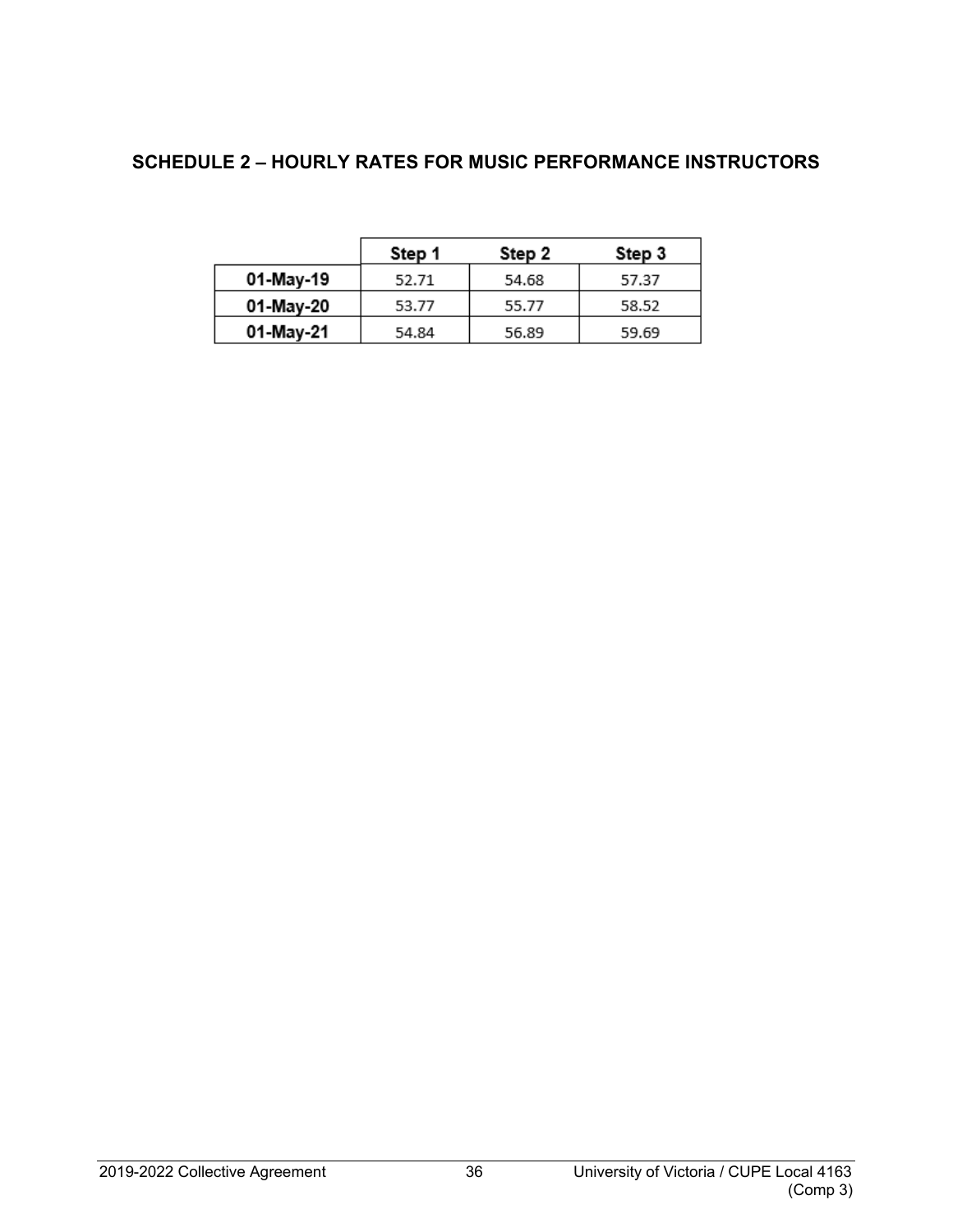# <span id="page-41-0"></span>**SCHEDULE 2 – HOURLY RATES FOR MUSIC PERFORMANCE INSTRUCTORS**

|           | Step 1 | Step 2 | Step 3 |
|-----------|--------|--------|--------|
| 01-May-19 | 52.71  | 54.68  | 57.37  |
| 01-May-20 | 53.77  | 55.77  | 58.52  |
| 01-May-21 | 54.84  | 56.89  | 59.69  |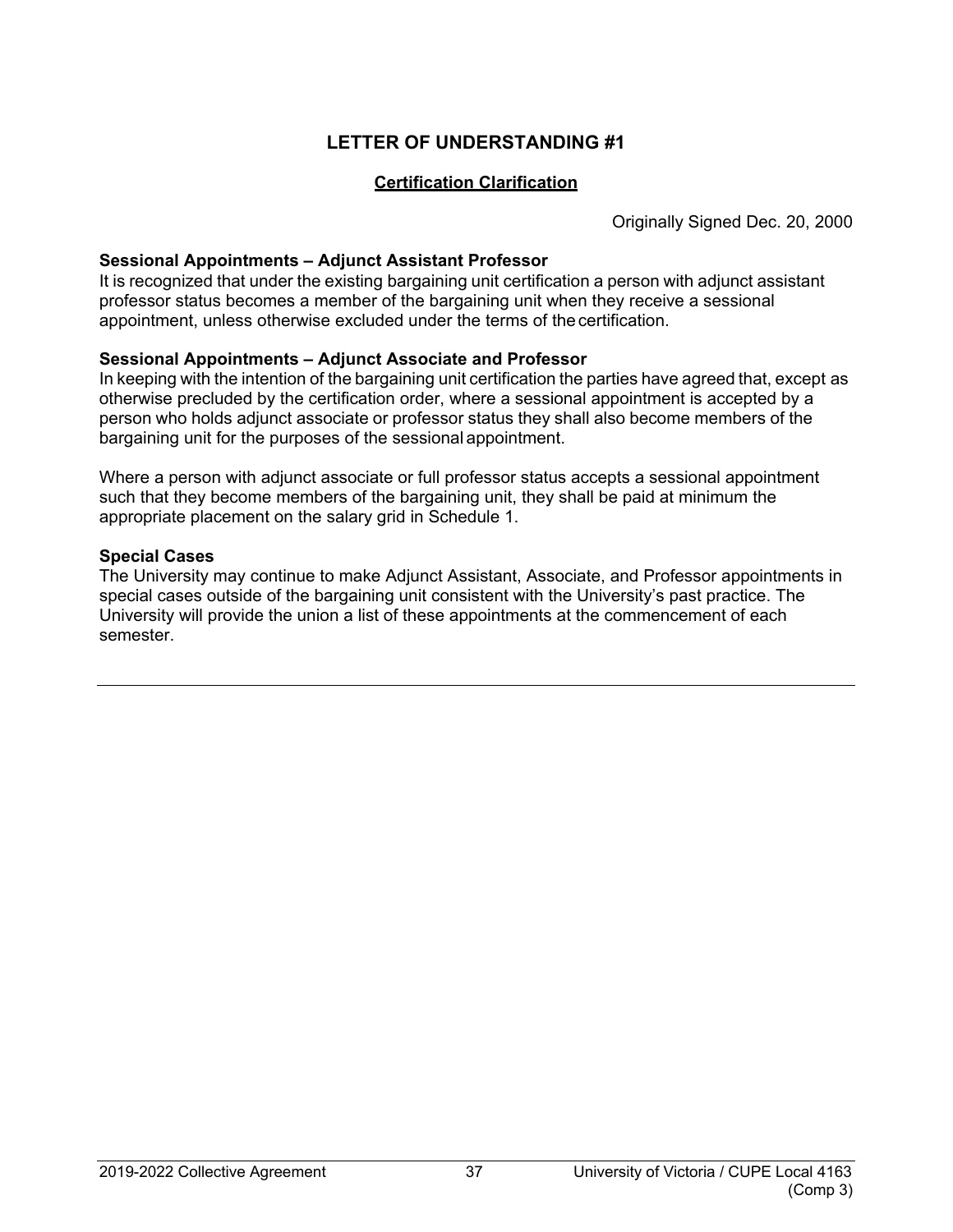#### <span id="page-42-1"></span>**Certification Clarification**

Originally Signed Dec. 20, 2000

#### <span id="page-42-0"></span>**Sessional Appointments – Adjunct Assistant Professor**

It is recognized that under the existing bargaining unit certification a person with adjunct assistant professor status becomes a member of the bargaining unit when they receive a sessional appointment, unless otherwise excluded under the terms of thecertification.

#### **Sessional Appointments – Adjunct Associate and Professor**

In keeping with the intention of the bargaining unit certification the parties have agreed that, except as otherwise precluded by the certification order, where a sessional appointment is accepted by a person who holds adjunct associate or professor status they shall also become members of the bargaining unit for the purposes of the sessional appointment.

Where a person with adjunct associate or full professor status accepts a sessional appointment such that they become members of the bargaining unit, they shall be paid at minimum the appropriate placement on the salary grid in Schedule 1.

#### **Special Cases**

The University may continue to make Adjunct Assistant, Associate, and Professor appointments in special cases outside of the bargaining unit consistent with the University's past practice. The University will provide the union a list of these appointments at the commencement of each semester.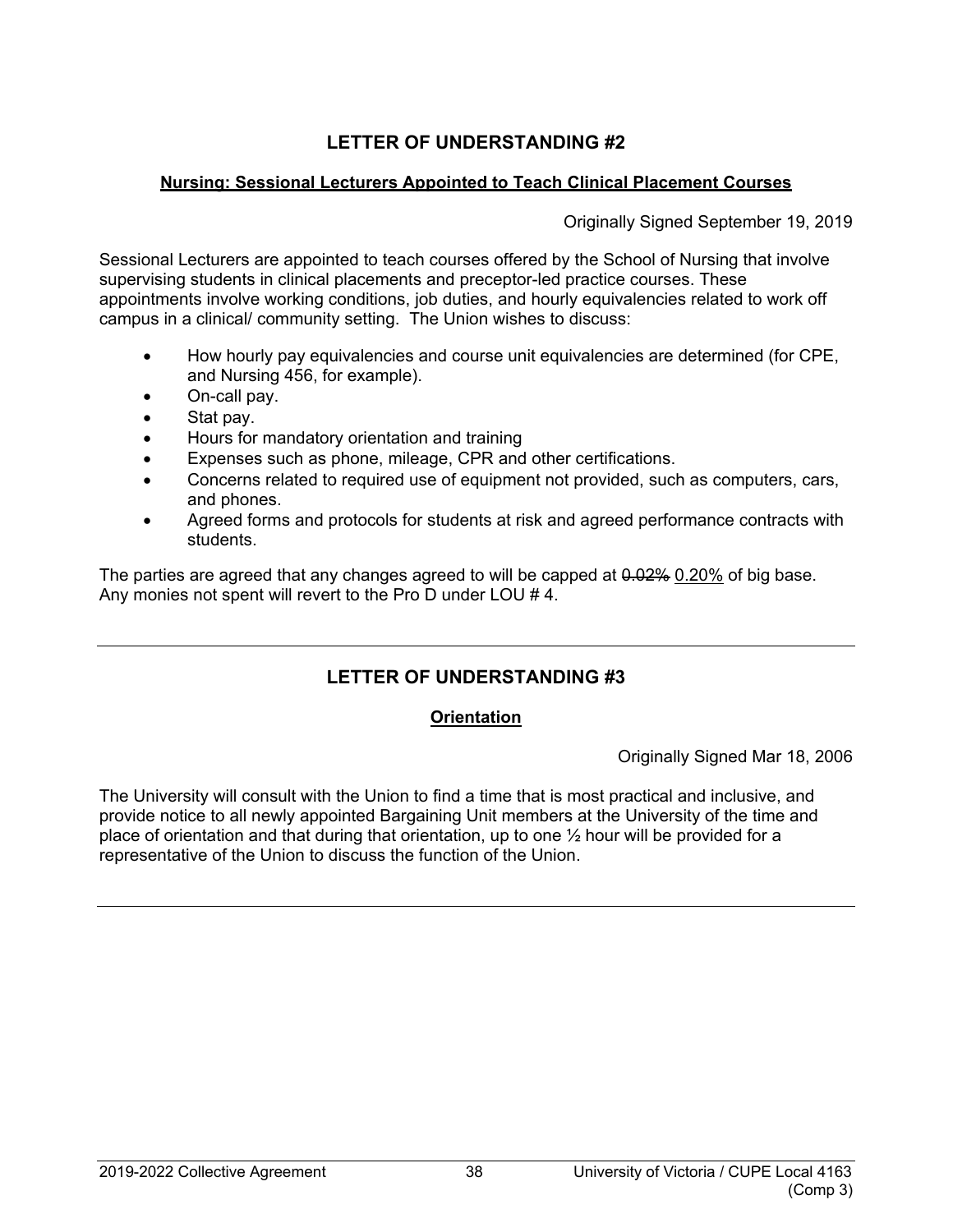## <span id="page-43-1"></span><span id="page-43-0"></span>**Nursing: Sessional Lecturers Appointed to Teach Clinical Placement Courses**

Originally Signed September 19, 2019

Sessional Lecturers are appointed to teach courses offered by the School of Nursing that involve supervising students in clinical placements and preceptor-led practice courses. These appointments involve working conditions, job duties, and hourly equivalencies related to work off campus in a clinical/ community setting. The Union wishes to discuss:

- How hourly pay equivalencies and course unit equivalencies are determined (for CPE, and Nursing 456, for example).
- On-call pay.
- Stat pay.
- Hours for mandatory orientation and training
- Expenses such as phone, mileage, CPR and other certifications.
- Concerns related to required use of equipment not provided, such as computers, cars, and phones.
- Agreed forms and protocols for students at risk and agreed performance contracts with students.

The parties are agreed that any changes agreed to will be capped at  $0.02\%$  0.20% of big base. Any monies not spent will revert to the Pro D under LOU # 4.

# <span id="page-43-2"></span>**LETTER OF UNDERSTANDING #3**

## **Orientation**

Originally Signed Mar 18, 2006

<span id="page-43-3"></span>The University will consult with the Union to find a time that is most practical and inclusive, and provide notice to all newly appointed Bargaining Unit members at the University of the time and place of orientation and that during that orientation, up to one  $\frac{1}{2}$  hour will be provided for a representative of the Union to discuss the function of the Union.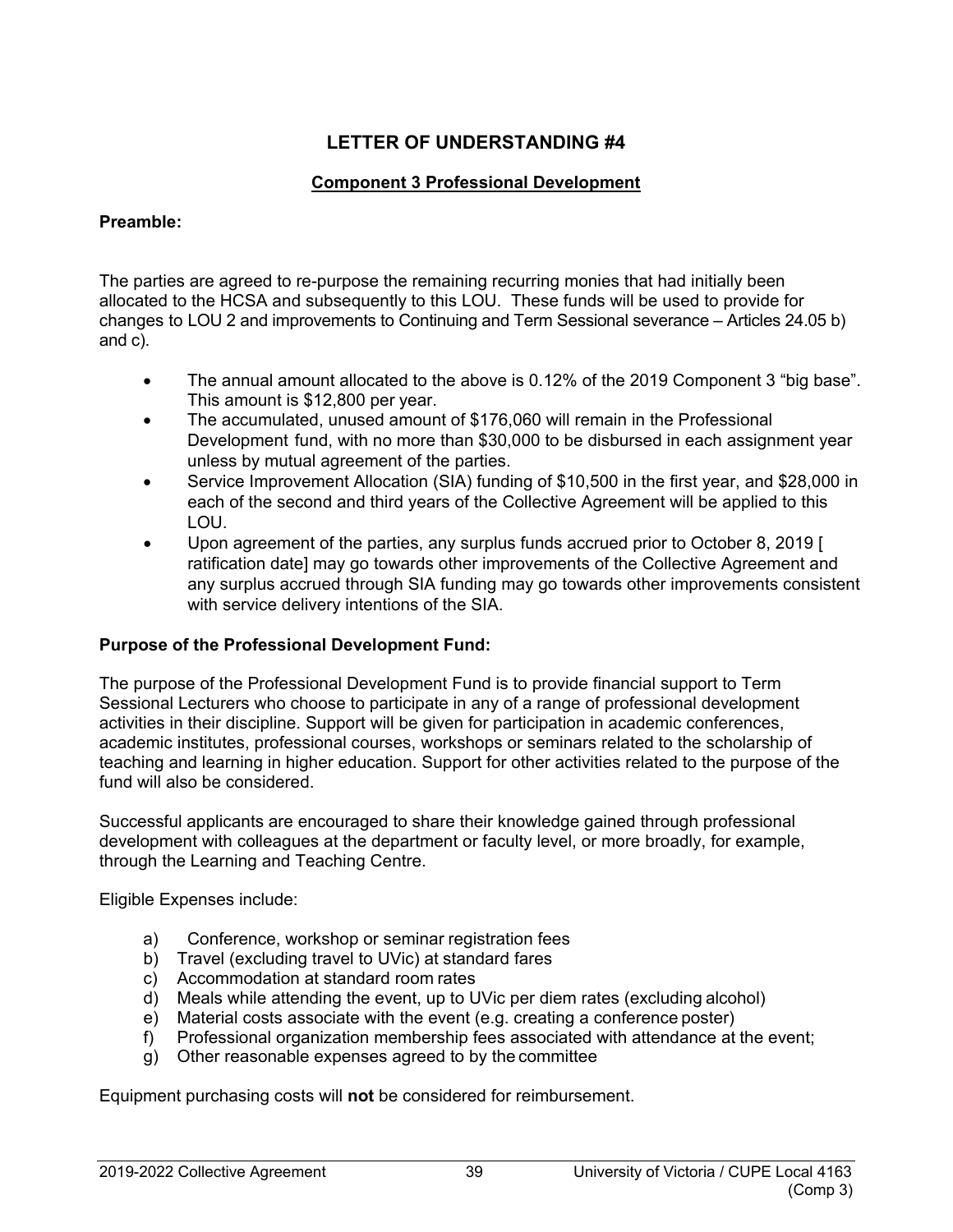#### <span id="page-44-0"></span>**Component 3 Professional Development**

#### <span id="page-44-1"></span>**Preamble:**

The parties are agreed to re-purpose the remaining recurring monies that had initially been allocated to the HCSA and subsequently to this LOU. These funds will be used to provide for changes to LOU 2 and improvements to Continuing and Term Sessional severance – Articles 24.05 b) and c).

- The annual amount allocated to the above is 0.12% of the 2019 Component 3 "big base". This amount is \$12,800 per year.
- The accumulated, unused amount of \$176,060 will remain in the Professional Development fund, with no more than \$30,000 to be disbursed in each assignment year unless by mutual agreement of the parties.
- Service Improvement Allocation (SIA) funding of \$10,500 in the first year, and \$28,000 in each of the second and third years of the Collective Agreement will be applied to this LOU.
- Upon agreement of the parties, any surplus funds accrued prior to October 8, 2019 [ ratification date] may go towards other improvements of the Collective Agreement and any surplus accrued through SIA funding may go towards other improvements consistent with service delivery intentions of the SIA.

## **Purpose of the Professional Development Fund:**

The purpose of the Professional Development Fund is to provide financial support to Term Sessional Lecturers who choose to participate in any of a range of professional development activities in their discipline. Support will be given for participation in academic conferences, academic institutes, professional courses, workshops or seminars related to the scholarship of teaching and learning in higher education. Support for other activities related to the purpose of the fund will also be considered.

Successful applicants are encouraged to share their knowledge gained through professional development with colleagues at the department or faculty level, or more broadly, for example, through the Learning and Teaching Centre.

Eligible Expenses include:

- a) Conference, workshop or seminar registration fees
- b) Travel (excluding travel to UVic) at standard fares
- c) Accommodation at standard room rates
- d) Meals while attending the event, up to UVic per diem rates (excluding alcohol)
- e) Material costs associate with the event (e.g. creating a conference poster)
- f) Professional organization membership fees associated with attendance at the event;
- g) Other reasonable expenses agreed to by the committee

Equipment purchasing costs will **not** be considered for reimbursement.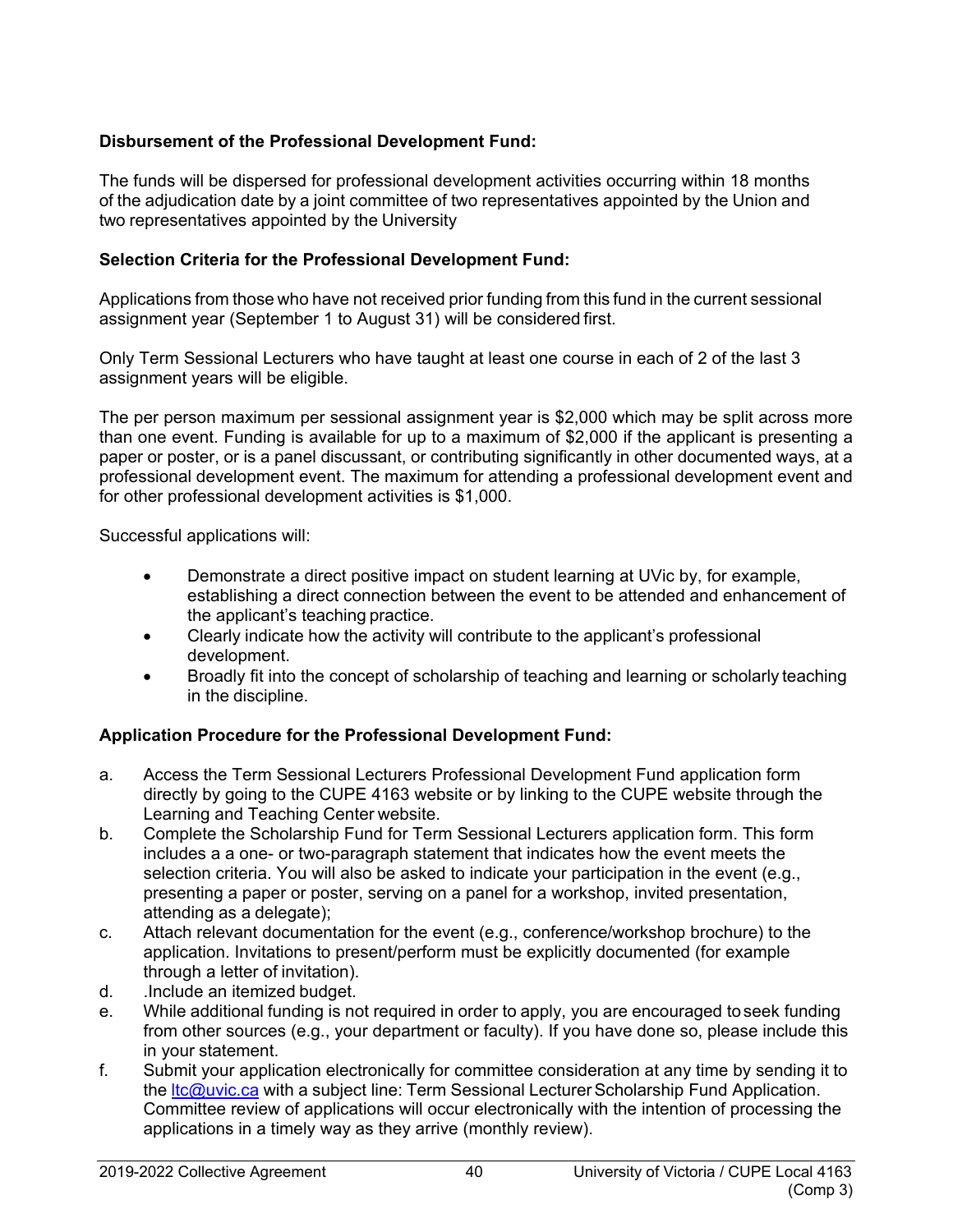## **Disbursement of the Professional Development Fund:**

The funds will be dispersed for professional development activities occurring within 18 months of the adjudication date by a joint committee of two representatives appointed by the Union and two representatives appointed by the University

#### **Selection Criteria for the Professional Development Fund:**

Applications from those who have not received prior funding from this fund in the current sessional assignment year (September 1 to August 31) will be considered first.

Only Term Sessional Lecturers who have taught at least one course in each of 2 of the last 3 assignment years will be eligible.

The per person maximum per sessional assignment year is \$2,000 which may be split across more than one event. Funding is available for up to a maximum of \$2,000 if the applicant is presenting a paper or poster, or is a panel discussant, or contributing significantly in other documented ways, at a professional development event. The maximum for attending a professional development event and for other professional development activities is \$1,000.

Successful applications will:

- Demonstrate a direct positive impact on student learning at UVic by, for example, establishing a direct connection between the event to be attended and enhancement of the applicant's teaching practice.
- Clearly indicate how the activity will contribute to the applicant's professional development.
- Broadly fit into the concept of scholarship of teaching and learning or scholarly teaching in the discipline.

## **Application Procedure for the Professional Development Fund:**

- a. Access the Term Sessional Lecturers Professional Development Fund application form directly by going to the CUPE 4163 website or by linking to the CUPE website through the Learning and Teaching Center website.
- b. Complete the Scholarship Fund for Term Sessional Lecturers application form. This form includes a a one- or two-paragraph statement that indicates how the event meets the selection criteria. You will also be asked to indicate your participation in the event (e.g., presenting a paper or poster, serving on a panel for a workshop, invited presentation, attending as a delegate);
- c. Attach relevant documentation for the event (e.g., conference/workshop brochure) to the application. Invitations to present/perform must be explicitly documented (for example through a letter of invitation).
- d. .Include an itemized budget.
- e. While additional funding is not required in order to apply, you are encouraged toseek funding from other sources (e.g., your department or faculty). If you have done so, please include this in your statement.
- f. Submit your application electronically for committee consideration at any time by sending it to the Itc@uvic.ca with a subject line: Term Sessional Lecturer Scholarship Fund Application. Committee review of applications will occur electronically with the intention of processing the applications in a timely way as they arrive (monthly review).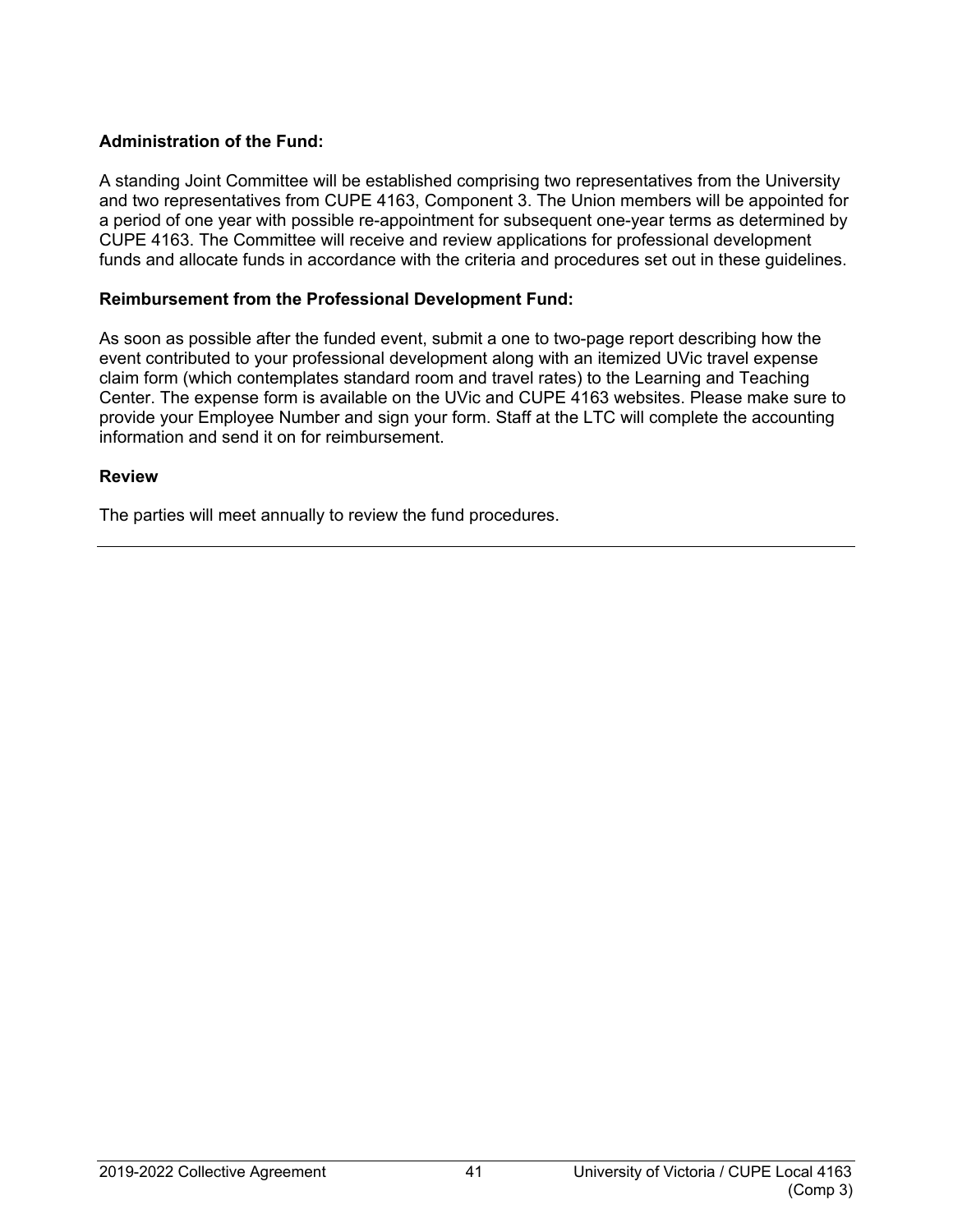## **Administration of the Fund:**

A standing Joint Committee will be established comprising two representatives from the University and two representatives from CUPE 4163, Component 3. The Union members will be appointed for a period of one year with possible re-appointment for subsequent one-year terms as determined by CUPE 4163. The Committee will receive and review applications for professional development funds and allocate funds in accordance with the criteria and procedures set out in these guidelines.

#### **Reimbursement from the Professional Development Fund:**

As soon as possible after the funded event, submit a one to two-page report describing how the event contributed to your professional development along with an itemized UVic travel expense claim form (which contemplates standard room and travel rates) to the Learning and Teaching Center. The expense form is available on the UVic and CUPE 4163 websites. Please make sure to provide your Employee Number and sign your form. Staff at the LTC will complete the accounting information and send it on for reimbursement.

#### **Review**

The parties will meet annually to review the fund procedures.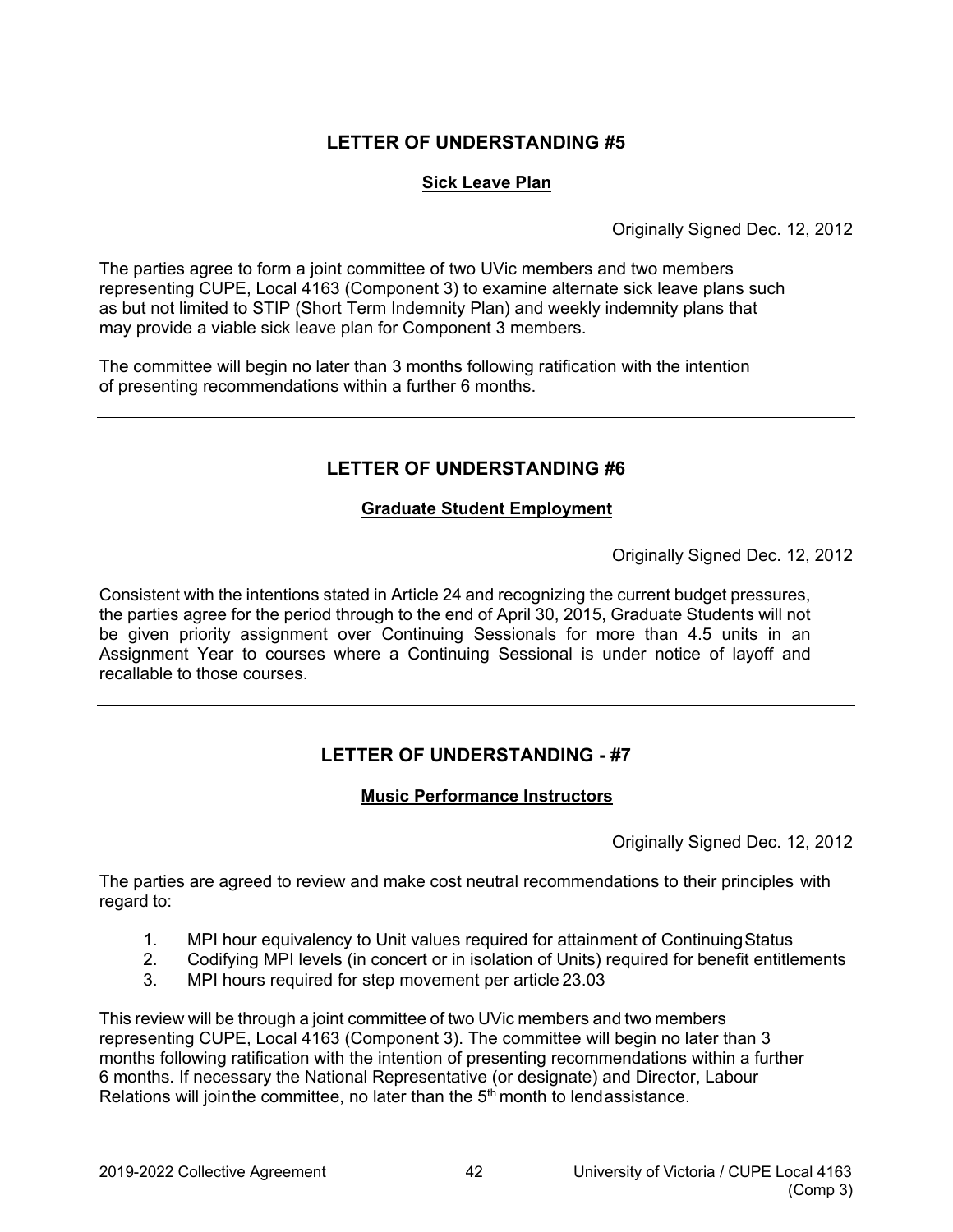## <span id="page-47-0"></span>**Sick Leave Plan**

Originally Signed Dec. 12, 2012

<span id="page-47-1"></span>The parties agree to form a joint committee of two UVic members and two members representing CUPE, Local 4163 (Component 3) to examine alternate sick leave plans such as but not limited to STIP (Short Term Indemnity Plan) and weekly indemnity plans that may provide a viable sick leave plan for Component 3 members.

The committee will begin no later than 3 months following ratification with the intention of presenting recommendations within a further 6 months.

# <span id="page-47-2"></span>**LETTER OF UNDERSTANDING #6**

## **Graduate Student Employment**

Originally Signed Dec. 12, 2012

<span id="page-47-3"></span>Consistent with the intentions stated in Article 24 and recognizing the current budget pressures, the parties agree for the period through to the end of April 30, 2015, Graduate Students will not be given priority assignment over Continuing Sessionals for more than 4.5 units in an Assignment Year to courses where a Continuing Sessional is under notice of layoff and recallable to those courses.

# <span id="page-47-4"></span>**LETTER OF UNDERSTANDING - #7**

## **Music Performance Instructors**

Originally Signed Dec. 12, 2012

<span id="page-47-5"></span>The parties are agreed to review and make cost neutral recommendations to their principles with regard to:

- 1. MPI hour equivalency to Unit values required for attainment of Continuing Status<br>2. Codifying MPI levels (in concert or in isolation of Units) required for benefit entitle
- 2. Codifying MPI levels (in concert or in isolation of Units) required for benefit entitlements
- 3. MPI hours required for step movement per article 23.03

This review will be through a joint committee of two UVic members and two members representing CUPE, Local 4163 (Component 3). The committee will begin no later than 3 months following ratification with the intention of presenting recommendations within a further 6 months. If necessary the National Representative (or designate) and Director, Labour Relations will join the committee, no later than the  $5<sup>th</sup>$  month to lendassistance.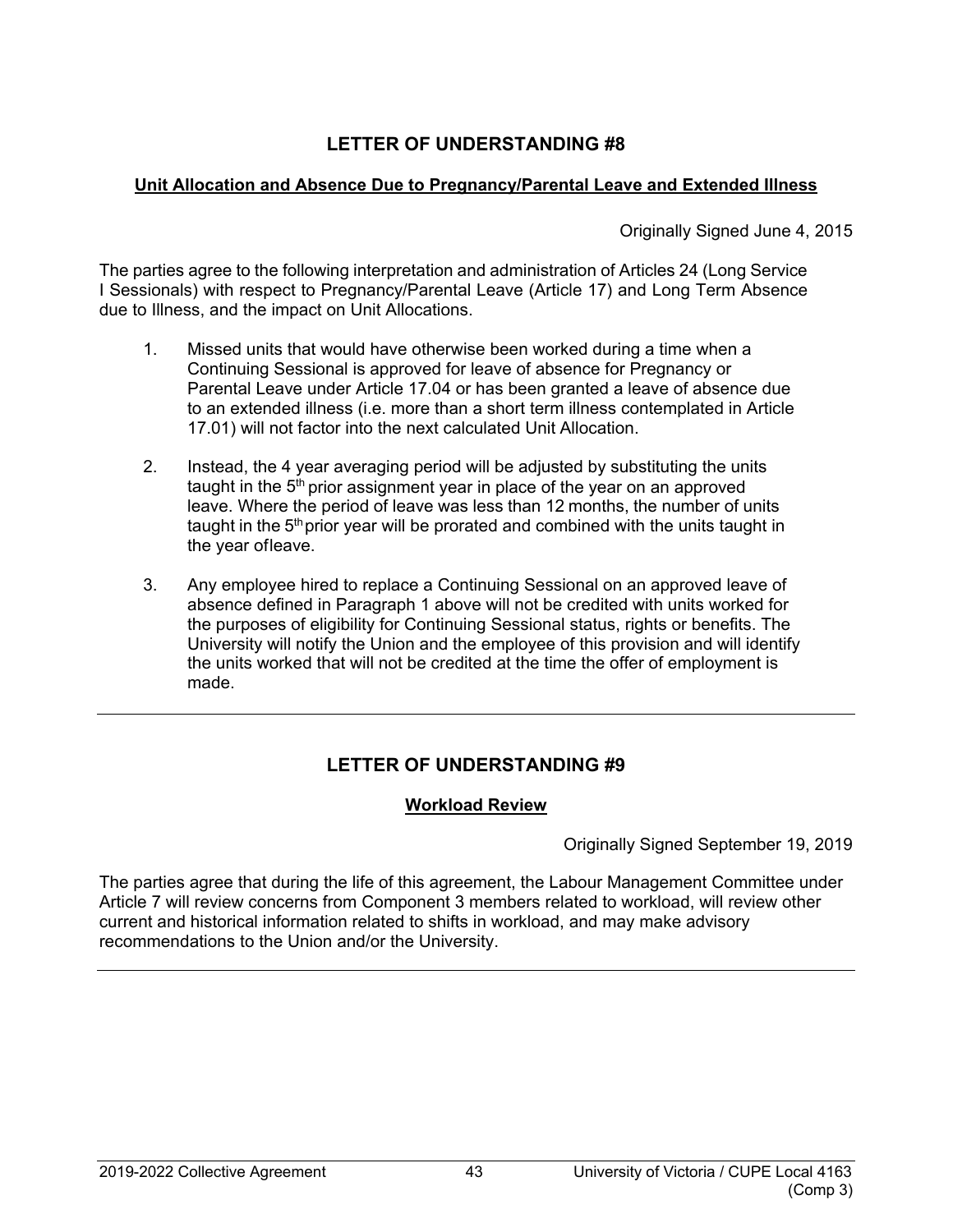## <span id="page-48-1"></span><span id="page-48-0"></span>**Unit Allocation and Absence Due to Pregnancy/Parental Leave and Extended Illness**

Originally Signed June 4, 2015

The parties agree to the following interpretation and administration of Articles 24 (Long Service I Sessionals) with respect to Pregnancy/Parental Leave (Article 17) and Long Term Absence due to Illness, and the impact on Unit Allocations.

- 1. Missed units that would have otherwise been worked during a time when a Continuing Sessional is approved for leave of absence for Pregnancy or Parental Leave under Article 17.04 or has been granted a leave of absence due to an extended illness (i.e. more than a short term illness contemplated in Article 17.01) will not factor into the next calculated Unit Allocation.
- 2. Instead, the 4 year averaging period will be adjusted by substituting the units taught in the  $5<sup>th</sup>$  prior assignment year in place of the year on an approved leave. Where the period of leave was less than 12 months, the number of units taught in the  $5<sup>th</sup>$  prior year will be prorated and combined with the units taught in the year ofleave.
- 3. Any employee hired to replace a Continuing Sessional on an approved leave of absence defined in Paragraph 1 above will not be credited with units worked for the purposes of eligibility for Continuing Sessional status, rights or benefits. The University will notify the Union and the employee of this provision and will identify the units worked that will not be credited at the time the offer of employment is made.

# <span id="page-48-2"></span>**LETTER OF UNDERSTANDING #9**

# **Workload Review**

Originally Signed September 19, 2019

<span id="page-48-3"></span>The parties agree that during the life of this agreement, the Labour Management Committee under Article 7 will review concerns from Component 3 members related to workload, will review other current and historical information related to shifts in workload, and may make advisory recommendations to the Union and/or the University.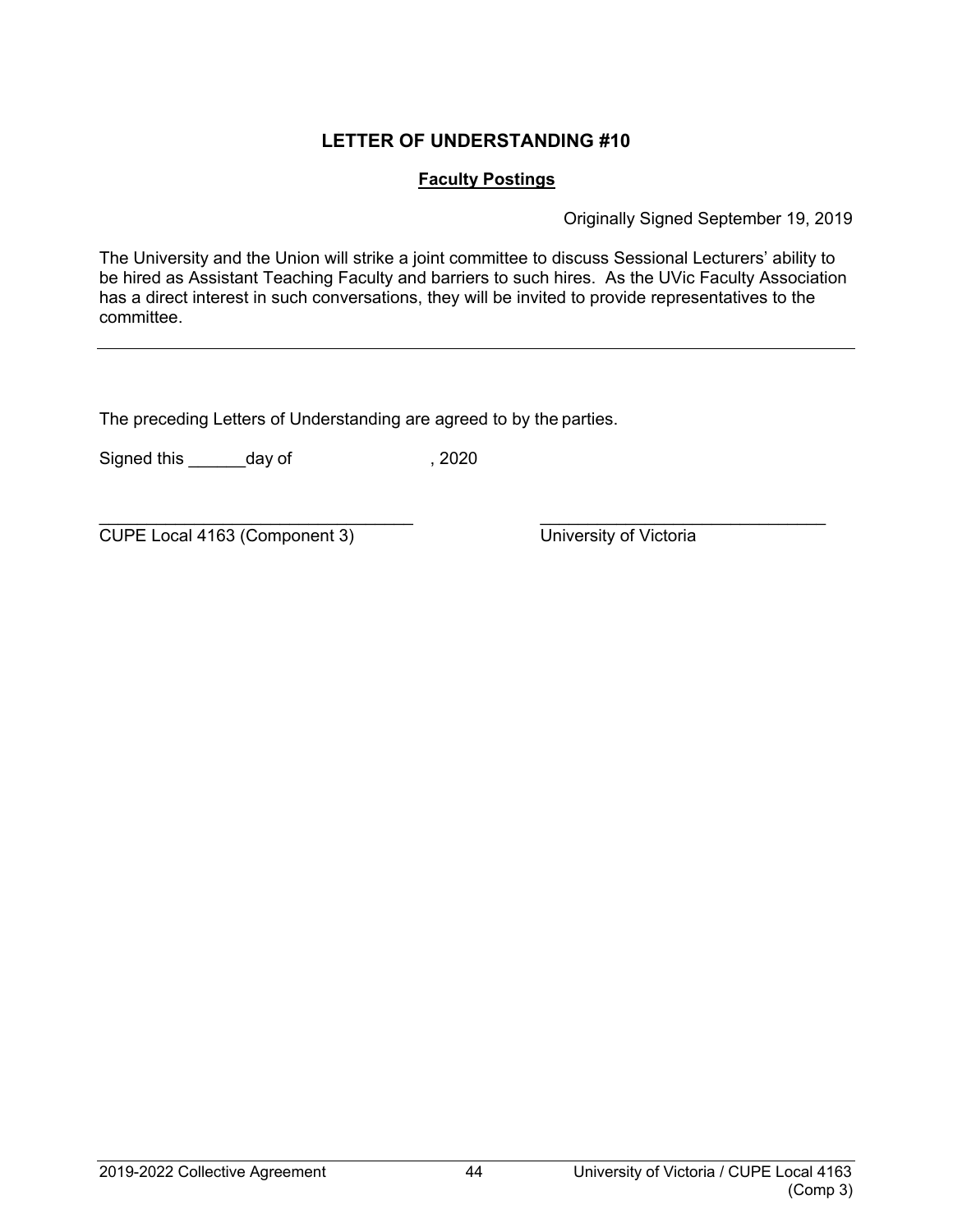## <span id="page-49-0"></span>**Faculty Postings**

Originally Signed September 19, 2019

<span id="page-49-1"></span>The University and the Union will strike a joint committee to discuss Sessional Lecturers' ability to be hired as Assistant Teaching Faculty and barriers to such hires. As the UVic Faculty Association has a direct interest in such conversations, they will be invited to provide representatives to the committee.

The preceding Letters of Understanding are agreed to by the parties.

Signed this \_\_\_\_\_\_\_day of , 2020

\_\_\_\_\_\_\_\_\_\_\_\_\_\_\_\_\_\_\_\_\_\_\_\_\_\_\_\_\_\_\_\_\_ \_\_\_\_\_\_\_\_\_\_\_\_\_\_\_\_\_\_\_\_\_\_\_\_\_\_\_\_\_\_ CUPE Local 4163 (Component 3) University of Victoria